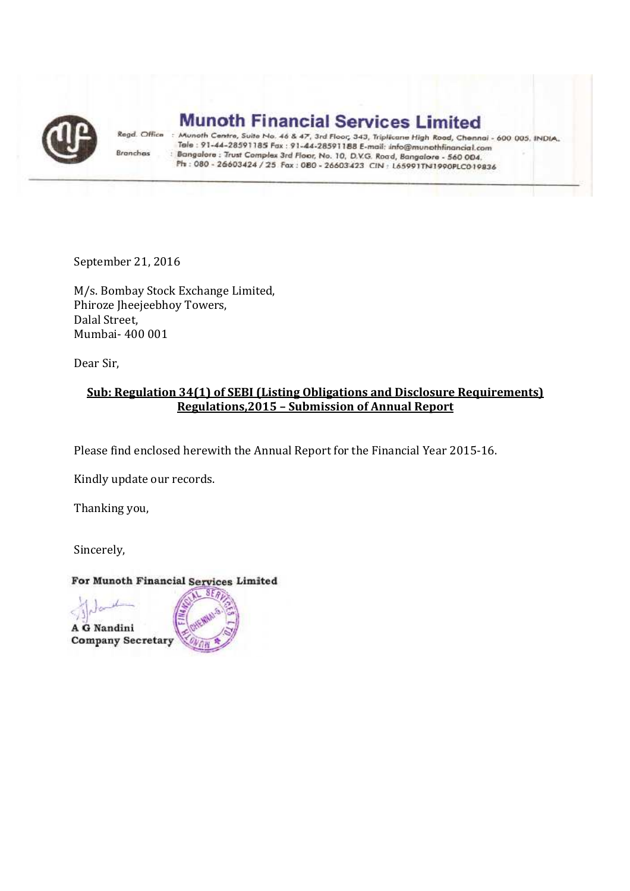

# **Munoth Financial Services Limited**

Branches

Regd. Office Munoth Centre, Suite No. 46 & 47, 3rd Floor, 343, Triplicane High Road, Chennai - 600 005, INDIA. Tele : 91-44-28591185 Fax : 91-44-28591188 E-mail: info@munothfinancial.com Bangalore : Trust Complex 3rd Floor, No. 10, D.V.G. Road, Bangalore - 560 004, Ph: 080 - 26603424 / 25 Fax: 080 - 26603423 CIN: L65991TN1990PLC019836

September 21, 2016

M/s. Bombay Stock Exchange Limited, Phiroze Jheejeebhoy Towers, Dalal Street, Mumbai- 400 001

Dear Sir,

# **Sub: Regulation 34(1) of SEBI (Listing Obligations and Disclosure Requirements) Regulations,2015 – Submission of Annual Report**

Please find enclosed herewith the Annual Report for the Financial Year 2015-16.

Kindly update our records.

Thanking you,

Sincerely,

## For Munoth Financial Services Limited

 $8F_A$ A G Nandini **Company Secretary**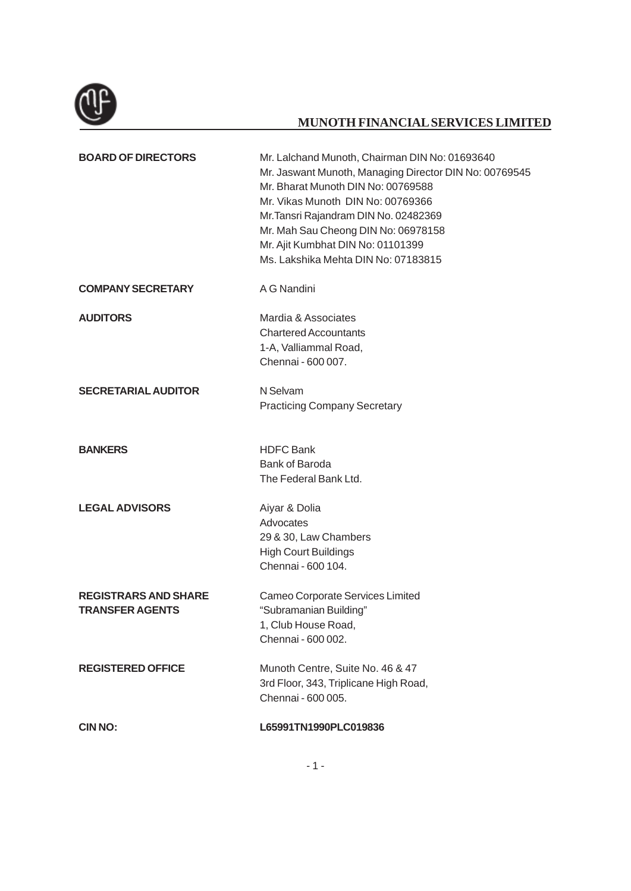

| <b>BOARD OF DIRECTORS</b>                             | Mr. Lalchand Munoth, Chairman DIN No: 01693640<br>Mr. Jaswant Munoth, Managing Director DIN No: 00769545<br>Mr. Bharat Munoth DIN No: 00769588<br>Mr. Vikas Munoth DIN No: 00769366<br>Mr. Tansri Rajandram DIN No. 02482369<br>Mr. Mah Sau Cheong DIN No: 06978158<br>Mr. Ajit Kumbhat DIN No: 01101399<br>Ms. Lakshika Mehta DIN No: 07183815 |
|-------------------------------------------------------|-------------------------------------------------------------------------------------------------------------------------------------------------------------------------------------------------------------------------------------------------------------------------------------------------------------------------------------------------|
| <b>COMPANY SECRETARY</b>                              | A G Nandini                                                                                                                                                                                                                                                                                                                                     |
| <b>AUDITORS</b>                                       | Mardia & Associates<br><b>Chartered Accountants</b><br>1-A, Valliammal Road,<br>Chennai - 600 007.                                                                                                                                                                                                                                              |
| <b>SECRETARIAL AUDITOR</b>                            | N Selvam<br><b>Practicing Company Secretary</b>                                                                                                                                                                                                                                                                                                 |
| <b>BANKERS</b>                                        | <b>HDFC Bank</b><br><b>Bank of Baroda</b><br>The Federal Bank Ltd.                                                                                                                                                                                                                                                                              |
| <b>LEGAL ADVISORS</b>                                 | Aiyar & Dolia<br>Advocates<br>29 & 30, Law Chambers<br><b>High Court Buildings</b><br>Chennai - 600 104.                                                                                                                                                                                                                                        |
| <b>REGISTRARS AND SHARE</b><br><b>TRANSFER AGENTS</b> | Cameo Corporate Services Limited<br>"Subramanian Building"<br>1, Club House Road,<br>Chennai - 600 002.                                                                                                                                                                                                                                         |
| <b>REGISTERED OFFICE</b>                              | Munoth Centre, Suite No. 46 & 47<br>3rd Floor, 343, Triplicane High Road,<br>Chennai - 600 005.                                                                                                                                                                                                                                                 |
| CIN NO:                                               | L65991TN1990PLC019836                                                                                                                                                                                                                                                                                                                           |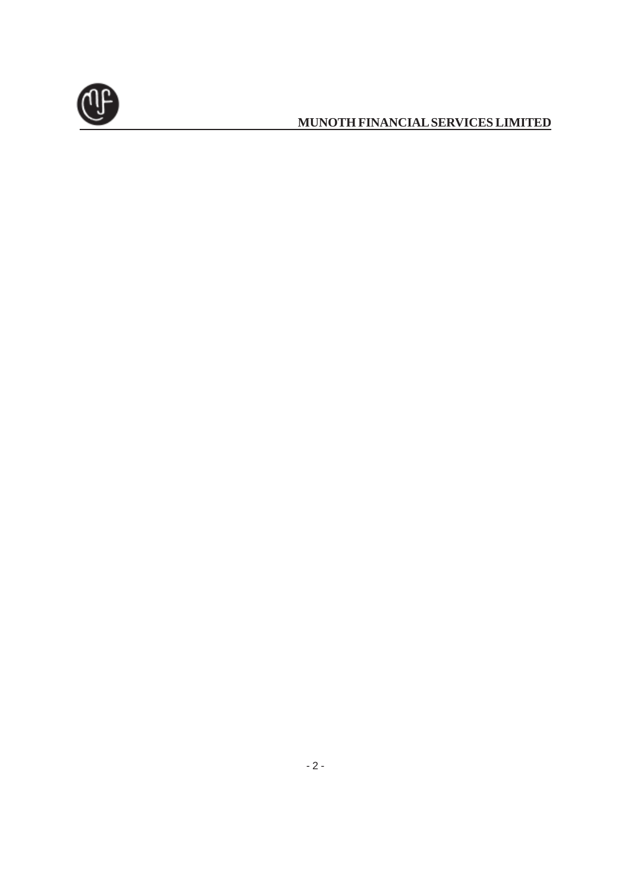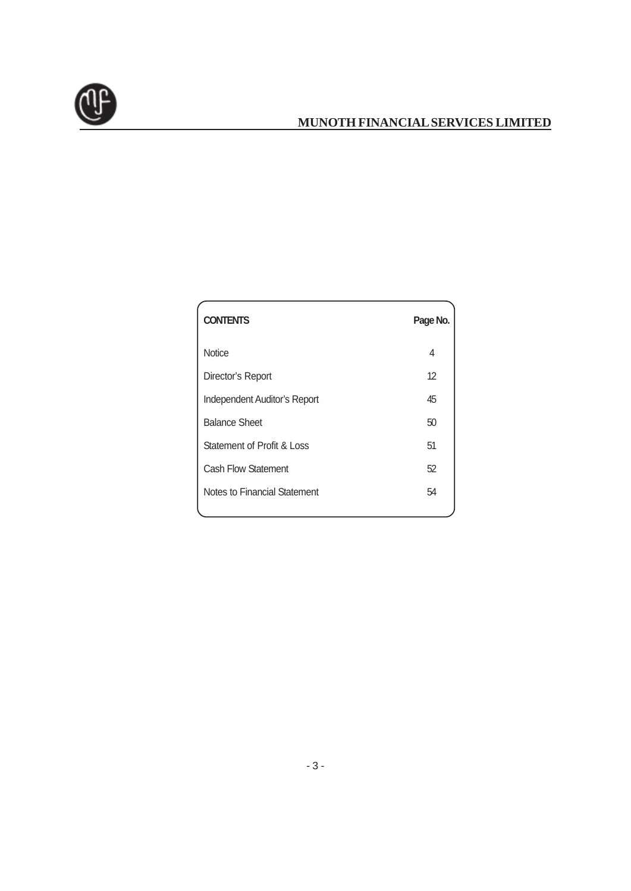

| <b>CONTENTS</b>              | Page No. |
|------------------------------|----------|
| <b>Notice</b>                | 4        |
| Director's Report            | 12       |
| Independent Auditor's Report | 45       |
| <b>Balance Sheet</b>         | 50       |
| Statement of Profit & Loss   | 51       |
| <b>Cash Flow Statement</b>   | 52       |
| Notes to Financial Statement | 54       |
|                              |          |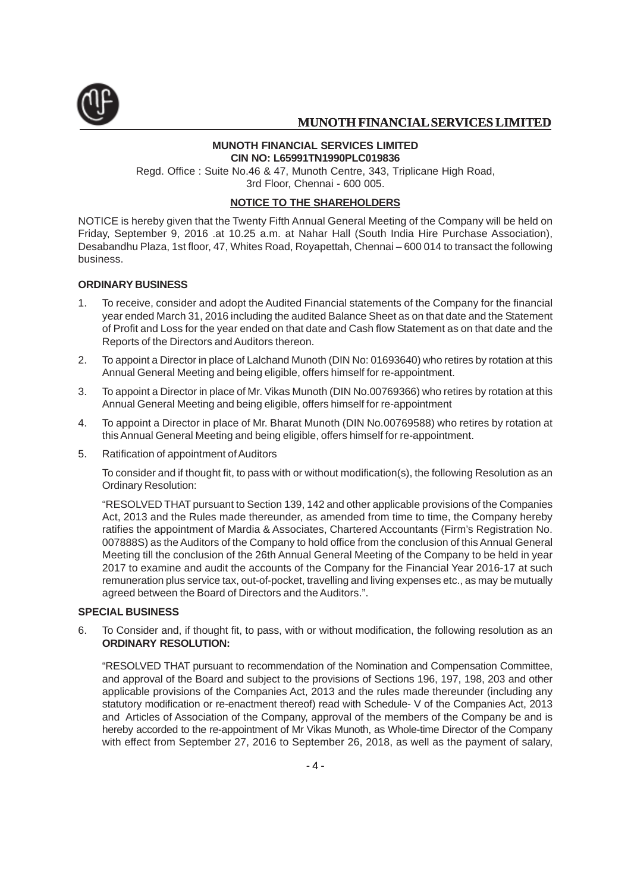

#### **MUNOTH FINANCIAL SERVICES LIMITED CIN NO: L65991TN1990PLC019836**

Regd. Office : Suite No.46 & 47, Munoth Centre, 343, Triplicane High Road, 3rd Floor, Chennai - 600 005.

#### **NOTICE TO THE SHAREHOLDERS**

NOTICE is hereby given that the Twenty Fifth Annual General Meeting of the Company will be held on Friday, September 9, 2016 .at 10.25 a.m. at Nahar Hall (South India Hire Purchase Association), Desabandhu Plaza, 1st floor, 47, Whites Road, Royapettah, Chennai – 600 014 to transact the following business.

#### **ORDINARY BUSINESS**

- 1. To receive, consider and adopt the Audited Financial statements of the Company for the financial year ended March 31, 2016 including the audited Balance Sheet as on that date and the Statement of Profit and Loss for the year ended on that date and Cash flow Statement as on that date and the Reports of the Directors and Auditors thereon.
- 2. To appoint a Director in place of Lalchand Munoth (DIN No: 01693640) who retires by rotation at this Annual General Meeting and being eligible, offers himself for re-appointment.
- 3. To appoint a Director in place of Mr. Vikas Munoth (DIN No.00769366) who retires by rotation at this Annual General Meeting and being eligible, offers himself for re-appointment
- 4. To appoint a Director in place of Mr. Bharat Munoth (DIN No.00769588) who retires by rotation at this Annual General Meeting and being eligible, offers himself for re-appointment.
- 5. Ratification of appointment of Auditors

To consider and if thought fit, to pass with or without modification(s), the following Resolution as an Ordinary Resolution:

"RESOLVED THAT pursuant to Section 139, 142 and other applicable provisions of the Companies Act, 2013 and the Rules made thereunder, as amended from time to time, the Company hereby ratifies the appointment of Mardia & Associates, Chartered Accountants (Firm's Registration No. 007888S) as the Auditors of the Company to hold office from the conclusion of this Annual General Meeting till the conclusion of the 26th Annual General Meeting of the Company to be held in year 2017 to examine and audit the accounts of the Company for the Financial Year 2016-17 at such remuneration plus service tax, out-of-pocket, travelling and living expenses etc., as may be mutually agreed between the Board of Directors and the Auditors.".

#### **SPECIAL BUSINESS**

6. To Consider and, if thought fit, to pass, with or without modification, the following resolution as an **ORDINARY RESOLUTION:**

"RESOLVED THAT pursuant to recommendation of the Nomination and Compensation Committee, and approval of the Board and subject to the provisions of Sections 196, 197, 198, 203 and other applicable provisions of the Companies Act, 2013 and the rules made thereunder (including any statutory modification or re-enactment thereof) read with Schedule- V of the Companies Act, 2013 and Articles of Association of the Company, approval of the members of the Company be and is hereby accorded to the re-appointment of Mr Vikas Munoth, as Whole-time Director of the Company with effect from September 27, 2016 to September 26, 2018, as well as the payment of salary,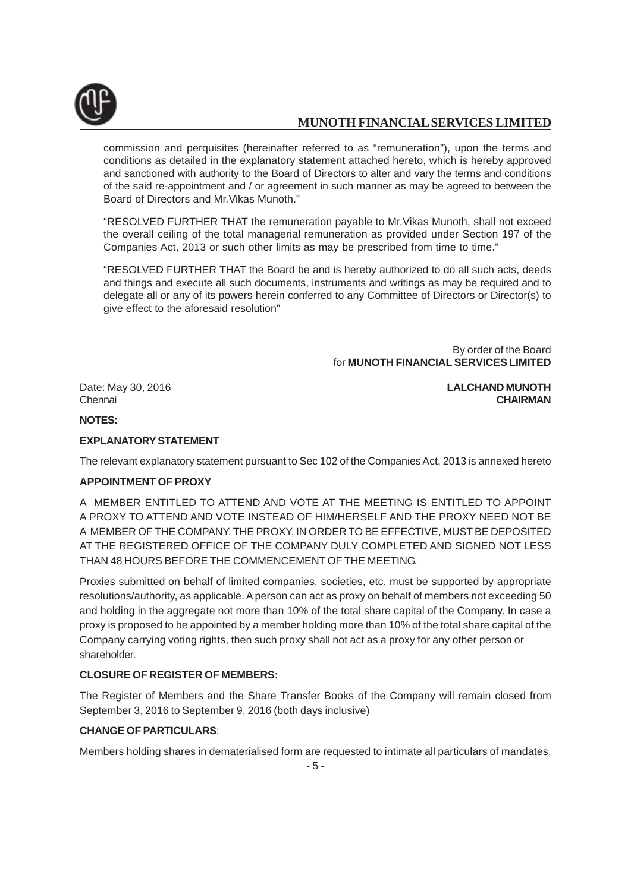

commission and perquisites (hereinafter referred to as "remuneration"), upon the terms and conditions as detailed in the explanatory statement attached hereto, which is hereby approved and sanctioned with authority to the Board of Directors to alter and vary the terms and conditions of the said re-appointment and / or agreement in such manner as may be agreed to between the Board of Directors and Mr.Vikas Munoth."

"RESOLVED FURTHER THAT the remuneration payable to Mr.Vikas Munoth, shall not exceed the overall ceiling of the total managerial remuneration as provided under Section 197 of the Companies Act, 2013 or such other limits as may be prescribed from time to time."

"RESOLVED FURTHER THAT the Board be and is hereby authorized to do all such acts, deeds and things and execute all such documents, instruments and writings as may be required and to delegate all or any of its powers herein conferred to any Committee of Directors or Director(s) to give effect to the aforesaid resolution"

> By order of the Board for **MUNOTH FINANCIAL SERVICES LIMITED**

Date: May 30, 2016 **LALCHAND MUNOTH** Chennai **CHAIRMAN**

#### **NOTES:**

## **EXPLANATORY STATEMENT**

The relevant explanatory statement pursuant to Sec 102 of the Companies Act, 2013 is annexed hereto

#### **APPOINTMENT OF PROXY**

A MEMBER ENTITLED TO ATTEND AND VOTE AT THE MEETING IS ENTITLED TO APPOINT A PROXY TO ATTEND AND VOTE INSTEAD OF HIM/HERSELF AND THE PROXY NEED NOT BE A MEMBER OF THE COMPANY. THE PROXY, IN ORDER TO BE EFFECTIVE, MUST BE DEPOSITED AT THE REGISTERED OFFICE OF THE COMPANY DULY COMPLETED AND SIGNED NOT LESS THAN 48 HOURS BEFORE THE COMMENCEMENT OF THE MEETING.

Proxies submitted on behalf of limited companies, societies, etc. must be supported by appropriate resolutions/authority, as applicable. A person can act as proxy on behalf of members not exceeding 50 and holding in the aggregate not more than 10% of the total share capital of the Company. In case a proxy is proposed to be appointed by a member holding more than 10% of the total share capital of the Company carrying voting rights, then such proxy shall not act as a proxy for any other person or shareholder.

## **CLOSURE OF REGISTER OF MEMBERS:**

The Register of Members and the Share Transfer Books of the Company will remain closed from September 3, 2016 to September 9, 2016 (both days inclusive)

## **CHANGE OF PARTICULARS**:

Members holding shares in dematerialised form are requested to intimate all particulars of mandates,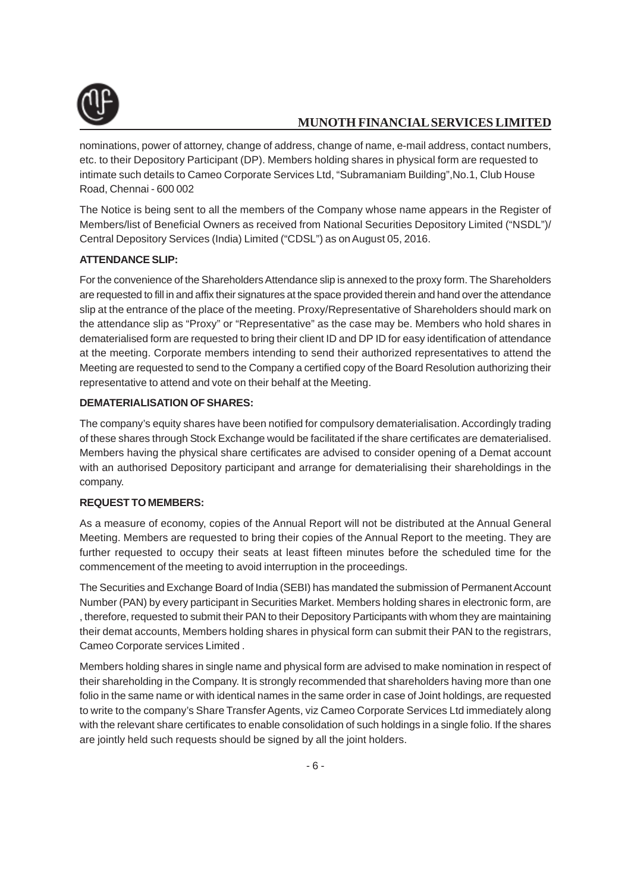

nominations, power of attorney, change of address, change of name, e-mail address, contact numbers, etc. to their Depository Participant (DP). Members holding shares in physical form are requested to intimate such details to Cameo Corporate Services Ltd, "Subramaniam Building",No.1, Club House Road, Chennai - 600 002

The Notice is being sent to all the members of the Company whose name appears in the Register of Members/list of Beneficial Owners as received from National Securities Depository Limited ("NSDL")/ Central Depository Services (India) Limited ("CDSL") as on August 05, 2016.

## **ATTENDANCE SLIP:**

For the convenience of the Shareholders Attendance slip is annexed to the proxy form. The Shareholders are requested to fill in and affix their signatures at the space provided therein and hand over the attendance slip at the entrance of the place of the meeting. Proxy/Representative of Shareholders should mark on the attendance slip as "Proxy" or "Representative" as the case may be. Members who hold shares in dematerialised form are requested to bring their client ID and DP ID for easy identification of attendance at the meeting. Corporate members intending to send their authorized representatives to attend the Meeting are requested to send to the Company a certified copy of the Board Resolution authorizing their representative to attend and vote on their behalf at the Meeting.

## **DEMATERIALISATION OF SHARES:**

The company's equity shares have been notified for compulsory dematerialisation. Accordingly trading of these shares through Stock Exchange would be facilitated if the share certificates are dematerialised. Members having the physical share certificates are advised to consider opening of a Demat account with an authorised Depository participant and arrange for dematerialising their shareholdings in the company.

## **REQUEST TO MEMBERS:**

As a measure of economy, copies of the Annual Report will not be distributed at the Annual General Meeting. Members are requested to bring their copies of the Annual Report to the meeting. They are further requested to occupy their seats at least fifteen minutes before the scheduled time for the commencement of the meeting to avoid interruption in the proceedings.

The Securities and Exchange Board of India (SEBI) has mandated the submission of Permanent Account Number (PAN) by every participant in Securities Market. Members holding shares in electronic form, are , therefore, requested to submit their PAN to their Depository Participants with whom they are maintaining their demat accounts, Members holding shares in physical form can submit their PAN to the registrars, Cameo Corporate services Limited .

Members holding shares in single name and physical form are advised to make nomination in respect of their shareholding in the Company. It is strongly recommended that shareholders having more than one folio in the same name or with identical names in the same order in case of Joint holdings, are requested to write to the company's Share Transfer Agents, viz Cameo Corporate Services Ltd immediately along with the relevant share certificates to enable consolidation of such holdings in a single folio. If the shares are jointly held such requests should be signed by all the joint holders.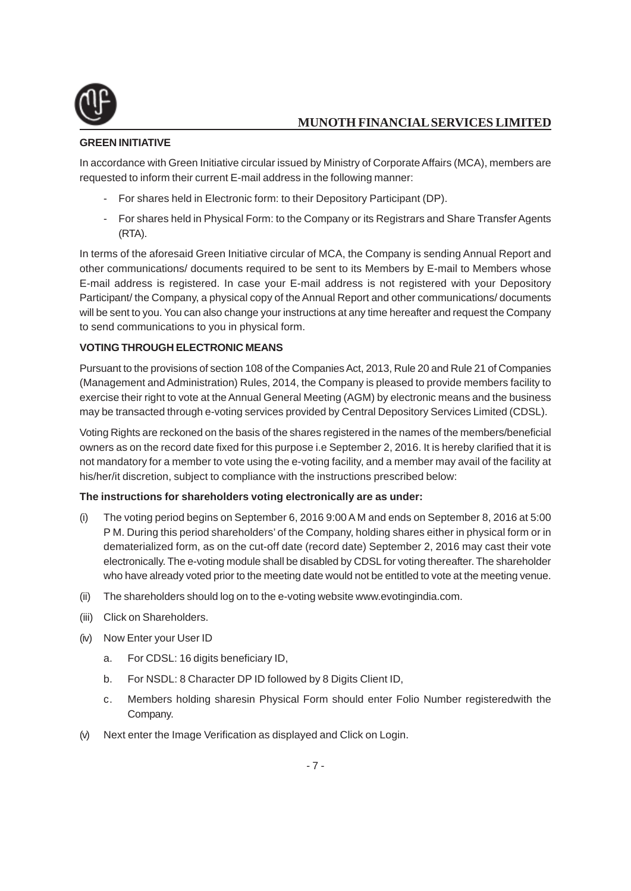

## **GREEN INITIATIVE**

In accordance with Green Initiative circular issued by Ministry of Corporate Affairs (MCA), members are requested to inform their current E-mail address in the following manner:

- For shares held in Electronic form: to their Depository Participant (DP).
- For shares held in Physical Form: to the Company or its Registrars and Share Transfer Agents (RTA).

In terms of the aforesaid Green Initiative circular of MCA, the Company is sending Annual Report and other communications/ documents required to be sent to its Members by E-mail to Members whose E-mail address is registered. In case your E-mail address is not registered with your Depository Participant/ the Company, a physical copy of the Annual Report and other communications/ documents will be sent to you. You can also change your instructions at any time hereafter and request the Company to send communications to you in physical form.

## **VOTING THROUGH ELECTRONIC MEANS**

Pursuant to the provisions of section 108 of the Companies Act, 2013, Rule 20 and Rule 21 of Companies (Management and Administration) Rules, 2014, the Company is pleased to provide members facility to exercise their right to vote at the Annual General Meeting (AGM) by electronic means and the business may be transacted through e-voting services provided by Central Depository Services Limited (CDSL).

Voting Rights are reckoned on the basis of the shares registered in the names of the members/beneficial owners as on the record date fixed for this purpose i.e September 2, 2016. It is hereby clarified that it is not mandatory for a member to vote using the e-voting facility, and a member may avail of the facility at his/her/it discretion, subject to compliance with the instructions prescribed below:

## **The instructions for shareholders voting electronically are as under:**

- (i) The voting period begins on September 6, 2016 9:00 A M and ends on September 8, 2016 at 5:00 P M. During this period shareholders' of the Company, holding shares either in physical form or in dematerialized form, as on the cut-off date (record date) September 2, 2016 may cast their vote electronically. The e-voting module shall be disabled by CDSL for voting thereafter. The shareholder who have already voted prior to the meeting date would not be entitled to vote at the meeting venue.
- (ii) The shareholders should log on to the e-voting website www.evotingindia.com.
- (iii) Click on Shareholders.
- (iv) Now Enter your User ID
	- a. For CDSL: 16 digits beneficiary ID,
	- b. For NSDL: 8 Character DP ID followed by 8 Digits Client ID,
	- c. Members holding sharesin Physical Form should enter Folio Number registeredwith the Company.
- (v) Next enter the Image Verification as displayed and Click on Login.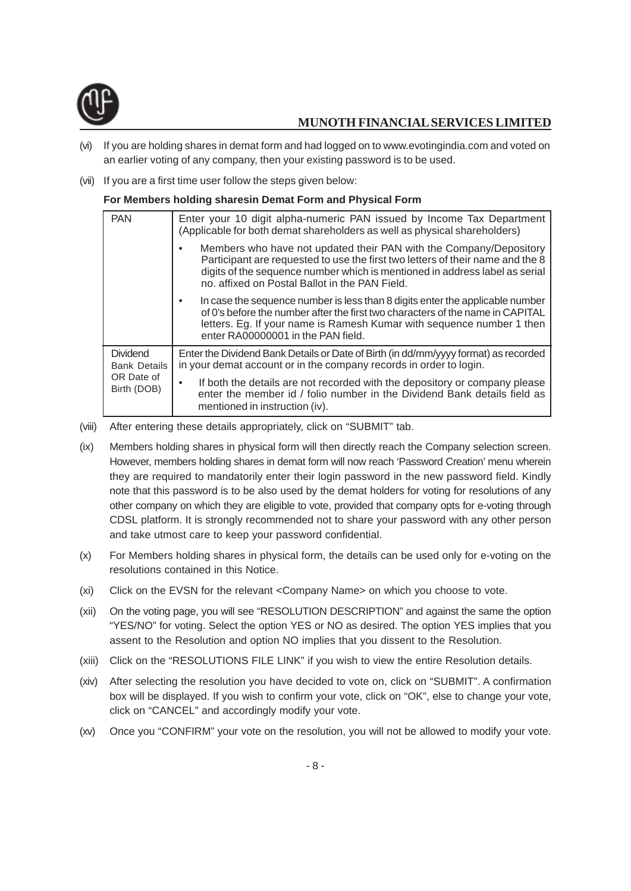

- (vi) If you are holding shares in demat form and had logged on to www.evotingindia.com and voted on an earlier voting of any company, then your existing password is to be used.
- (vii) If you are a first time user follow the steps given below:

#### **For Members holding sharesin Demat Form and Physical Form**

| <b>PAN</b>                                                          | Enter your 10 digit alpha-numeric PAN issued by Income Tax Department<br>(Applicable for both demat shareholders as well as physical shareholders)                                                                                                                                    |  |  |  |  |
|---------------------------------------------------------------------|---------------------------------------------------------------------------------------------------------------------------------------------------------------------------------------------------------------------------------------------------------------------------------------|--|--|--|--|
|                                                                     | Members who have not updated their PAN with the Company/Depository<br>Participant are requested to use the first two letters of their name and the 8<br>digits of the sequence number which is mentioned in address label as serial<br>no. affixed on Postal Ballot in the PAN Field. |  |  |  |  |
|                                                                     | In case the sequence number is less than 8 digits enter the applicable number<br>of 0's before the number after the first two characters of the name in CAPITAL<br>letters. Eg. If your name is Ramesh Kumar with sequence number 1 then<br>enter RA00000001 in the PAN field.        |  |  |  |  |
| <b>Dividend</b><br><b>Bank Details</b><br>OR Date of<br>Birth (DOB) | Enter the Dividend Bank Details or Date of Birth (in dd/mm/yyyy format) as recorded<br>in your demat account or in the company records in order to login.                                                                                                                             |  |  |  |  |
|                                                                     | If both the details are not recorded with the depository or company please<br>٠<br>enter the member id / folio number in the Dividend Bank details field as<br>mentioned in instruction (iv).                                                                                         |  |  |  |  |

- (viii) After entering these details appropriately, click on "SUBMIT" tab.
- (ix) Members holding shares in physical form will then directly reach the Company selection screen. However, members holding shares in demat form will now reach 'Password Creation' menu wherein they are required to mandatorily enter their login password in the new password field. Kindly note that this password is to be also used by the demat holders for voting for resolutions of any other company on which they are eligible to vote, provided that company opts for e-voting through CDSL platform. It is strongly recommended not to share your password with any other person and take utmost care to keep your password confidential.
- (x) For Members holding shares in physical form, the details can be used only for e-voting on the resolutions contained in this Notice.
- (xi) Click on the EVSN for the relevant <Company Name> on which you choose to vote.
- (xii) On the voting page, you will see "RESOLUTION DESCRIPTION" and against the same the option "YES/NO" for voting. Select the option YES or NO as desired. The option YES implies that you assent to the Resolution and option NO implies that you dissent to the Resolution.
- (xiii) Click on the "RESOLUTIONS FILE LINK" if you wish to view the entire Resolution details.
- (xiv) After selecting the resolution you have decided to vote on, click on "SUBMIT". A confirmation box will be displayed. If you wish to confirm your vote, click on "OK", else to change your vote, click on "CANCEL" and accordingly modify your vote.
- (xv) Once you "CONFIRM" your vote on the resolution, you will not be allowed to modify your vote.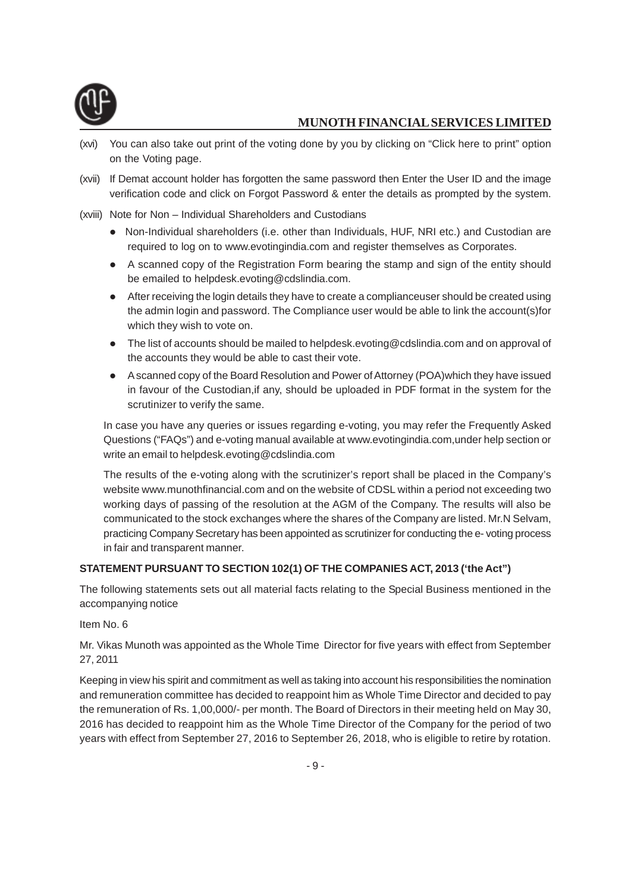

- (xvi) You can also take out print of the voting done by you by clicking on "Click here to print" option on the Voting page.
- (xvii) If Demat account holder has forgotten the same password then Enter the User ID and the image verification code and click on Forgot Password & enter the details as prompted by the system.
- (xviii) Note for Non Individual Shareholders and Custodians
	- Non-Individual shareholders (i.e. other than Individuals, HUF, NRI etc.) and Custodian are required to log on to www.evotingindia.com and register themselves as Corporates.
	- A scanned copy of the Registration Form bearing the stamp and sign of the entity should be emailed to helpdesk.evoting@cdslindia.com.
	- After receiving the login details they have to create a complianceuser should be created using the admin login and password. The Compliance user would be able to link the account(s)for which they wish to vote on.
	- The list of accounts should be mailed to helpdesk.evoting@cdslindia.com and on approval of the accounts they would be able to cast their vote.
	- A scanned copy of the Board Resolution and Power of Attorney (POA)which they have issued in favour of the Custodian,if any, should be uploaded in PDF format in the system for the scrutinizer to verify the same.

In case you have any queries or issues regarding e-voting, you may refer the Frequently Asked Questions ("FAQs") and e-voting manual available at www.evotingindia.com,under help section or write an email to helpdesk.evoting@cdslindia.com

The results of the e-voting along with the scrutinizer's report shall be placed in the Company's website www.munothfinancial.com and on the website of CDSL within a period not exceeding two working days of passing of the resolution at the AGM of the Company. The results will also be communicated to the stock exchanges where the shares of the Company are listed. Mr.N Selvam, practicing Company Secretary has been appointed as scrutinizer for conducting the e- voting process in fair and transparent manner.

## **STATEMENT PURSUANT TO SECTION 102(1) OF THE COMPANIES ACT, 2013 ('the Act")**

The following statements sets out all material facts relating to the Special Business mentioned in the accompanying notice

## Item No. 6

Mr. Vikas Munoth was appointed as the Whole Time Director for five years with effect from September 27, 2011

Keeping in view his spirit and commitment as well as taking into account his responsibilities the nomination and remuneration committee has decided to reappoint him as Whole Time Director and decided to pay the remuneration of Rs. 1,00,000/- per month. The Board of Directors in their meeting held on May 30, 2016 has decided to reappoint him as the Whole Time Director of the Company for the period of two years with effect from September 27, 2016 to September 26, 2018, who is eligible to retire by rotation.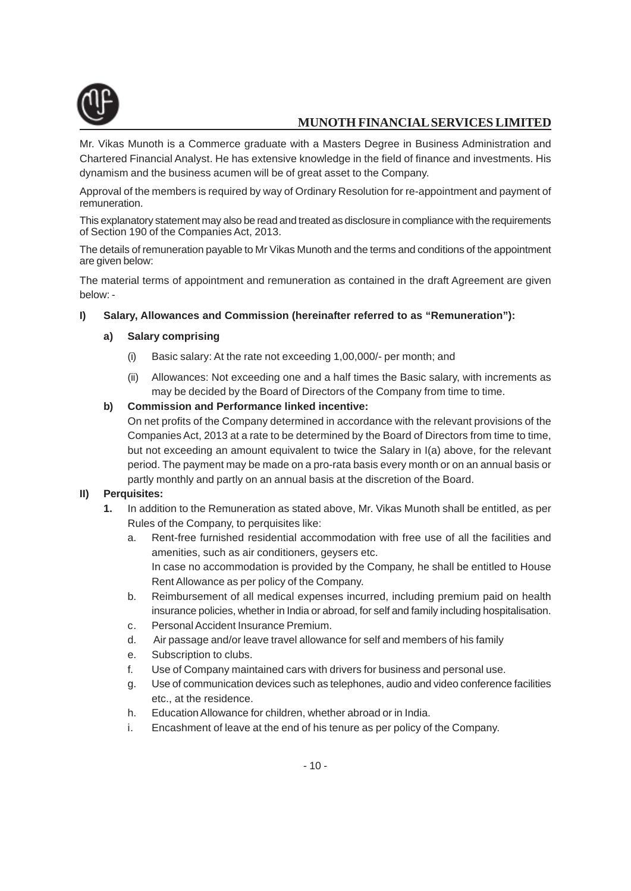

Mr. Vikas Munoth is a Commerce graduate with a Masters Degree in Business Administration and Chartered Financial Analyst. He has extensive knowledge in the field of finance and investments. His dynamism and the business acumen will be of great asset to the Company.

Approval of the members is required by way of Ordinary Resolution for re-appointment and payment of remuneration.

This explanatory statement may also be read and treated as disclosure in compliance with the requirements of Section 190 of the Companies Act, 2013.

The details of remuneration payable to Mr Vikas Munoth and the terms and conditions of the appointment are given below:

The material terms of appointment and remuneration as contained in the draft Agreement are given below: -

**I) Salary, Allowances and Commission (hereinafter referred to as "Remuneration"):**

## **a) Salary comprising**

- (i) Basic salary: At the rate not exceeding 1,00,000/- per month; and
- (ii) Allowances: Not exceeding one and a half times the Basic salary, with increments as may be decided by the Board of Directors of the Company from time to time.

#### **b) Commission and Performance linked incentive:**

On net profits of the Company determined in accordance with the relevant provisions of the Companies Act, 2013 at a rate to be determined by the Board of Directors from time to time, but not exceeding an amount equivalent to twice the Salary in I(a) above, for the relevant period. The payment may be made on a pro-rata basis every month or on an annual basis or partly monthly and partly on an annual basis at the discretion of the Board.

## **II) Perquisites:**

- **1.** In addition to the Remuneration as stated above, Mr. Vikas Munoth shall be entitled, as per Rules of the Company, to perquisites like:
	- a. Rent-free furnished residential accommodation with free use of all the facilities and amenities, such as air conditioners, geysers etc. In case no accommodation is provided by the Company, he shall be entitled to House Rent Allowance as per policy of the Company.
	- b. Reimbursement of all medical expenses incurred, including premium paid on health insurance policies, whether in India or abroad, for self and family including hospitalisation.
	- c. Personal Accident Insurance Premium.
	- d. Air passage and/or leave travel allowance for self and members of his family
	- e. Subscription to clubs.
	- f. Use of Company maintained cars with drivers for business and personal use.
	- g. Use of communication devices such as telephones, audio and video conference facilities etc., at the residence.
	- h. Education Allowance for children, whether abroad or in India.
	- i. Encashment of leave at the end of his tenure as per policy of the Company.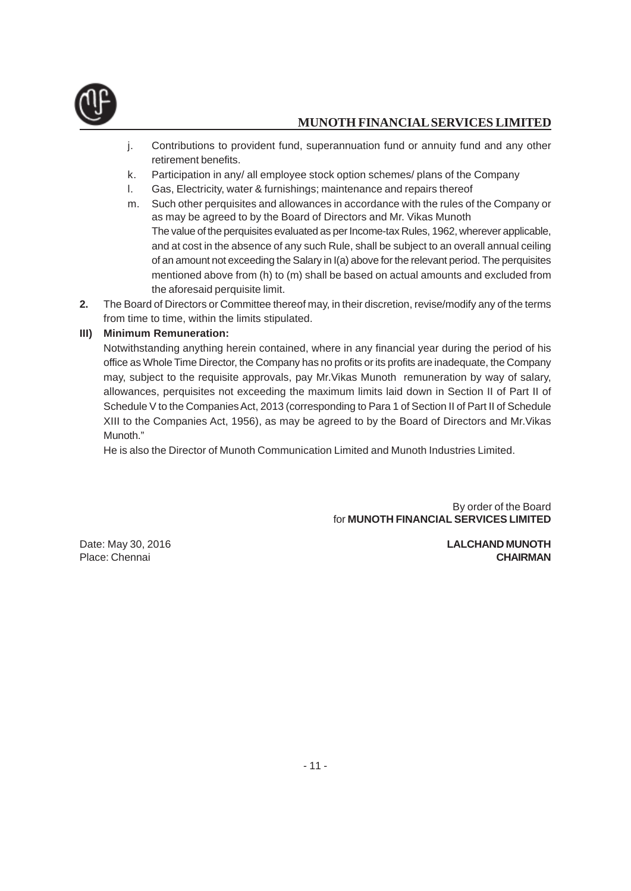

- j. Contributions to provident fund, superannuation fund or annuity fund and any other retirement benefits.
- k. Participation in any/ all employee stock option schemes/ plans of the Company
- l. Gas, Electricity, water & furnishings; maintenance and repairs thereof
- m. Such other perquisites and allowances in accordance with the rules of the Company or as may be agreed to by the Board of Directors and Mr. Vikas Munoth The value of the perquisites evaluated as per Income-tax Rules, 1962, wherever applicable, and at cost in the absence of any such Rule, shall be subject to an overall annual ceiling of an amount not exceeding the Salary in I(a) above for the relevant period. The perquisites mentioned above from (h) to (m) shall be based on actual amounts and excluded from the aforesaid perquisite limit.
- **2.** The Board of Directors or Committee thereof may, in their discretion, revise/modify any of the terms from time to time, within the limits stipulated.

## **III) Minimum Remuneration:**

Notwithstanding anything herein contained, where in any financial year during the period of his office as Whole Time Director, the Company has no profits or its profits are inadequate, the Company may, subject to the requisite approvals, pay Mr.Vikas Munoth remuneration by way of salary, allowances, perquisites not exceeding the maximum limits laid down in Section II of Part II of Schedule V to the Companies Act, 2013 (corresponding to Para 1 of Section II of Part II of Schedule XIII to the Companies Act, 1956), as may be agreed to by the Board of Directors and Mr.Vikas Munoth."

He is also the Director of Munoth Communication Limited and Munoth Industries Limited.

By order of the Board for **MUNOTH FINANCIAL SERVICES LIMITED**

Date: May 30, 2016 **LALCHAND MUNOTH** Place: Chennai **CHAIRMAN**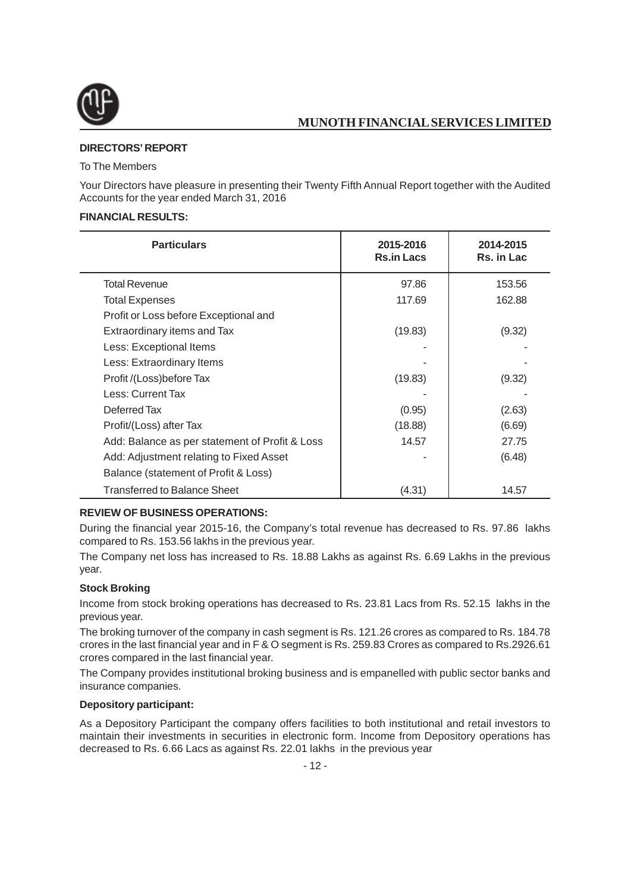

## **DIRECTORS' REPORT**

#### To The Members

Your Directors have pleasure in presenting their Twenty Fifth Annual Report together with the Audited Accounts for the year ended March 31, 2016

## **FINANCIAL RESULTS:**

| <b>Particulars</b>                             | 2015-2016<br><b>Rs.in Lacs</b> | 2014-2015<br>Rs. in Lac |
|------------------------------------------------|--------------------------------|-------------------------|
| <b>Total Revenue</b>                           | 97.86                          | 153.56                  |
| <b>Total Expenses</b>                          | 117.69                         | 162.88                  |
| Profit or Loss before Exceptional and          |                                |                         |
| Extraordinary items and Tax                    | (19.83)                        | (9.32)                  |
| Less: Exceptional Items                        |                                |                         |
| Less: Extraordinary Items                      |                                |                         |
| Profit/(Loss)before Tax                        | (19.83)                        | (9.32)                  |
| Less: Current Tax                              |                                |                         |
| Deferred Tax                                   | (0.95)                         | (2.63)                  |
| Profit/(Loss) after Tax                        | (18.88)                        | (6.69)                  |
| Add: Balance as per statement of Profit & Loss | 14.57                          | 27.75                   |
| Add: Adjustment relating to Fixed Asset        |                                | (6.48)                  |
| Balance (statement of Profit & Loss)           |                                |                         |
| <b>Transferred to Balance Sheet</b>            | (4.31)                         | 14.57                   |

## **REVIEW OF BUSINESS OPERATIONS:**

During the financial year 2015-16, the Company's total revenue has decreased to Rs. 97.86 lakhs compared to Rs. 153.56 lakhs in the previous year.

The Company net loss has increased to Rs. 18.88 Lakhs as against Rs. 6.69 Lakhs in the previous year.

## **Stock Broking**

Income from stock broking operations has decreased to Rs. 23.81 Lacs from Rs. 52.15 lakhs in the previous year.

The broking turnover of the company in cash segment is Rs. 121.26 crores as compared to Rs. 184.78 crores in the last financial year and in F & O segment is Rs. 259.83 Crores as compared to Rs.2926.61 crores compared in the last financial year.

The Company provides institutional broking business and is empanelled with public sector banks and insurance companies.

#### **Depository participant:**

As a Depository Participant the company offers facilities to both institutional and retail investors to maintain their investments in securities in electronic form. Income from Depository operations has decreased to Rs. 6.66 Lacs as against Rs. 22.01 lakhs in the previous year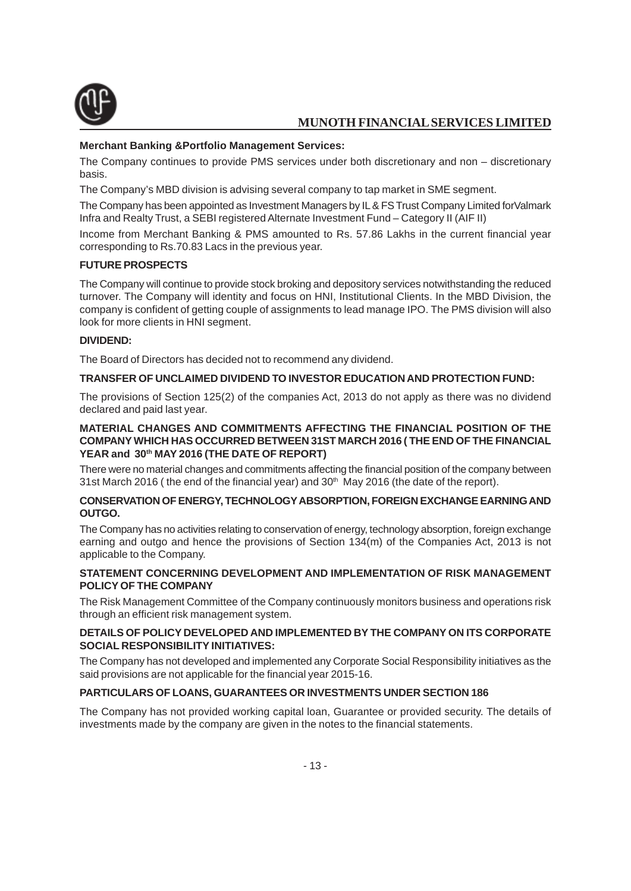

## **Merchant Banking &Portfolio Management Services:**

The Company continues to provide PMS services under both discretionary and non – discretionary basis.

The Company's MBD division is advising several company to tap market in SME segment.

The Company has been appointed as Investment Managers by IL & FS Trust Company Limited forValmark Infra and Realty Trust, a SEBI registered Alternate Investment Fund – Category II (AIF II)

Income from Merchant Banking & PMS amounted to Rs. 57.86 Lakhs in the current financial year corresponding to Rs.70.83 Lacs in the previous year.

## **FUTURE PROSPECTS**

The Company will continue to provide stock broking and depository services notwithstanding the reduced turnover. The Company will identity and focus on HNI, Institutional Clients. In the MBD Division, the company is confident of getting couple of assignments to lead manage IPO. The PMS division will also look for more clients in HNI segment.

#### **DIVIDEND:**

The Board of Directors has decided not to recommend any dividend.

#### **TRANSFER OF UNCLAIMED DIVIDEND TO INVESTOR EDUCATION AND PROTECTION FUND:**

The provisions of Section 125(2) of the companies Act, 2013 do not apply as there was no dividend declared and paid last year.

#### **MATERIAL CHANGES AND COMMITMENTS AFFECTING THE FINANCIAL POSITION OF THE COMPANY WHICH HAS OCCURRED BETWEEN 31ST MARCH 2016 ( THE END OF THE FINANCIAL YEAR and 30th MAY 2016 (THE DATE OF REPORT)**

There were no material changes and commitments affecting the financial position of the company between 31st March 2016 ( the end of the financial year) and  $30<sup>th</sup>$  May 2016 (the date of the report).

#### **CONSERVATION OF ENERGY, TECHNOLOGYABSORPTION, FOREIGN EXCHANGE EARNING AND OUTGO.**

The Company has no activities relating to conservation of energy, technology absorption, foreign exchange earning and outgo and hence the provisions of Section 134(m) of the Companies Act, 2013 is not applicable to the Company.

## **STATEMENT CONCERNING DEVELOPMENT AND IMPLEMENTATION OF RISK MANAGEMENT POLICY OF THE COMPANY**

The Risk Management Committee of the Company continuously monitors business and operations risk through an efficient risk management system.

#### **DETAILS OF POLICY DEVELOPED AND IMPLEMENTED BY THE COMPANY ON ITS CORPORATE SOCIAL RESPONSIBILITY INITIATIVES:**

The Company has not developed and implemented any Corporate Social Responsibility initiatives as the said provisions are not applicable for the financial year 2015-16.

#### **PARTICULARS OF LOANS, GUARANTEES OR INVESTMENTS UNDER SECTION 186**

The Company has not provided working capital loan, Guarantee or provided security. The details of investments made by the company are given in the notes to the financial statements.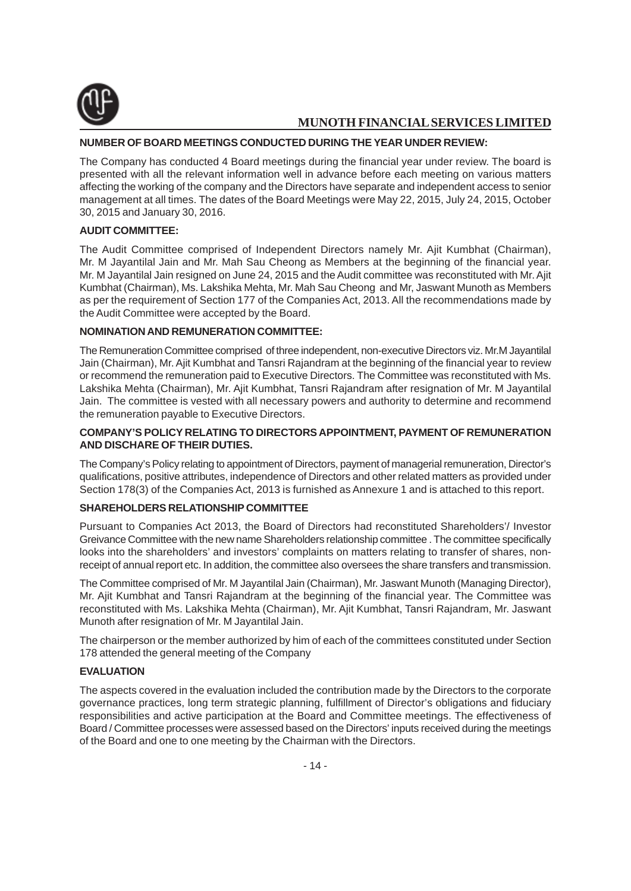

## **NUMBER OF BOARD MEETINGS CONDUCTED DURING THE YEAR UNDER REVIEW:**

The Company has conducted 4 Board meetings during the financial year under review. The board is presented with all the relevant information well in advance before each meeting on various matters affecting the working of the company and the Directors have separate and independent access to senior management at all times. The dates of the Board Meetings were May 22, 2015, July 24, 2015, October 30, 2015 and January 30, 2016.

## **AUDIT COMMITTEE:**

The Audit Committee comprised of Independent Directors namely Mr. Ajit Kumbhat (Chairman), Mr. M Jayantilal Jain and Mr. Mah Sau Cheong as Members at the beginning of the financial year. Mr. M Jayantilal Jain resigned on June 24, 2015 and the Audit committee was reconstituted with Mr. Ajit Kumbhat (Chairman), Ms. Lakshika Mehta, Mr. Mah Sau Cheong and Mr, Jaswant Munoth as Members as per the requirement of Section 177 of the Companies Act, 2013. All the recommendations made by the Audit Committee were accepted by the Board.

## **NOMINATION AND REMUNERATION COMMITTEE:**

The Remuneration Committee comprised of three independent, non-executive Directors viz. Mr.M Jayantilal Jain (Chairman), Mr. Ajit Kumbhat and Tansri Rajandram at the beginning of the financial year to review or recommend the remuneration paid to Executive Directors. The Committee was reconstituted with Ms. Lakshika Mehta (Chairman), Mr. Ajit Kumbhat, Tansri Rajandram after resignation of Mr. M Jayantilal Jain. The committee is vested with all necessary powers and authority to determine and recommend the remuneration payable to Executive Directors.

#### **COMPANY'S POLICY RELATING TO DIRECTORS APPOINTMENT, PAYMENT OF REMUNERATION AND DISCHARE OF THEIR DUTIES.**

The Company's Policy relating to appointment of Directors, payment of managerial remuneration, Director's qualifications, positive attributes, independence of Directors and other related matters as provided under Section 178(3) of the Companies Act, 2013 is furnished as Annexure 1 and is attached to this report.

## **SHAREHOLDERS RELATIONSHIP COMMITTEE**

Pursuant to Companies Act 2013, the Board of Directors had reconstituted Shareholders'/ Investor Greivance Committee with the new name Shareholders relationship committee . The committee specifically looks into the shareholders' and investors' complaints on matters relating to transfer of shares, nonreceipt of annual report etc. In addition, the committee also oversees the share transfers and transmission.

The Committee comprised of Mr. M Jayantilal Jain (Chairman), Mr. Jaswant Munoth (Managing Director), Mr. Ajit Kumbhat and Tansri Rajandram at the beginning of the financial year. The Committee was reconstituted with Ms. Lakshika Mehta (Chairman), Mr. Ajit Kumbhat, Tansri Rajandram, Mr. Jaswant Munoth after resignation of Mr. M Jayantilal Jain.

The chairperson or the member authorized by him of each of the committees constituted under Section 178 attended the general meeting of the Company

## **EVALUATION**

The aspects covered in the evaluation included the contribution made by the Directors to the corporate governance practices, long term strategic planning, fulfillment of Director's obligations and fiduciary responsibilities and active participation at the Board and Committee meetings. The effectiveness of Board / Committee processes were assessed based on the Directors' inputs received during the meetings of the Board and one to one meeting by the Chairman with the Directors.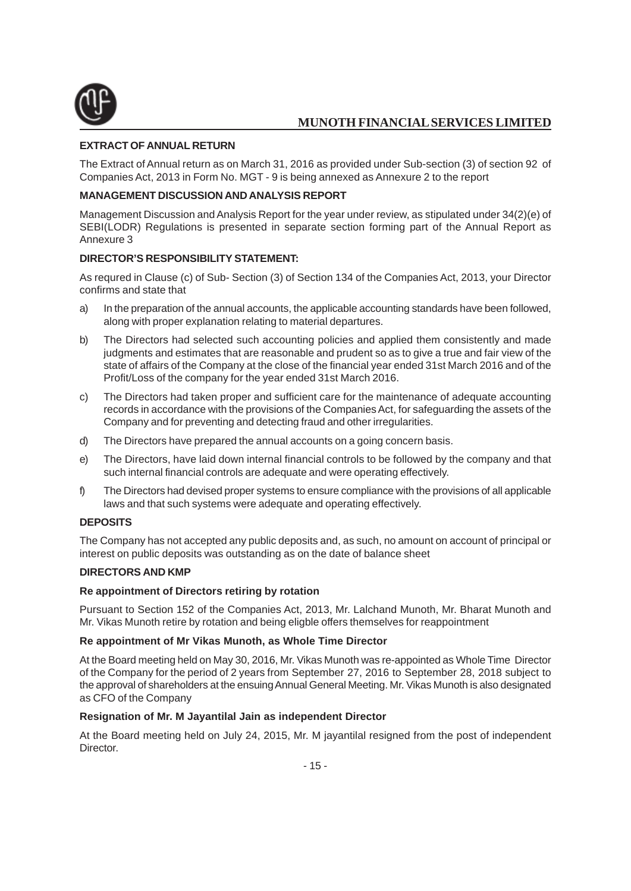

## **EXTRACT OF ANNUAL RETURN**

The Extract of Annual return as on March 31, 2016 as provided under Sub-section (3) of section 92 of Companies Act, 2013 in Form No. MGT - 9 is being annexed as Annexure 2 to the report

## **MANAGEMENT DISCUSSION AND ANALYSIS REPORT**

Management Discussion and Analysis Report for the year under review, as stipulated under 34(2)(e) of SEBI(LODR) Regulations is presented in separate section forming part of the Annual Report as Annexure 3

## **DIRECTOR'S RESPONSIBILITY STATEMENT:**

As requred in Clause (c) of Sub- Section (3) of Section 134 of the Companies Act, 2013, your Director confirms and state that

- a) In the preparation of the annual accounts, the applicable accounting standards have been followed, along with proper explanation relating to material departures.
- b) The Directors had selected such accounting policies and applied them consistently and made judgments and estimates that are reasonable and prudent so as to give a true and fair view of the state of affairs of the Company at the close of the financial year ended 31st March 2016 and of the Profit/Loss of the company for the year ended 31st March 2016.
- c) The Directors had taken proper and sufficient care for the maintenance of adequate accounting records in accordance with the provisions of the Companies Act, for safeguarding the assets of the Company and for preventing and detecting fraud and other irregularities.
- d) The Directors have prepared the annual accounts on a going concern basis.
- e) The Directors, have laid down internal financial controls to be followed by the company and that such internal financial controls are adequate and were operating effectively.
- f) The Directors had devised proper systems to ensure compliance with the provisions of all applicable laws and that such systems were adequate and operating effectively.

## **DEPOSITS**

The Company has not accepted any public deposits and, as such, no amount on account of principal or interest on public deposits was outstanding as on the date of balance sheet

## **DIRECTORS AND KMP**

## **Re appointment of Directors retiring by rotation**

Pursuant to Section 152 of the Companies Act, 2013, Mr. Lalchand Munoth, Mr. Bharat Munoth and Mr. Vikas Munoth retire by rotation and being eligble offers themselves for reappointment

## **Re appointment of Mr Vikas Munoth, as Whole Time Director**

At the Board meeting held on May 30, 2016, Mr. Vikas Munoth was re-appointed as Whole Time Director of the Company for the period of 2 years from September 27, 2016 to September 28, 2018 subject to the approval of shareholders at the ensuing Annual General Meeting. Mr. Vikas Munoth is also designated as CFO of the Company

## **Resignation of Mr. M Jayantilal Jain as independent Director**

At the Board meeting held on July 24, 2015, Mr. M jayantilal resigned from the post of independent Director.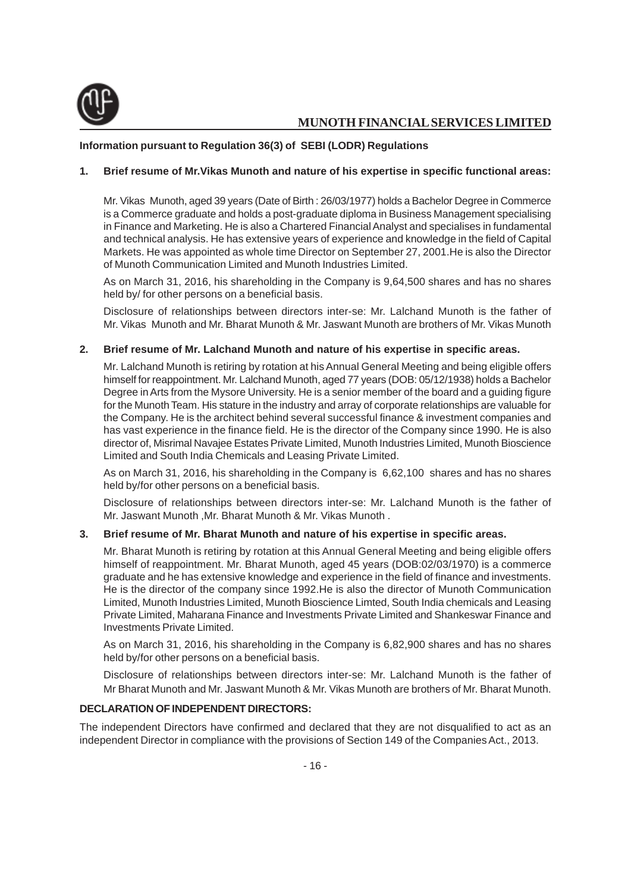

## **Information pursuant to Regulation 36(3) of SEBI (LODR) Regulations**

## **1. Brief resume of Mr.Vikas Munoth and nature of his expertise in specific functional areas:**

Mr. Vikas Munoth, aged 39 years (Date of Birth : 26/03/1977) holds a Bachelor Degree in Commerce is a Commerce graduate and holds a post-graduate diploma in Business Management specialising in Finance and Marketing. He is also a Chartered Financial Analyst and specialises in fundamental and technical analysis. He has extensive years of experience and knowledge in the field of Capital Markets. He was appointed as whole time Director on September 27, 2001.He is also the Director of Munoth Communication Limited and Munoth Industries Limited.

As on March 31, 2016, his shareholding in the Company is 9,64,500 shares and has no shares held by/ for other persons on a beneficial basis.

Disclosure of relationships between directors inter-se: Mr. Lalchand Munoth is the father of Mr. Vikas Munoth and Mr. Bharat Munoth & Mr. Jaswant Munoth are brothers of Mr. Vikas Munoth

#### **2. Brief resume of Mr. Lalchand Munoth and nature of his expertise in specific areas.**

Mr. Lalchand Munoth is retiring by rotation at his Annual General Meeting and being eligible offers himself for reappointment. Mr. Lalchand Munoth, aged 77 years (DOB: 05/12/1938) holds a Bachelor Degree in Arts from the Mysore University. He is a senior member of the board and a guiding figure for the Munoth Team. His stature in the industry and array of corporate relationships are valuable for the Company. He is the architect behind several successful finance & investment companies and has vast experience in the finance field. He is the director of the Company since 1990. He is also director of, Misrimal Navajee Estates Private Limited, Munoth Industries Limited, Munoth Bioscience Limited and South India Chemicals and Leasing Private Limited.

As on March 31, 2016, his shareholding in the Company is 6,62,100 shares and has no shares held by/for other persons on a beneficial basis.

Disclosure of relationships between directors inter-se: Mr. Lalchand Munoth is the father of Mr. Jaswant Munoth ,Mr. Bharat Munoth & Mr. Vikas Munoth .

#### **3. Brief resume of Mr. Bharat Munoth and nature of his expertise in specific areas.**

Mr. Bharat Munoth is retiring by rotation at this Annual General Meeting and being eligible offers himself of reappointment. Mr. Bharat Munoth, aged 45 years (DOB:02/03/1970) is a commerce graduate and he has extensive knowledge and experience in the field of finance and investments. He is the director of the company since 1992.He is also the director of Munoth Communication Limited, Munoth Industries Limited, Munoth Bioscience Limted, South India chemicals and Leasing Private Limited, Maharana Finance and Investments Private Limited and Shankeswar Finance and Investments Private Limited.

As on March 31, 2016, his shareholding in the Company is 6,82,900 shares and has no shares held by/for other persons on a beneficial basis.

Disclosure of relationships between directors inter-se: Mr. Lalchand Munoth is the father of Mr Bharat Munoth and Mr. Jaswant Munoth & Mr. Vikas Munoth are brothers of Mr. Bharat Munoth.

## **DECLARATION OF INDEPENDENT DIRECTORS:**

The independent Directors have confirmed and declared that they are not disqualified to act as an independent Director in compliance with the provisions of Section 149 of the Companies Act., 2013.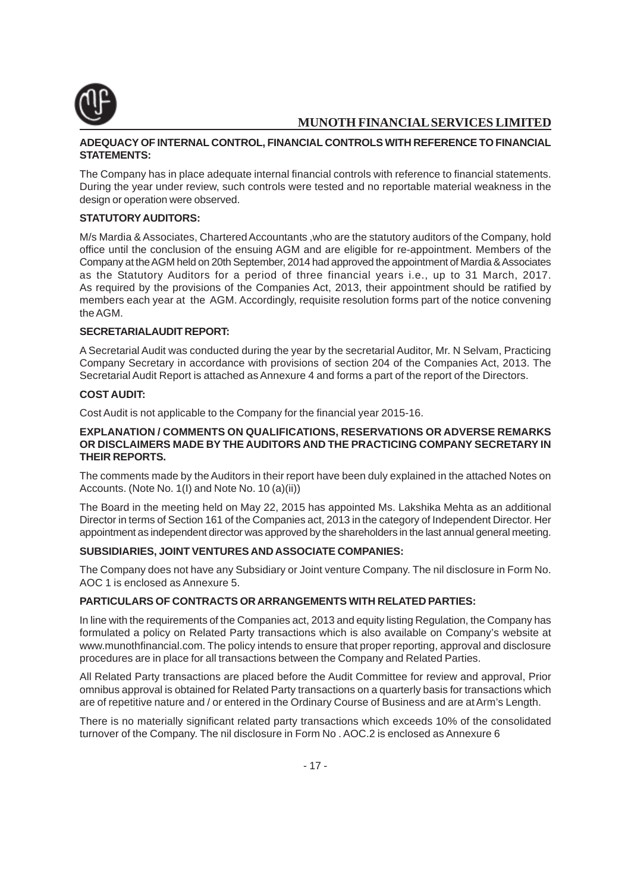

## **ADEQUACY OF INTERNAL CONTROL, FINANCIAL CONTROLS WITH REFERENCE TO FINANCIAL STATEMENTS:**

The Company has in place adequate internal financial controls with reference to financial statements. During the year under review, such controls were tested and no reportable material weakness in the design or operation were observed.

## **STATUTORY AUDITORS:**

M/s Mardia & Associates, Chartered Accountants ,who are the statutory auditors of the Company, hold office until the conclusion of the ensuing AGM and are eligible for re-appointment. Members of the Company at the AGM held on 20th September, 2014 had approved the appointment of Mardia & Associates as the Statutory Auditors for a period of three financial years i.e., up to 31 March, 2017. As required by the provisions of the Companies Act, 2013, their appointment should be ratified by members each year at the AGM. Accordingly, requisite resolution forms part of the notice convening the AGM.

## **SECRETARIALAUDIT REPORT:**

A Secretarial Audit was conducted during the year by the secretarial Auditor, Mr. N Selvam, Practicing Company Secretary in accordance with provisions of section 204 of the Companies Act, 2013. The Secretarial Audit Report is attached as Annexure 4 and forms a part of the report of the Directors.

#### **COST AUDIT:**

Cost Audit is not applicable to the Company for the financial year 2015-16.

#### **EXPLANATION / COMMENTS ON QUALIFICATIONS, RESERVATIONS OR ADVERSE REMARKS OR DISCLAIMERS MADE BY THE AUDITORS AND THE PRACTICING COMPANY SECRETARY IN THEIR REPORTS.**

The comments made by the Auditors in their report have been duly explained in the attached Notes on Accounts. (Note No. 1(I) and Note No. 10 (a)(ii))

The Board in the meeting held on May 22, 2015 has appointed Ms. Lakshika Mehta as an additional Director in terms of Section 161 of the Companies act, 2013 in the category of Independent Director. Her appointment as independent director was approved by the shareholders in the last annual general meeting.

## **SUBSIDIARIES, JOINT VENTURES AND ASSOCIATE COMPANIES:**

The Company does not have any Subsidiary or Joint venture Company. The nil disclosure in Form No. AOC 1 is enclosed as Annexure 5.

## **PARTICULARS OF CONTRACTS OR ARRANGEMENTS WITH RELATED PARTIES:**

In line with the requirements of the Companies act, 2013 and equity listing Regulation, the Company has formulated a policy on Related Party transactions which is also available on Company's website at www.munothfinancial.com. The policy intends to ensure that proper reporting, approval and disclosure procedures are in place for all transactions between the Company and Related Parties.

All Related Party transactions are placed before the Audit Committee for review and approval, Prior omnibus approval is obtained for Related Party transactions on a quarterly basis for transactions which are of repetitive nature and / or entered in the Ordinary Course of Business and are at Arm's Length.

There is no materially significant related party transactions which exceeds 10% of the consolidated turnover of the Company. The nil disclosure in Form No . AOC.2 is enclosed as Annexure 6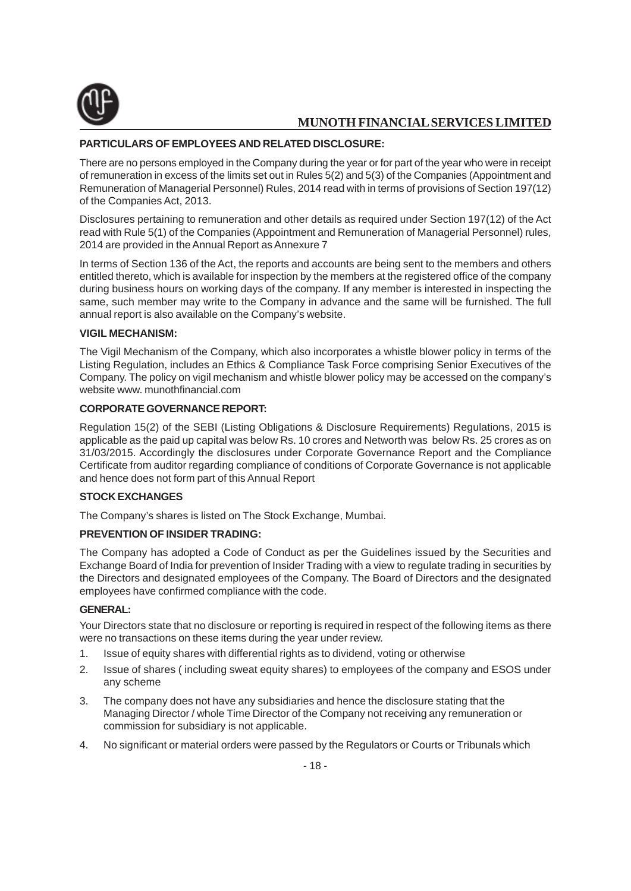

## **PARTICULARS OF EMPLOYEES AND RELATED DISCLOSURE:**

There are no persons employed in the Company during the year or for part of the year who were in receipt of remuneration in excess of the limits set out in Rules 5(2) and 5(3) of the Companies (Appointment and Remuneration of Managerial Personnel) Rules, 2014 read with in terms of provisions of Section 197(12) of the Companies Act, 2013.

Disclosures pertaining to remuneration and other details as required under Section 197(12) of the Act read with Rule 5(1) of the Companies (Appointment and Remuneration of Managerial Personnel) rules, 2014 are provided in the Annual Report as Annexure 7

In terms of Section 136 of the Act, the reports and accounts are being sent to the members and others entitled thereto, which is available for inspection by the members at the registered office of the company during business hours on working days of the company. If any member is interested in inspecting the same, such member may write to the Company in advance and the same will be furnished. The full annual report is also available on the Company's website.

## **VIGIL MECHANISM:**

The Vigil Mechanism of the Company, which also incorporates a whistle blower policy in terms of the Listing Regulation, includes an Ethics & Compliance Task Force comprising Senior Executives of the Company. The policy on vigil mechanism and whistle blower policy may be accessed on the company's website www. munothfinancial.com

## **CORPORATE GOVERNANCE REPORT:**

Regulation 15(2) of the SEBI (Listing Obligations & Disclosure Requirements) Regulations, 2015 is applicable as the paid up capital was below Rs. 10 crores and Networth was below Rs. 25 crores as on 31/03/2015. Accordingly the disclosures under Corporate Governance Report and the Compliance Certificate from auditor regarding compliance of conditions of Corporate Governance is not applicable and hence does not form part of this Annual Report

## **STOCK EXCHANGES**

The Company's shares is listed on The Stock Exchange, Mumbai.

## **PREVENTION OF INSIDER TRADING:**

The Company has adopted a Code of Conduct as per the Guidelines issued by the Securities and Exchange Board of India for prevention of Insider Trading with a view to regulate trading in securities by the Directors and designated employees of the Company. The Board of Directors and the designated employees have confirmed compliance with the code.

## **GENERAL:**

Your Directors state that no disclosure or reporting is required in respect of the following items as there were no transactions on these items during the year under review.

- 1. Issue of equity shares with differential rights as to dividend, voting or otherwise
- 2. Issue of shares ( including sweat equity shares) to employees of the company and ESOS under any scheme
- 3. The company does not have any subsidiaries and hence the disclosure stating that the Managing Director / whole Time Director of the Company not receiving any remuneration or commission for subsidiary is not applicable.
- 4. No significant or material orders were passed by the Regulators or Courts or Tribunals which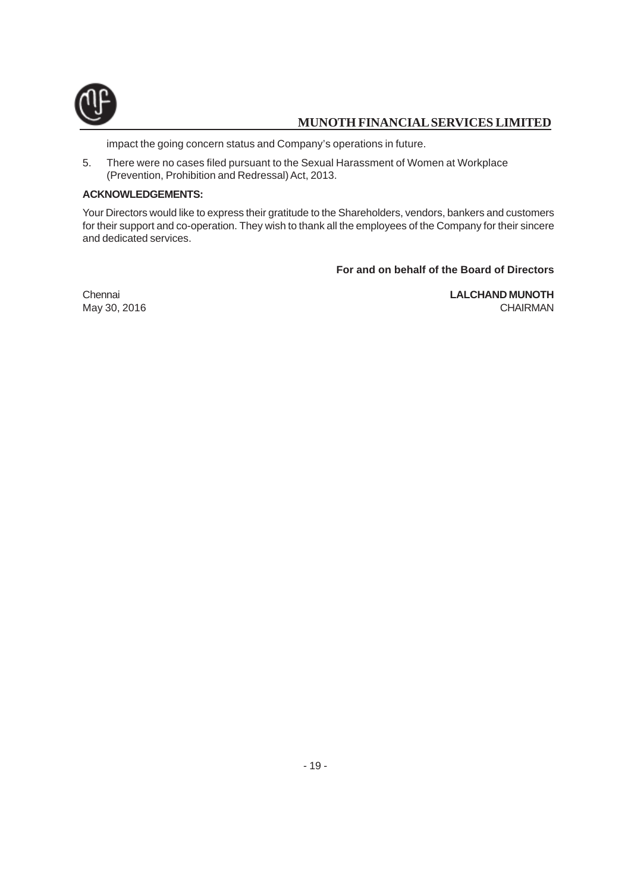

impact the going concern status and Company's operations in future.

5. There were no cases filed pursuant to the Sexual Harassment of Women at Workplace (Prevention, Prohibition and Redressal) Act, 2013.

#### **ACKNOWLEDGEMENTS:**

Your Directors would like to express their gratitude to the Shareholders, vendors, bankers and customers for their support and co-operation. They wish to thank all the employees of the Company for their sincere and dedicated services.

**For and on behalf of the Board of Directors**

May 30, 2016

Chennai **LALCHAND MUNOTH**<br>May 30, 2016 **CHAIRMAN**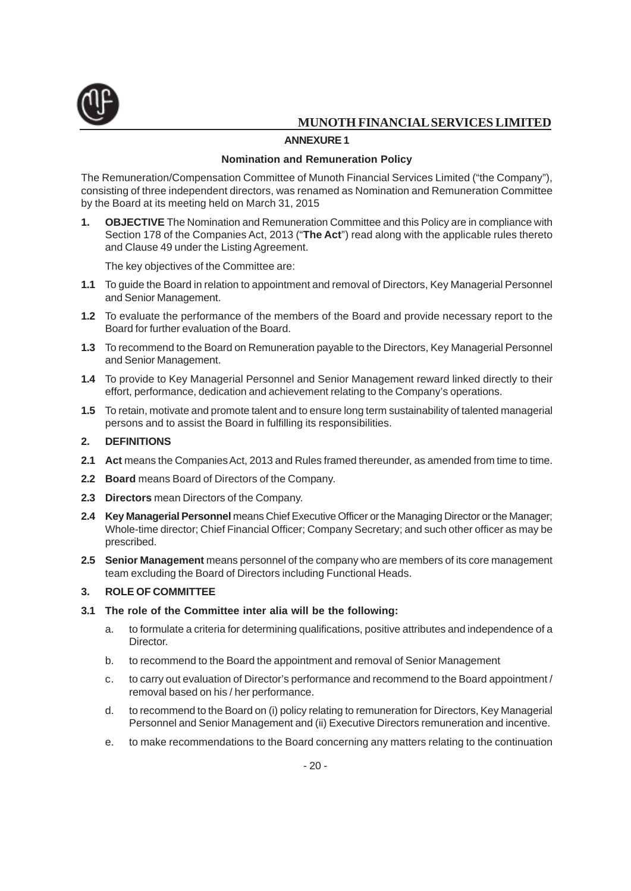

## **ANNEXURE 1**

## **Nomination and Remuneration Policy**

The Remuneration/Compensation Committee of Munoth Financial Services Limited ("the Company"), consisting of three independent directors, was renamed as Nomination and Remuneration Committee by the Board at its meeting held on March 31, 2015

**1. OBJECTIVE** The Nomination and Remuneration Committee and this Policy are in compliance with Section 178 of the Companies Act, 2013 ("**The Act**") read along with the applicable rules thereto and Clause 49 under the Listing Agreement.

The key objectives of the Committee are:

- **1.1** To guide the Board in relation to appointment and removal of Directors, Key Managerial Personnel and Senior Management.
- **1.2** To evaluate the performance of the members of the Board and provide necessary report to the Board for further evaluation of the Board.
- **1.3** To recommend to the Board on Remuneration payable to the Directors, Key Managerial Personnel and Senior Management.
- **1.4** To provide to Key Managerial Personnel and Senior Management reward linked directly to their effort, performance, dedication and achievement relating to the Company's operations.
- **1.5** To retain, motivate and promote talent and to ensure long term sustainability of talented managerial persons and to assist the Board in fulfilling its responsibilities.

#### **2. DEFINITIONS**

- **2.1** Act means the Companies Act, 2013 and Rules framed thereunder, as amended from time to time.
- **2.2 Board** means Board of Directors of the Company.
- **2.3 Directors** mean Directors of the Company.
- **2.4 Key Managerial Personnel** means Chief Executive Officer or the Managing Director or the Manager; Whole-time director; Chief Financial Officer; Company Secretary; and such other officer as may be prescribed.
- **2.5 Senior Management** means personnel of the company who are members of its core management team excluding the Board of Directors including Functional Heads.

## **3. ROLE OF COMMITTEE**

- **3.1 The role of the Committee inter alia will be the following:**
	- a. to formulate a criteria for determining qualifications, positive attributes and independence of a Director.
	- b. to recommend to the Board the appointment and removal of Senior Management
	- c. to carry out evaluation of Director's performance and recommend to the Board appointment / removal based on his / her performance.
	- d. to recommend to the Board on (i) policy relating to remuneration for Directors, Key Managerial Personnel and Senior Management and (ii) Executive Directors remuneration and incentive.
	- e. to make recommendations to the Board concerning any matters relating to the continuation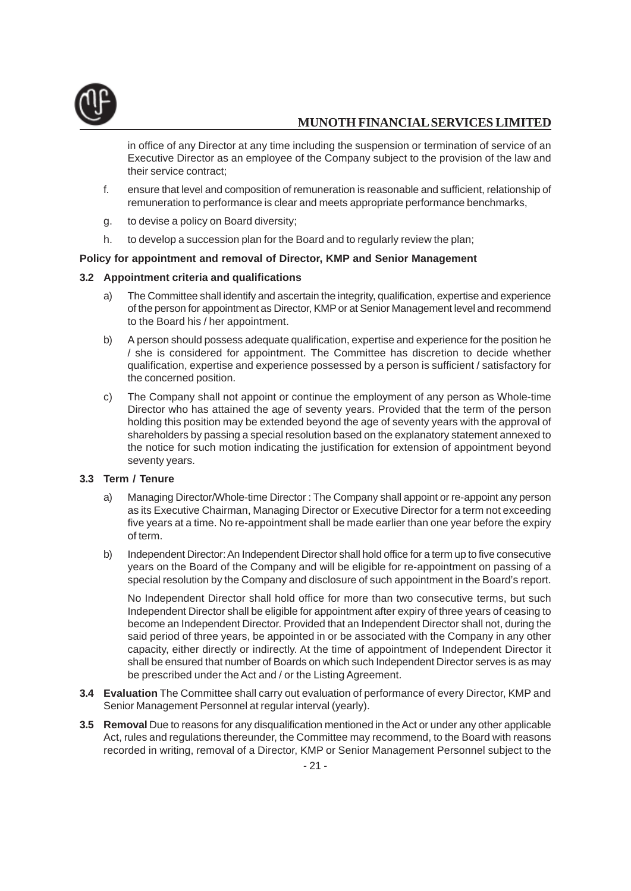

in office of any Director at any time including the suspension or termination of service of an Executive Director as an employee of the Company subject to the provision of the law and their service contract;

- f. ensure that level and composition of remuneration is reasonable and sufficient, relationship of remuneration to performance is clear and meets appropriate performance benchmarks,
- g. to devise a policy on Board diversity;
- h. to develop a succession plan for the Board and to regularly review the plan;

#### **Policy for appointment and removal of Director, KMP and Senior Management**

#### **3.2 Appointment criteria and qualifications**

- a) The Committee shall identify and ascertain the integrity, qualification, expertise and experience of the person for appointment as Director, KMP or at Senior Management level and recommend to the Board his / her appointment.
- b) A person should possess adequate qualification, expertise and experience for the position he / she is considered for appointment. The Committee has discretion to decide whether qualification, expertise and experience possessed by a person is sufficient / satisfactory for the concerned position.
- c) The Company shall not appoint or continue the employment of any person as Whole-time Director who has attained the age of seventy years. Provided that the term of the person holding this position may be extended beyond the age of seventy years with the approval of shareholders by passing a special resolution based on the explanatory statement annexed to the notice for such motion indicating the justification for extension of appointment beyond seventy years.

#### **3.3 Term / Tenure**

- a) Managing Director/Whole-time Director : The Company shall appoint or re-appoint any person as its Executive Chairman, Managing Director or Executive Director for a term not exceeding five years at a time. No re-appointment shall be made earlier than one year before the expiry of term.
- b) Independent Director: An Independent Director shall hold office for a term up to five consecutive years on the Board of the Company and will be eligible for re-appointment on passing of a special resolution by the Company and disclosure of such appointment in the Board's report.

No Independent Director shall hold office for more than two consecutive terms, but such Independent Director shall be eligible for appointment after expiry of three years of ceasing to become an Independent Director. Provided that an Independent Director shall not, during the said period of three years, be appointed in or be associated with the Company in any other capacity, either directly or indirectly. At the time of appointment of Independent Director it shall be ensured that number of Boards on which such Independent Director serves is as may be prescribed under the Act and / or the Listing Agreement.

- **3.4 Evaluation** The Committee shall carry out evaluation of performance of every Director, KMP and Senior Management Personnel at regular interval (yearly).
- **3.5 Removal** Due to reasons for any disqualification mentioned in the Act or under any other applicable Act, rules and regulations thereunder, the Committee may recommend, to the Board with reasons recorded in writing, removal of a Director, KMP or Senior Management Personnel subject to the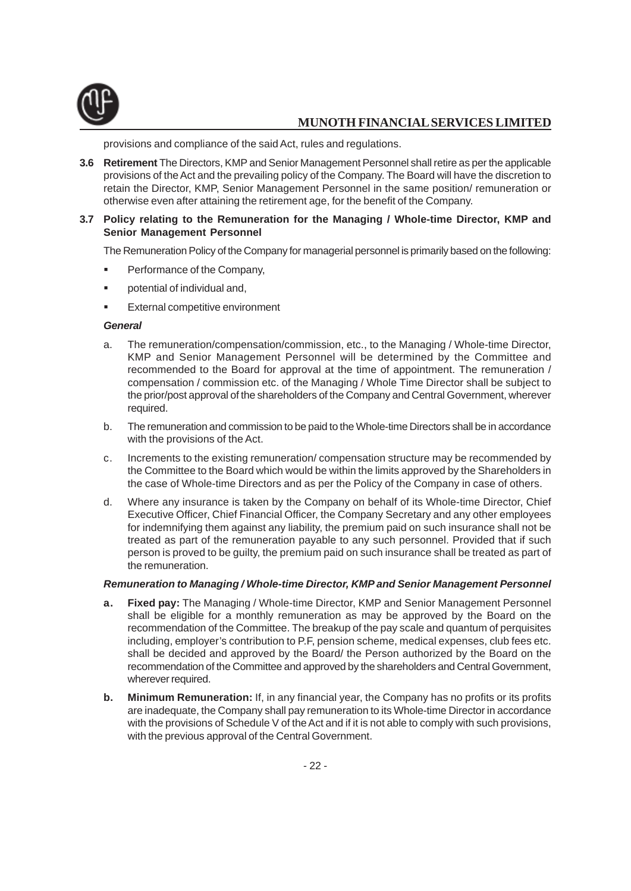

provisions and compliance of the said Act, rules and regulations.

- **3.6 Retirement** The Directors, KMP and Senior Management Personnel shall retire as per the applicable provisions of the Act and the prevailing policy of the Company. The Board will have the discretion to retain the Director, KMP, Senior Management Personnel in the same position/ remuneration or otherwise even after attaining the retirement age, for the benefit of the Company.
- **3.7 Policy relating to the Remuneration for the Managing / Whole-time Director, KMP and Senior Management Personnel**

The Remuneration Policy of the Company for managerial personnel is primarily based on the following:

- **•** Performance of the Company,
- ß potential of individual and,
- **External competitive environment**

#### **General**

- a. The remuneration/compensation/commission, etc., to the Managing / Whole-time Director, KMP and Senior Management Personnel will be determined by the Committee and recommended to the Board for approval at the time of appointment. The remuneration / compensation / commission etc. of the Managing / Whole Time Director shall be subject to the prior/post approval of the shareholders of the Company and Central Government, wherever required.
- b. The remuneration and commission to be paid to the Whole-time Directors shall be in accordance with the provisions of the Act.
- c. Increments to the existing remuneration/ compensation structure may be recommended by the Committee to the Board which would be within the limits approved by the Shareholders in the case of Whole-time Directors and as per the Policy of the Company in case of others.
- d. Where any insurance is taken by the Company on behalf of its Whole-time Director, Chief Executive Officer, Chief Financial Officer, the Company Secretary and any other employees for indemnifying them against any liability, the premium paid on such insurance shall not be treated as part of the remuneration payable to any such personnel. Provided that if such person is proved to be guilty, the premium paid on such insurance shall be treated as part of the remuneration.

#### **Remuneration to Managing / Whole-time Director, KMP and Senior Management Personnel**

- **a. Fixed pay:** The Managing / Whole-time Director, KMP and Senior Management Personnel shall be eligible for a monthly remuneration as may be approved by the Board on the recommendation of the Committee. The breakup of the pay scale and quantum of perquisites including, employer's contribution to P.F, pension scheme, medical expenses, club fees etc. shall be decided and approved by the Board/ the Person authorized by the Board on the recommendation of the Committee and approved by the shareholders and Central Government, wherever required.
- **b. Minimum Remuneration:** If, in any financial year, the Company has no profits or its profits are inadequate, the Company shall pay remuneration to its Whole-time Director in accordance with the provisions of Schedule V of the Act and if it is not able to comply with such provisions, with the previous approval of the Central Government.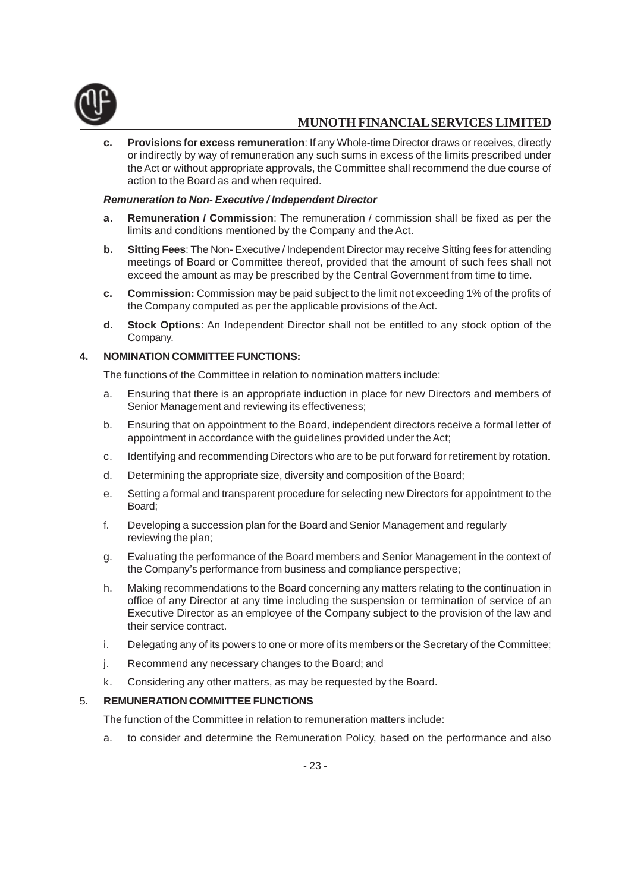

**c. Provisions for excess remuneration**: If any Whole-time Director draws or receives, directly or indirectly by way of remuneration any such sums in excess of the limits prescribed under the Act or without appropriate approvals, the Committee shall recommend the due course of action to the Board as and when required.

#### **Remuneration to Non- Executive / Independent Director**

- **a. Remuneration / Commission**: The remuneration / commission shall be fixed as per the limits and conditions mentioned by the Company and the Act.
- **b. Sitting Fees**: The Non- Executive / Independent Director may receive Sitting fees for attending meetings of Board or Committee thereof, provided that the amount of such fees shall not exceed the amount as may be prescribed by the Central Government from time to time.
- **c. Commission:** Commission may be paid subject to the limit not exceeding 1% of the profits of the Company computed as per the applicable provisions of the Act.
- **d. Stock Options**: An Independent Director shall not be entitled to any stock option of the Company.

## **4. NOMINATION COMMITTEE FUNCTIONS:**

The functions of the Committee in relation to nomination matters include:

- a. Ensuring that there is an appropriate induction in place for new Directors and members of Senior Management and reviewing its effectiveness;
- b. Ensuring that on appointment to the Board, independent directors receive a formal letter of appointment in accordance with the guidelines provided under the Act;
- c. Identifying and recommending Directors who are to be put forward for retirement by rotation.
- d. Determining the appropriate size, diversity and composition of the Board;
- e. Setting a formal and transparent procedure for selecting new Directors for appointment to the Board;
- f. Developing a succession plan for the Board and Senior Management and regularly reviewing the plan;
- g. Evaluating the performance of the Board members and Senior Management in the context of the Company's performance from business and compliance perspective;
- h. Making recommendations to the Board concerning any matters relating to the continuation in office of any Director at any time including the suspension or termination of service of an Executive Director as an employee of the Company subject to the provision of the law and their service contract.
- i. Delegating any of its powers to one or more of its members or the Secretary of the Committee;
- j. Recommend any necessary changes to the Board; and
- k. Considering any other matters, as may be requested by the Board.

## 5**. REMUNERATION COMMITTEE FUNCTIONS**

The function of the Committee in relation to remuneration matters include:

a. to consider and determine the Remuneration Policy, based on the performance and also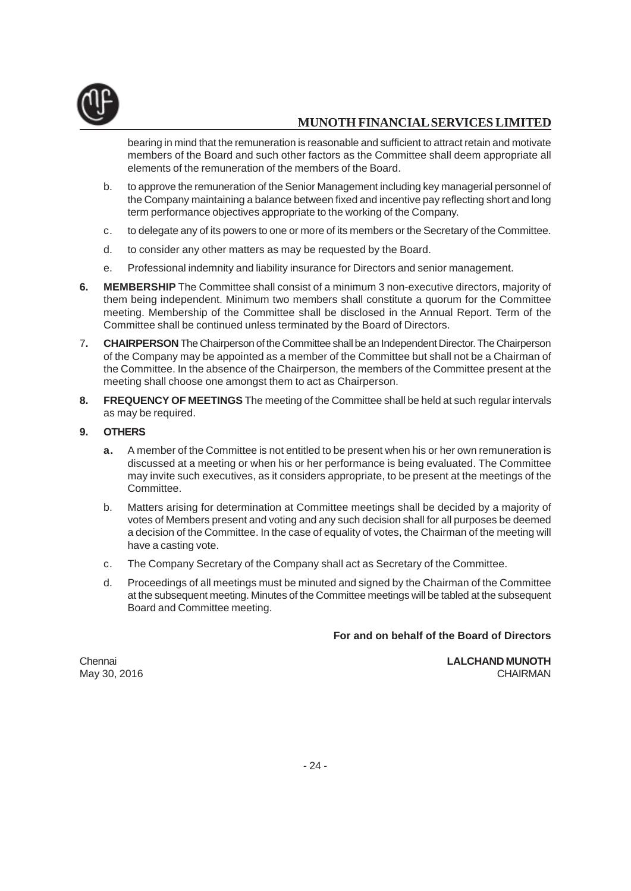

bearing in mind that the remuneration is reasonable and sufficient to attract retain and motivate members of the Board and such other factors as the Committee shall deem appropriate all elements of the remuneration of the members of the Board.

- b. to approve the remuneration of the Senior Management including key managerial personnel of the Company maintaining a balance between fixed and incentive pay reflecting short and long term performance objectives appropriate to the working of the Company.
- c. to delegate any of its powers to one or more of its members or the Secretary of the Committee.
- d. to consider any other matters as may be requested by the Board.
- e. Professional indemnity and liability insurance for Directors and senior management.
- **6. MEMBERSHIP** The Committee shall consist of a minimum 3 non-executive directors, majority of them being independent. Minimum two members shall constitute a quorum for the Committee meeting. Membership of the Committee shall be disclosed in the Annual Report. Term of the Committee shall be continued unless terminated by the Board of Directors.
- 7**. CHAIRPERSON** The Chairperson of the Committee shall be an Independent Director. The Chairperson of the Company may be appointed as a member of the Committee but shall not be a Chairman of the Committee. In the absence of the Chairperson, the members of the Committee present at the meeting shall choose one amongst them to act as Chairperson.
- **8. FREQUENCY OF MEETINGS** The meeting of the Committee shall be held at such regular intervals as may be required.

#### **9. OTHERS**

- **a.** A member of the Committee is not entitled to be present when his or her own remuneration is discussed at a meeting or when his or her performance is being evaluated. The Committee may invite such executives, as it considers appropriate, to be present at the meetings of the Committee.
- b. Matters arising for determination at Committee meetings shall be decided by a majority of votes of Members present and voting and any such decision shall for all purposes be deemed a decision of the Committee. In the case of equality of votes, the Chairman of the meeting will have a casting vote.
- c. The Company Secretary of the Company shall act as Secretary of the Committee.
- d. Proceedings of all meetings must be minuted and signed by the Chairman of the Committee at the subsequent meeting. Minutes of the Committee meetings will be tabled at the subsequent Board and Committee meeting.

## **For and on behalf of the Board of Directors**

Chennai **LALCHAND MUNOTH** May 30, 2016 **CHAIRMAN**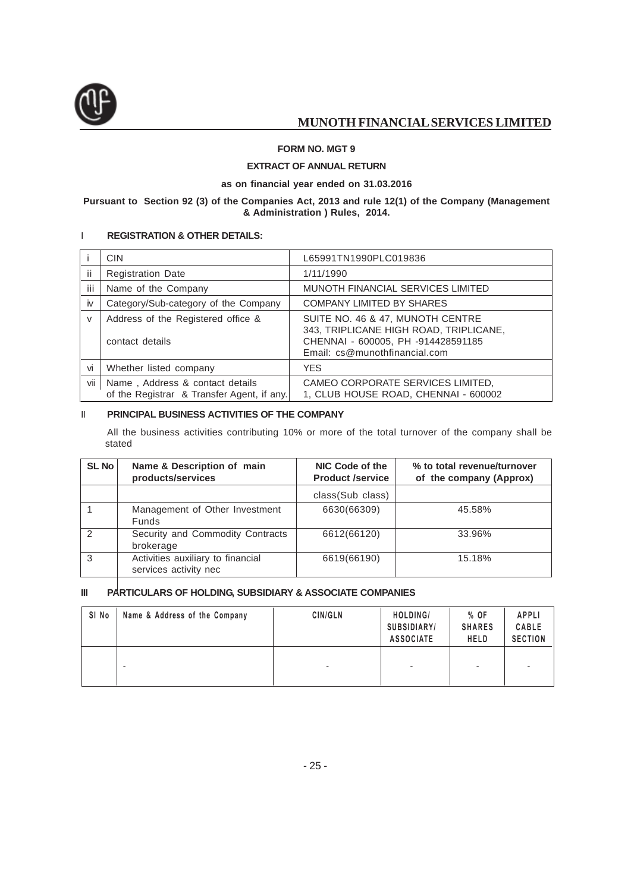

#### **FORM NO. MGT 9**

#### **EXTRACT OF ANNUAL RETURN**

#### **as on financial year ended on 31.03.2016**

#### **Pursuant to Section 92 (3) of the Companies Act, 2013 and rule 12(1) of the Company (Management & Administration ) Rules, 2014.**

#### I **REGISTRATION & OTHER DETAILS:**

|              | <b>CIN</b>                                                                    | L65991TN1990PLC019836                                                                                                                             |
|--------------|-------------------------------------------------------------------------------|---------------------------------------------------------------------------------------------------------------------------------------------------|
| $\mathbf{H}$ | <b>Registration Date</b>                                                      | 1/11/1990                                                                                                                                         |
| iii          | Name of the Company                                                           | MUNOTH FINANCIAL SERVICES LIMITED                                                                                                                 |
| iv           | Category/Sub-category of the Company                                          | <b>COMPANY LIMITED BY SHARES</b>                                                                                                                  |
| v            | Address of the Registered office &<br>contact details                         | SUITE NO. 46 & 47, MUNOTH CENTRE<br>343, TRIPLICANE HIGH ROAD, TRIPLICANE,<br>CHENNAI - 600005, PH -914428591185<br>Email: cs@munothfinancial.com |
| vi           | Whether listed company                                                        | <b>YES</b>                                                                                                                                        |
| vii          | Name, Address & contact details<br>of the Registrar & Transfer Agent, if any. | CAMEO CORPORATE SERVICES LIMITED.<br>1, CLUB HOUSE ROAD, CHENNAI - 600002                                                                         |

## II **PRINCIPAL BUSINESS ACTIVITIES OF THE COMPANY**

All the business activities contributing 10% or more of the total turnover of the company shall be stated

| <b>SL No</b>  | Name & Description of main<br>products/services            | NIC Code of the<br><b>Product /service</b> | % to total revenue/turnover<br>of the company (Approx) |
|---------------|------------------------------------------------------------|--------------------------------------------|--------------------------------------------------------|
|               |                                                            | class(Sub class)                           |                                                        |
|               | Management of Other Investment<br>Funds                    | 6630(66309)                                | 45.58%                                                 |
| $\mathcal{P}$ | Security and Commodity Contracts<br>brokerage              | 6612(66120)                                | 33.96%                                                 |
| 3             | Activities auxiliary to financial<br>services activity nec | 6619(66190)                                | 15.18%                                                 |

#### **III PARTICULARS OF HOLDING, SUBSIDIARY & ASSOCIATE COMPANIES**

| SI No | Name & Address of the Company | CIN/GLN | HOLDING/<br>SUBSIDIARY/<br><b>ASSOCIATE</b> | % OF<br><b>SHARES</b><br><b>HELD</b> | <b>APPLI</b><br>CABLE<br><b>SECTION</b> |
|-------|-------------------------------|---------|---------------------------------------------|--------------------------------------|-----------------------------------------|
|       |                               | -       | ۰                                           | $\overline{a}$                       | ۰                                       |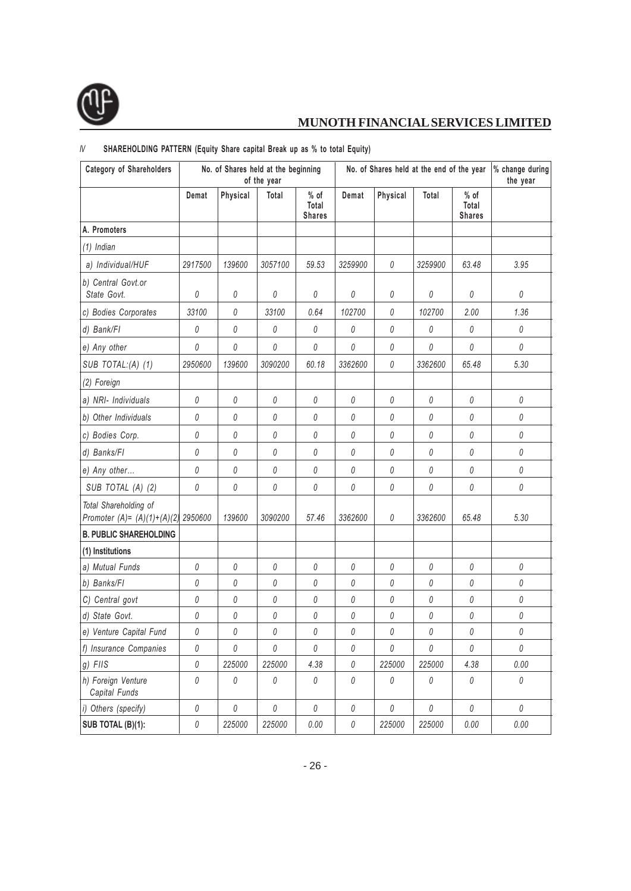

| Category of Shareholders                                       | No. of Shares held at the beginning<br>of the year |          |          |                                  | No. of Shares held at the end of the year |          |          |                                  | % change during<br>the year |
|----------------------------------------------------------------|----------------------------------------------------|----------|----------|----------------------------------|-------------------------------------------|----------|----------|----------------------------------|-----------------------------|
|                                                                | Demat                                              | Physical | Total    | $%$ of<br>Total<br><b>Shares</b> | Demat                                     | Physical | Total    | $%$ of<br>Total<br><b>Shares</b> |                             |
| A. Promoters                                                   |                                                    |          |          |                                  |                                           |          |          |                                  |                             |
| $(1)$ Indian                                                   |                                                    |          |          |                                  |                                           |          |          |                                  |                             |
| a) Individual/HUF                                              | 2917500                                            | 139600   | 3057100  | 59.53                            | 3259900                                   | 0        | 3259900  | 63.48                            | 3.95                        |
| b) Central Govt.or<br>State Govt.                              | 0                                                  | 0        | 0        | 0                                | 0                                         | 0        | 0        | 0                                | 0                           |
| c) Bodies Corporates                                           | 33100                                              | 0        | 33100    | 0.64                             | 102700                                    | $\theta$ | 102700   | 2.00                             | 1.36                        |
| d) Bank/Fl                                                     | 0                                                  | $\it{0}$ | 0        | 0                                | 0                                         | 0        | 0        | 0                                | $\it{0}$                    |
| e) Any other                                                   | 0                                                  | 0        | 0        | 0                                | 0                                         | 0        | 0        | 0                                | $\it{0}$                    |
| SUB TOTAL:(A) (1)                                              | 2950600                                            | 139600   | 3090200  | 60.18                            | 3362600                                   | 0        | 3362600  | 65.48                            | 5.30                        |
| (2) Foreign                                                    |                                                    |          |          |                                  |                                           |          |          |                                  |                             |
| a) NRI- Individuals                                            | 0                                                  | 0        | 0        | 0                                | 0                                         | 0        | 0        | 0                                | 0                           |
| b) Other Individuals                                           | 0                                                  | 0        | 0        | 0                                | 0                                         | 0        | 0        | 0                                | 0                           |
| c) Bodies Corp.                                                | 0                                                  | 0        | 0        | 0                                | 0                                         | 0        | 0        | 0                                | 0                           |
| d) Banks/Fl                                                    | 0                                                  | 0        | 0        | 0                                | 0                                         | 0        | 0        | 0                                | 0                           |
| e) Any other                                                   | 0                                                  | $\it{0}$ | 0        | 0                                | 0                                         | $\it{0}$ | 0        | 0                                | 0                           |
| SUB TOTAL (A) (2)                                              | 0                                                  | $\it{0}$ | 0        | 0                                | 0                                         | 0        | 0        | 0                                | $\it{0}$                    |
| Total Shareholding of<br>Promoter (A)= $(A)(1)+(A)(2)$ 2950600 |                                                    | 139600   | 3090200  | 57.46                            | 3362600                                   | 0        | 3362600  | 65.48                            | 5.30                        |
| <b>B. PUBLIC SHAREHOLDING</b>                                  |                                                    |          |          |                                  |                                           |          |          |                                  |                             |
| (1) Institutions                                               |                                                    |          |          |                                  |                                           |          |          |                                  |                             |
| a) Mutual Funds                                                | 0                                                  | 0        | 0        | 0                                | 0                                         | 0        | 0        | 0                                | 0                           |
| b) Banks/FI                                                    | 0                                                  | $\it{0}$ | 0        | 0                                | 0                                         | 0        | 0        | 0                                | 0                           |
| C) Central govt                                                | 0                                                  | 0        | 0        | 0                                | 0                                         | 0        | 0        | 0                                | 0                           |
| d) State Govt.                                                 | 0                                                  | 0        | 0        | 0                                | 0                                         | 0        | 0        | 0                                | 0                           |
| e) Venture Capital Fund                                        | 0                                                  | 0        | 0        | $\it{0}$                         | $\it{0}$                                  | 0        | 0        | 0                                | $\it{0}$                    |
| f) Insurance Companies                                         | 0                                                  | $\it{0}$ | $\it{0}$ | $\it{0}$                         | $\it{0}$                                  | $\it{0}$ | $\it{0}$ | 0                                | $\it{0}$                    |
| $g$ ) FIIS                                                     | $\it{0}$                                           | 225000   | 225000   | 4.38                             | $\it{0}$                                  | 225000   | 225000   | 4.38                             | $0.00\,$                    |
| h) Foreign Venture<br>Capital Funds                            | $\it{0}$                                           | 0        | $\it{0}$ | 0                                | $\it{0}$                                  | 0        | 0        | $\it{0}$                         | 0                           |
| i) Others (specify)                                            | $\it{0}$                                           | $\it{0}$ | $\it{0}$ | $\it{0}$                         | $\it{0}$                                  | $\it{0}$ | $\it{0}$ | $\it{0}$                         | $\it{0}$                    |
| SUB TOTAL (B)(1):                                              | $\it{0}$                                           | 225000   | 225000   | $0.00\,$                         | $\it{0}$                                  | 225000   | 225000   | $0.00\,$                         | 0.00                        |

## *IV* **SHAREHOLDING PATTERN (Equity Share capital Break up as % to total Equity)**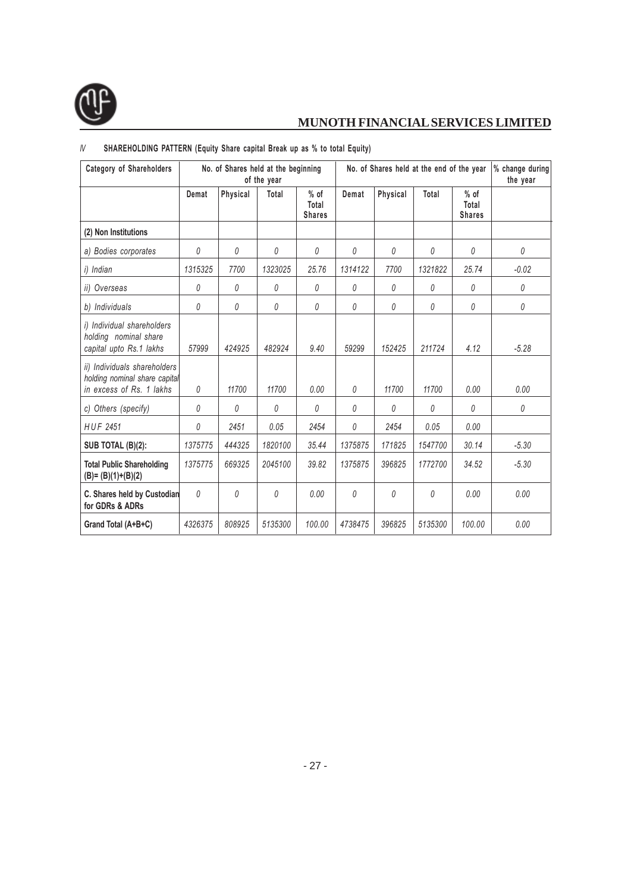

| <b>Category of Shareholders</b>                                                           | No. of Shares held at the beginning<br>of the year |          |          |                                  | No. of Shares held at the end of the year |          |         |                                  | % change during<br>the year |
|-------------------------------------------------------------------------------------------|----------------------------------------------------|----------|----------|----------------------------------|-------------------------------------------|----------|---------|----------------------------------|-----------------------------|
|                                                                                           | Demat                                              | Physical | Total    | $%$ of<br>Total<br><b>Shares</b> | Demat                                     | Physical | Total   | $%$ of<br>Total<br><b>Shares</b> |                             |
| (2) Non Institutions                                                                      |                                                    |          |          |                                  |                                           |          |         |                                  |                             |
| a) Bodies corporates                                                                      | 0                                                  | 0        | 0        | 0                                | 0                                         | 0        | 0       | 0                                | 0                           |
| i) Indian                                                                                 | 1315325                                            | 7700     | 1323025  | 25.76                            | 1314122                                   | 7700     | 1321822 | 25.74                            | $-0.02$                     |
| <i>ii</i> ) Overseas                                                                      | 0                                                  | 0        | $\theta$ | 0                                | 0                                         | 0        | 0       | 0                                | 0                           |
| b) Individuals                                                                            | 0                                                  | 0        | $\theta$ | 0                                | 0                                         | $\theta$ | 0       | 0                                | $\theta$                    |
| <i>i)</i> Individual shareholders<br>holding nominal share<br>capital upto Rs.1 lakhs     | 57999                                              | 424925   | 482924   | 9.40                             | 59299                                     | 152425   | 211724  | 4.12                             | $-5.28$                     |
| ii) Individuals shareholders<br>holding nominal share capital<br>in excess of Rs. 1 lakhs | 0                                                  | 11700    | 11700    | 0.00                             | 0                                         | 11700    | 11700   | 0.00                             | 0.00                        |
| c) Others (specify)                                                                       | 0                                                  | 0        | 0        | 0                                | 0                                         | 0        | 0       | 0                                | 0                           |
| HUF 2451                                                                                  | 0                                                  | 2451     | 0.05     | 2454                             | 0                                         | 2454     | 0.05    | 0.00                             |                             |
| SUB TOTAL (B)(2):                                                                         | 1375775                                            | 444325   | 1820100  | 35.44                            | 1375875                                   | 171825   | 1547700 | 30.14                            | $-5.30$                     |
| <b>Total Public Shareholding</b><br>$(B)=(B)(1)+(B)(2)$                                   | 1375775                                            | 669325   | 2045100  | 39.82                            | 1375875                                   | 396825   | 1772700 | 34.52                            | $-5.30$                     |
| C. Shares held by Custodian<br>for GDRs & ADRs                                            | $\theta$                                           | $\theta$ | $\theta$ | 0.00                             | $\theta$                                  | $\theta$ | 0       | 0.00                             | 0.00                        |
| Grand Total (A+B+C)                                                                       | 4326375                                            | 808925   | 5135300  | 100.00                           | 4738475                                   | 396825   | 5135300 | 100.00                           | 0.00                        |

# *IV* **SHAREHOLDING PATTERN (Equity Share capital Break up as % to total Equity)**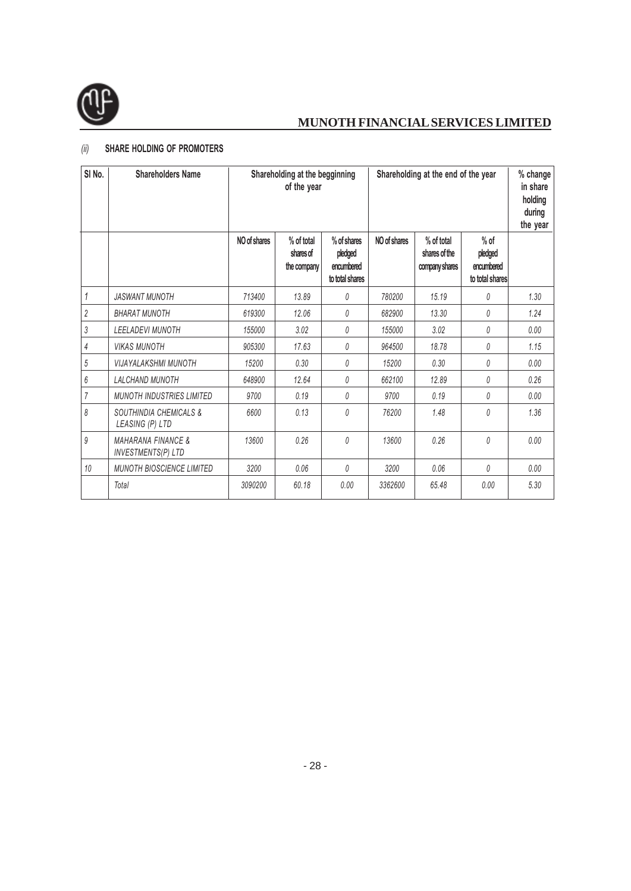

# *(ii)* **SHARE HOLDING OF PROMOTERS**

| SI <sub>No.</sub> | <b>Shareholders Name</b>                                   | Shareholding at the begginning<br>Shareholding at the end of the year<br>of the year |                                        |                                                         | % change<br>in share<br>holding<br>during<br>the year |                                               |                                                    |      |
|-------------------|------------------------------------------------------------|--------------------------------------------------------------------------------------|----------------------------------------|---------------------------------------------------------|-------------------------------------------------------|-----------------------------------------------|----------------------------------------------------|------|
|                   |                                                            | NO of shares                                                                         | % of total<br>shares of<br>the company | % of shares<br>pledged<br>encumbered<br>to total shares | NO of shares                                          | % of total<br>shares of the<br>company shares | $%$ of<br>pledged<br>encumbered<br>to total shares |      |
|                   | <b>JASWANT MUNOTH</b>                                      | 713400                                                                               | 13.89                                  | 0                                                       | 780200                                                | 15.19                                         | 0                                                  | 1.30 |
| $\overline{2}$    | <b>BHARAT MUNOTH</b>                                       | 619300                                                                               | 12.06                                  | 0                                                       | 682900                                                | 13.30                                         | 0                                                  | 1.24 |
| $\sqrt{3}$        | <b>LEELADEVI MUNOTH</b>                                    | 155000                                                                               | 3.02                                   | 0                                                       | 155000                                                | 3.02                                          | 0                                                  | 0.00 |
| $\overline{4}$    | <b>VIKAS MUNOTH</b>                                        | 905300                                                                               | 17.63                                  | 0                                                       | 964500                                                | 18.78                                         | 0                                                  | 1.15 |
| 5                 | <b>VIJAYALAKSHMI MUNOTH</b>                                | 15200                                                                                | 0.30                                   | 0                                                       | 15200                                                 | 0.30                                          | 0                                                  | 0.00 |
| 6                 | <b>LALCHAND MUNOTH</b>                                     | 648900                                                                               | 12.64                                  | 0                                                       | 662100                                                | 12.89                                         | 0                                                  | 0.26 |
|                   | <b>MUNOTH INDUSTRIES LIMITED</b>                           | 9700                                                                                 | 0.19                                   | 0                                                       | 9700                                                  | 0.19                                          | 0                                                  | 0.00 |
| 8                 | SOUTHINDIA CHEMICALS &<br>LEASING (P) LTD                  | 6600                                                                                 | 0.13                                   | 0                                                       | 76200                                                 | 1.48                                          | 0                                                  | 1.36 |
| 9                 | <b>MAHARANA FINANCE &amp;</b><br><b>INVESTMENTS(P) LTD</b> | 13600                                                                                | 0.26                                   | 0                                                       | 13600                                                 | 0.26                                          | 0                                                  | 0.00 |
| 10                | <b>MUNOTH BIOSCIENCE LIMITED</b>                           | 3200                                                                                 | 0.06                                   | 0                                                       | 3200                                                  | 0.06                                          | 0                                                  | 0.00 |
|                   | Total                                                      | 3090200                                                                              | 60.18                                  | 0.00                                                    | 3362600                                               | 65.48                                         | 0.00                                               | 5.30 |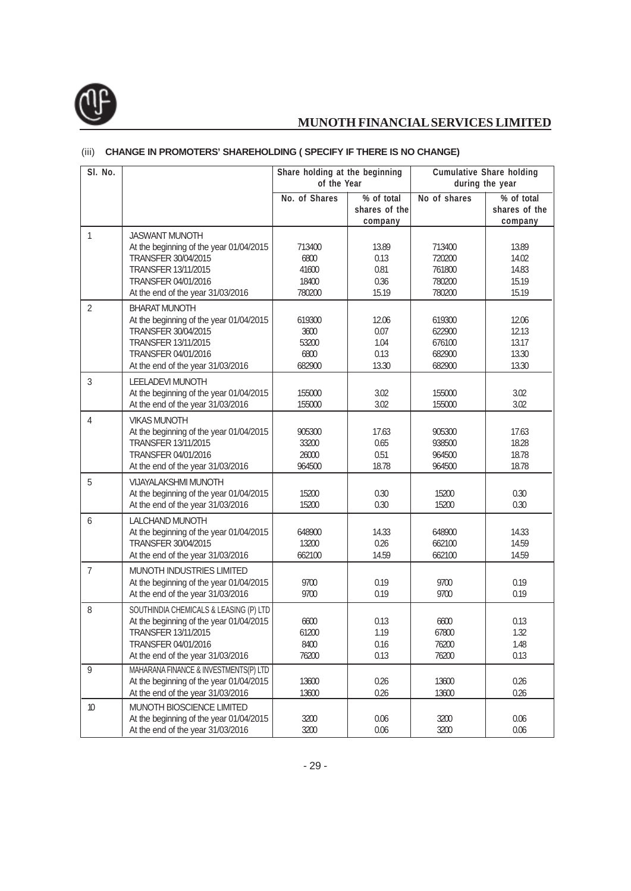

## (iii) **CHANGE IN PROMOTERS' SHAREHOLDING ( SPECIFY IF THERE IS NO CHANGE)**

| SI. No.        |                                                                                                                                                                            |                                            | Share holding at the beginning<br>of the Year |                                                | <b>Cumulative Share holding</b><br>during the year |  |  |
|----------------|----------------------------------------------------------------------------------------------------------------------------------------------------------------------------|--------------------------------------------|-----------------------------------------------|------------------------------------------------|----------------------------------------------------|--|--|
|                |                                                                                                                                                                            | No. of Shares                              | % of total<br>shares of the<br>company        | No of shares                                   | % of total<br>shares of the<br>company             |  |  |
| 1              | <b>JASWANT MUNOTH</b><br>At the beginning of the year 01/04/2015<br>TRANSFER 30/04/2015<br>TRANSFER 13/11/2015<br>TRANSFER 04/01/2016<br>At the end of the year 31/03/2016 | 713400<br>6800<br>41600<br>18400<br>780200 | 13.89<br>0.13<br>0.81<br>0.36<br>15.19        | 713400<br>720200<br>761800<br>780200<br>780200 | 13.89<br>14.02<br>14.83<br>15.19<br>15.19          |  |  |
| $\overline{2}$ | <b>BHARAT MUNOTH</b><br>At the beginning of the year 01/04/2015<br>TRANSFER 30/04/2015<br>TRANSFER 13/11/2015<br>TRANSFER 04/01/2016<br>At the end of the year 31/03/2016  | 619300<br>3600<br>53200<br>6800<br>682900  | 12.06<br>0.07<br>1.04<br>0.13<br>13.30        | 619300<br>622900<br>676100<br>682900<br>682900 | 12.06<br>12.13<br>13.17<br>13.30<br>13.30          |  |  |
| 3              | <b>LEELADEVI MUNOTH</b><br>At the beginning of the year 01/04/2015<br>At the end of the year 31/03/2016                                                                    | 155000<br>155000                           | 3.02<br>3.02                                  | 155000<br>155000                               | 3.02<br>3.02                                       |  |  |
| $\overline{4}$ | <b>VIKAS MUNOTH</b><br>At the beginning of the year 01/04/2015<br>TRANSFER 13/11/2015<br>TRANSFER 04/01/2016<br>At the end of the year 31/03/2016                          | 905300<br>33200<br>26000<br>964500         | 17.63<br>0.65<br>0.51<br>18.78                | 905300<br>938500<br>964500<br>964500           | 17.63<br>18.28<br>18.78<br>18.78                   |  |  |
| 5              | <b>VIJAYALAKSHMI MUNOTH</b><br>At the beginning of the year 01/04/2015<br>At the end of the year 31/03/2016                                                                | 15200<br>15200                             | 0.30<br>0.30                                  | 15200<br>15200                                 | 0.30<br>0.30                                       |  |  |
| 6              | <b>LALCHAND MUNOTH</b><br>At the beginning of the year 01/04/2015<br>TRANSFER 30/04/2015<br>At the end of the year 31/03/2016                                              | 648900<br>13200<br>662100                  | 14.33<br>0.26<br>14.59                        | 648900<br>662100<br>662100                     | 14.33<br>14.59<br>14.59                            |  |  |
| $\overline{7}$ | <b>MUNOTH INDUSTRIES LIMITED</b><br>At the beginning of the year 01/04/2015<br>At the end of the year 31/03/2016                                                           | 9700<br>9700                               | 0.19<br>0.19                                  | 9700<br>9700                                   | 0.19<br>0.19                                       |  |  |
| 8              | SOUTHINDIA CHEMICALS & LEASING (P) LTD<br>At the beginning of the year 01/04/2015<br>TRANSFER 13/11/2015<br>TRANSFER 04/01/2016<br>At the end of the year 31/03/2016       | 6600<br>61200<br>8400<br>76200             | 0.13<br>1.19<br>0.16<br>0.13                  | 6600<br>67800<br>76200<br>76200                | 0.13<br>1.32<br>1.48<br>0.13                       |  |  |
| 9              | MAHARANA FINANCE & INVESTMENTS(P) LTD<br>At the beginning of the year 01/04/2015<br>At the end of the year 31/03/2016                                                      | 13600<br>13600                             | 0.26<br>0.26                                  | 13600<br>13600                                 | 0.26<br>0.26                                       |  |  |
| 10             | MUNOTH BIOSCIENCE LIMITED<br>At the beginning of the year 01/04/2015<br>At the end of the year 31/03/2016                                                                  | 3200<br>3200                               | 0.06<br>0.06                                  | 3200<br>3200                                   | 0.06<br>0.06                                       |  |  |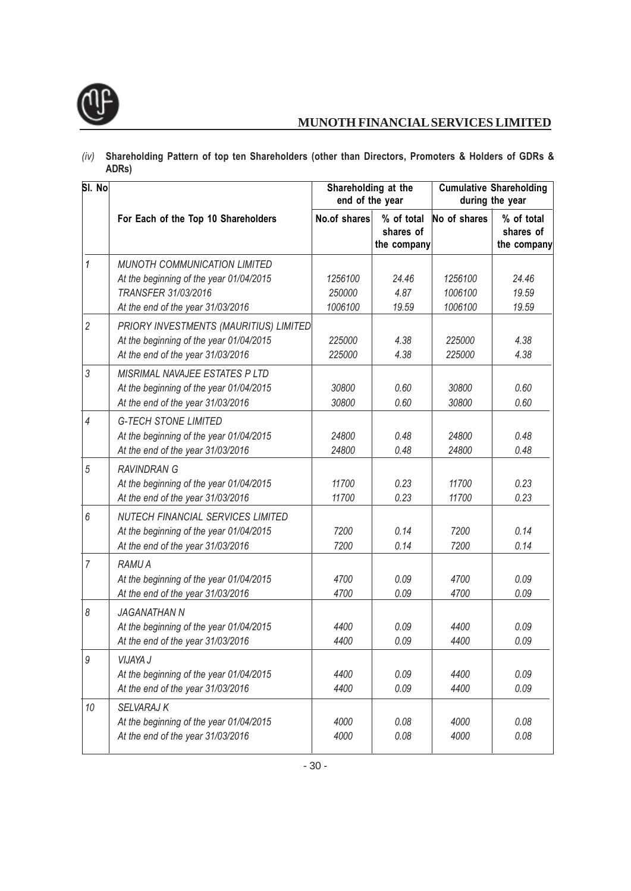

*(iv)* **Shareholding Pattern of top ten Shareholders (other than Directors, Promoters & Holders of GDRs & ADRs)**

| SI. No         |                                                                                                                                            | Shareholding at the<br>end of the year |                                        | <b>Cumulative Shareholding</b><br>during the year |                                        |  |
|----------------|--------------------------------------------------------------------------------------------------------------------------------------------|----------------------------------------|----------------------------------------|---------------------------------------------------|----------------------------------------|--|
|                | For Each of the Top 10 Shareholders                                                                                                        | No.of shares                           | % of total<br>shares of<br>the company | No of shares                                      | % of total<br>shares of<br>the company |  |
| 1              | <b>MUNOTH COMMUNICATION LIMITED</b><br>At the beginning of the year 01/04/2015<br>TRANSFER 31/03/2016<br>At the end of the year 31/03/2016 | 1256100<br>250000<br>1006100           | 24.46<br>4.87<br>19.59                 | 1256100<br>1006100<br>1006100                     | 24.46<br>19.59<br>19.59                |  |
| $\overline{c}$ | PRIORY INVESTMENTS (MAURITIUS) LIMITED<br>At the beginning of the year 01/04/2015<br>At the end of the year 31/03/2016                     | 225000<br>225000                       | 4.38<br>4.38                           | 225000<br>225000                                  | 4.38<br>4.38                           |  |
| 3              | MISRIMAL NAVAJEE ESTATES P LTD<br>At the beginning of the year 01/04/2015<br>At the end of the year 31/03/2016                             | 30800<br>30800                         | 0.60<br>0.60                           | 30800<br>30800                                    | 0.60<br>0.60                           |  |
| $\overline{4}$ | <b>G-TECH STONE LIMITED</b><br>At the beginning of the year 01/04/2015<br>At the end of the year 31/03/2016                                | 24800<br>24800                         | 0.48<br>0.48                           | 24800<br>24800                                    | 0.48<br>0.48                           |  |
| 5              | <b>RAVINDRAN G</b><br>At the beginning of the year 01/04/2015<br>At the end of the year 31/03/2016                                         | 11700<br>11700                         | 0.23<br>0.23                           | 11700<br>11700                                    | 0.23<br>0.23                           |  |
| 6              | <b>NUTECH FINANCIAL SERVICES LIMITED</b><br>At the beginning of the year 01/04/2015<br>At the end of the year 31/03/2016                   | 7200<br>7200                           | 0.14<br>0.14                           | 7200<br>7200                                      | 0.14<br>0.14                           |  |
| 7              | <b>RAMU A</b><br>At the beginning of the year 01/04/2015<br>At the end of the year 31/03/2016                                              | 4700<br>4700                           | 0.09<br>0.09                           | 4700<br>4700                                      | 0.09<br>0.09                           |  |
| 8              | <b>JAGANATHAN N</b><br>At the beginning of the year 01/04/2015<br>At the end of the year 31/03/2016                                        | 4400<br>4400                           | 0.09<br>0.09                           | 4400<br>4400                                      | 0.09<br>0.09                           |  |
| $\mathfrak g$  | VIJAYA J<br>At the beginning of the year 01/04/2015<br>At the end of the year 31/03/2016                                                   | 4400<br>4400                           | 0.09<br>0.09                           | 4400<br>4400                                      | 0.09<br>0.09                           |  |
| 10             | <b>SELVARAJ K</b><br>At the beginning of the year 01/04/2015<br>At the end of the year 31/03/2016                                          | 4000<br>4000                           | 0.08<br>0.08                           | 4000<br>4000                                      | 0.08<br>0.08                           |  |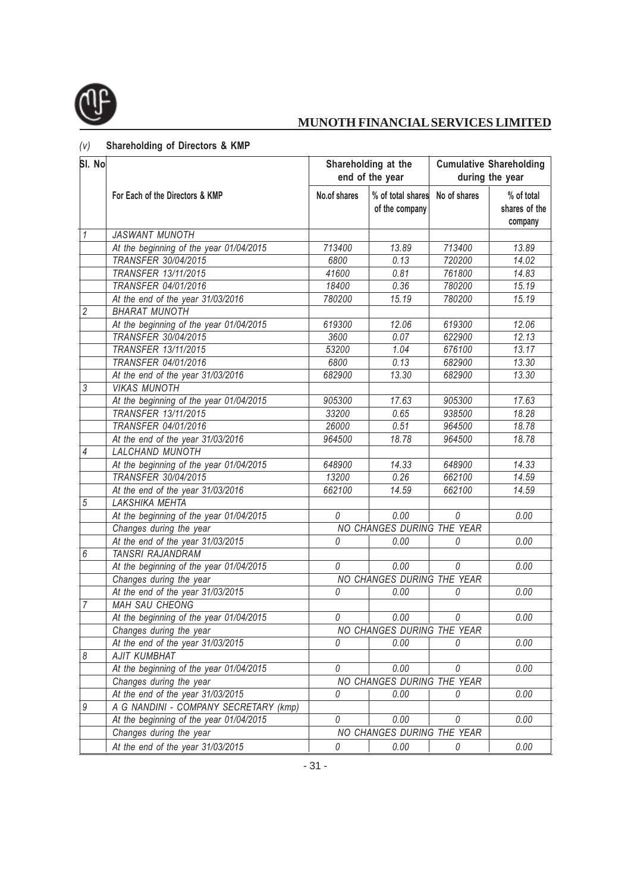

# *(v)* **Shareholding of Directors & KMP**

| SI. No                |                                         | Shareholding at the<br>end of the year |                                     | <b>Cumulative Shareholding</b><br>during the year |                                        |
|-----------------------|-----------------------------------------|----------------------------------------|-------------------------------------|---------------------------------------------------|----------------------------------------|
|                       | For Each of the Directors & KMP         | No.of shares                           | % of total shares<br>of the company | No of shares                                      | % of total<br>shares of the<br>company |
| 1                     | <b>JASWANT MUNOTH</b>                   |                                        |                                     |                                                   |                                        |
|                       | At the beginning of the year 01/04/2015 | 713400                                 | 13.89                               | 713400                                            | 13.89                                  |
|                       | TRANSFER 30/04/2015                     | 6800                                   | 0.13                                | 720200                                            | 14.02                                  |
|                       | TRANSFER 13/11/2015                     | 41600                                  | 0.81                                | 761800                                            | 14.83                                  |
|                       | TRANSFER 04/01/2016                     | 18400                                  | 0.36                                | 780200                                            | 15.19                                  |
|                       | At the end of the year 31/03/2016       | 780200                                 | 15.19                               | 780200                                            | 15.19                                  |
| $\overline{2}$        | <b>BHARAT MUNOTH</b>                    |                                        |                                     |                                                   |                                        |
|                       | At the beginning of the year 01/04/2015 | 619300                                 | 12.06                               | 619300                                            | 12.06                                  |
|                       | TRANSFER 30/04/2015                     | 3600                                   | 0.07                                | 622900                                            | 12.13                                  |
|                       | TRANSFER 13/11/2015                     | 53200                                  | 1.04                                | 676100                                            | 13.17                                  |
|                       | TRANSFER 04/01/2016                     | 6800                                   | 0.13                                | 682900                                            | 13.30                                  |
|                       | At the end of the year 31/03/2016       | 682900                                 | 13.30                               | 682900                                            | 13.30                                  |
| $\overline{3}$        | <b>VIKAS MUNOTH</b>                     |                                        |                                     |                                                   |                                        |
|                       | At the beginning of the year 01/04/2015 | 905300                                 | 17.63                               | 905300                                            | 17.63                                  |
|                       | TRANSFER 13/11/2015                     | 33200                                  | 0.65                                | 938500                                            | 18.28                                  |
|                       | TRANSFER 04/01/2016                     | 26000                                  | 0.51                                | 964500                                            | 18.78                                  |
|                       | At the end of the year 31/03/2016       | 964500                                 | 18.78                               | 964500                                            | 18.78                                  |
| $\overline{4}$        | <b>LALCHAND MUNOTH</b>                  |                                        |                                     |                                                   |                                        |
|                       | At the beginning of the year 01/04/2015 | 648900                                 | 14.33                               | 648900                                            | 14.33                                  |
|                       | TRANSFER 30/04/2015                     | 13200                                  | 0.26                                | 662100                                            | 14.59                                  |
|                       | At the end of the year 31/03/2016       | 662100                                 | 14.59                               | 662100                                            | 14.59                                  |
| $\sqrt{5}$            | LAKSHIKA MEHTA                          |                                        |                                     |                                                   |                                        |
|                       | At the beginning of the year 01/04/2015 | $\Omega$                               | 0.00                                | $\Omega$                                          | 0.00                                   |
|                       | Changes during the year                 |                                        | NO CHANGES DURING THE YEAR          |                                                   |                                        |
|                       | At the end of the year 31/03/2015       | 0                                      | 0.00                                | $\Omega$                                          | 0.00                                   |
| 6                     | <b>TANSRI RAJANDRAM</b>                 |                                        |                                     |                                                   |                                        |
|                       | At the beginning of the year 01/04/2015 | $\Omega$                               | 0.00                                | $\Omega$                                          | 0.00                                   |
|                       | Changes during the year                 |                                        | NO CHANGES DURING THE YEAR          |                                                   |                                        |
|                       | At the end of the year 31/03/2015       | 0                                      | 0.00                                | $\Omega$                                          | 0.00                                   |
| 7                     | <b>MAH SAU CHEONG</b>                   |                                        |                                     |                                                   |                                        |
|                       | At the beginning of the year 01/04/2015 | 0                                      | 0.00                                | 0                                                 | 0.00                                   |
|                       | Changes during the year                 |                                        | NO CHANGES DURING THE YEAR          |                                                   |                                        |
|                       | At the end of the year 31/03/2015       | 0                                      | 0.00                                | 0                                                 | 0.00                                   |
| $\boldsymbol{\delta}$ | <b>AJIT KUMBHAT</b>                     |                                        |                                     |                                                   |                                        |
|                       | At the beginning of the year 01/04/2015 | 0                                      | 0.00                                | $\theta$                                          | 0.00                                   |
|                       | Changes during the year                 |                                        | NO CHANGES DURING THE YEAR          |                                                   |                                        |
|                       | At the end of the year 31/03/2015       | 0                                      | 0.00                                | 0                                                 | 0.00                                   |
| 9                     | A G NANDINI - COMPANY SECRETARY (kmp)   |                                        |                                     |                                                   |                                        |
|                       | At the beginning of the year 01/04/2015 | 0                                      | 0.00                                | $\theta$                                          | 0.00                                   |
|                       | Changes during the year                 |                                        | NO CHANGES DURING THE YEAR          |                                                   |                                        |
|                       | At the end of the year 31/03/2015       | 0                                      | 0.00                                | 0                                                 | 0.00                                   |
|                       |                                         |                                        |                                     |                                                   |                                        |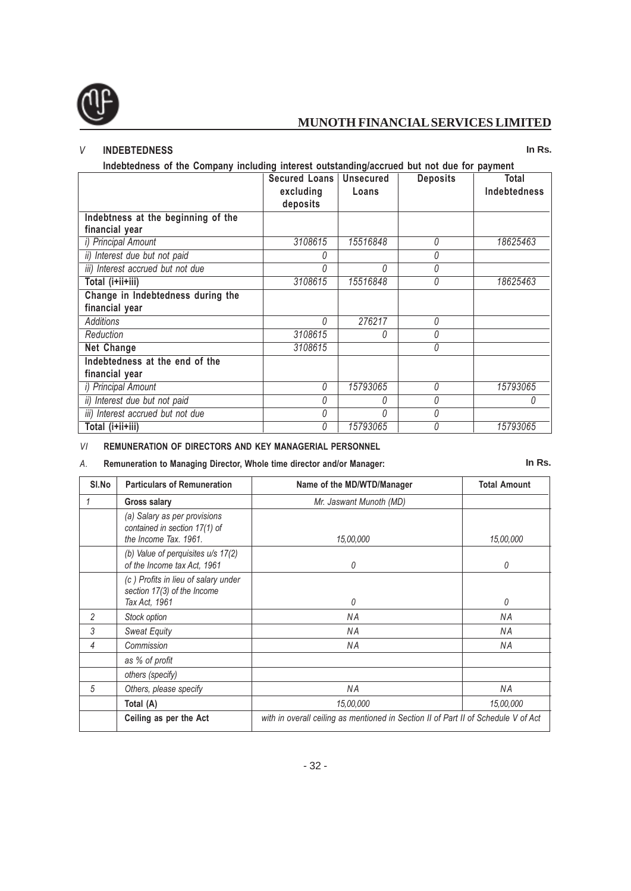

## *V* **INDEBTEDNESS**

## **In Rs.**

**Indebtedness of the Company including interest outstanding/accrued but not due for payment**

|                                                      | <b>Secured Loans</b>  | Unsecured | <b>Deposits</b> | <b>Total</b>        |
|------------------------------------------------------|-----------------------|-----------|-----------------|---------------------|
|                                                      | excluding<br>deposits | Loans     |                 | <b>Indebtedness</b> |
| Indebtness at the beginning of the<br>financial year |                       |           |                 |                     |
| i) Principal Amount                                  | 3108615               | 15516848  | 0               | 18625463            |
| ii) Interest due but not paid                        | 0                     |           | 0               |                     |
| iii) Interest accrued but not due                    | 0                     | $\theta$  | 0               |                     |
| Total (i+ii+iii)                                     | 3108615               | 15516848  | $\theta$        | 18625463            |
| Change in Indebtedness during the                    |                       |           |                 |                     |
| financial year                                       |                       |           |                 |                     |
| Additions                                            | 0                     | 276217    | 0               |                     |
| Reduction                                            | 3108615               | 0         | 0               |                     |
| <b>Net Change</b>                                    | 3108615               |           | $\theta$        |                     |
| Indebtedness at the end of the                       |                       |           |                 |                     |
| financial year                                       |                       |           |                 |                     |
| i) Principal Amount                                  | 0                     | 15793065  | $\theta$        | 15793065            |
| ii) Interest due but not paid                        | 0                     | 0         | $\theta$        | 0                   |
| iii) Interest accrued but not due                    | 0                     | $\theta$  | 0               |                     |
| Total (i+ii+iii)                                     | N                     | 15793065  | $\theta$        | 15793065            |

# *VI* **REMUNERATION OF DIRECTORS AND KEY MANAGERIAL PERSONNEL**

## *A.* **Remuneration to Managing Director, Whole time director and/or Manager:**

**In Rs.**

| SI.No          | <b>Particulars of Remuneration</b>                                                     | Name of the MD/WTD/Manager                                                         | <b>Total Amount</b> |
|----------------|----------------------------------------------------------------------------------------|------------------------------------------------------------------------------------|---------------------|
|                | Gross salary                                                                           | Mr. Jaswant Munoth (MD)                                                            |                     |
|                | (a) Salary as per provisions<br>contained in section 17(1) of<br>the Income Tax. 1961. | 15,00,000                                                                          | 15,00,000           |
|                | (b) Value of perquisites u/s 17(2)<br>of the Income tax Act, 1961                      | 0                                                                                  | 0                   |
|                | (c) Profits in lieu of salary under<br>section 17(3) of the Income<br>Tax Act. 1961    | $\Omega$                                                                           | 0                   |
| $\mathfrak{p}$ | Stock option                                                                           | ΝA                                                                                 | ΝA                  |
| 3              | <b>Sweat Equity</b>                                                                    | ΝA                                                                                 | ΝA                  |
| 4              | Commission                                                                             | ΝA                                                                                 | <b>NA</b>           |
|                | as % of profit                                                                         |                                                                                    |                     |
|                | others (specify)                                                                       |                                                                                    |                     |
| 5              | Others, please specify                                                                 | ΝA                                                                                 | N A                 |
|                | Total (A)                                                                              | 15,00,000                                                                          | 15,00,000           |
|                | Ceiling as per the Act                                                                 | with in overall ceiling as mentioned in Section II of Part II of Schedule V of Act |                     |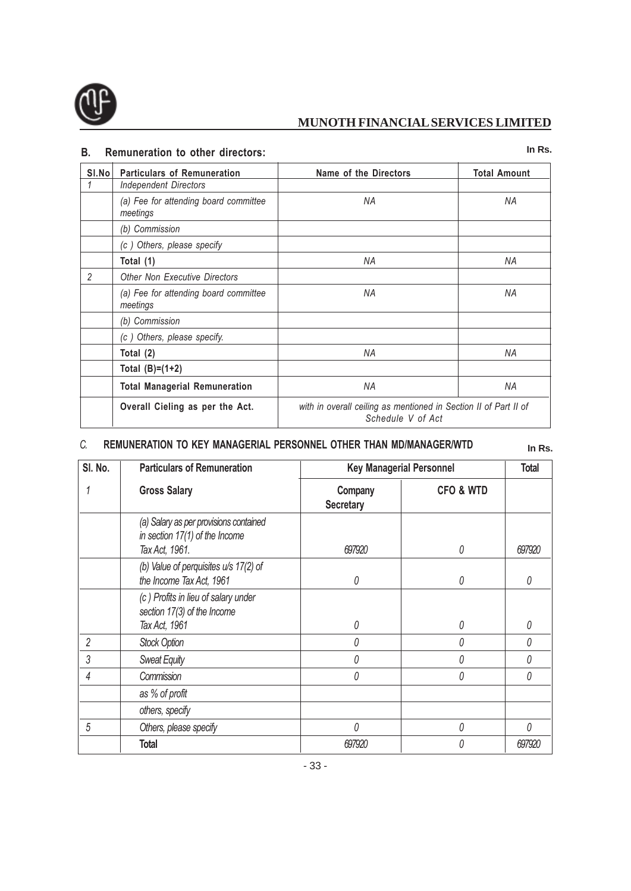

## **B. Remuneration to other directors:**

## **In Rs.**

| SI.No         | <b>Particulars of Remuneration</b>                | Name of the Directors                                                                 | <b>Total Amount</b> |
|---------------|---------------------------------------------------|---------------------------------------------------------------------------------------|---------------------|
|               | <b>Independent Directors</b>                      |                                                                                       |                     |
|               | (a) Fee for attending board committee<br>meetings | NA                                                                                    | NA                  |
|               | (b) Commission                                    |                                                                                       |                     |
|               | (c) Others, please specify                        |                                                                                       |                     |
|               | Total (1)                                         | NA                                                                                    | NA                  |
| $\mathcal{P}$ | <b>Other Non Executive Directors</b>              |                                                                                       |                     |
|               | (a) Fee for attending board committee<br>meetings | <b>NA</b>                                                                             | ΝA                  |
|               | (b) Commission                                    |                                                                                       |                     |
|               | (c) Others, please specify.                       |                                                                                       |                     |
|               | Total (2)                                         | ΝA                                                                                    | <b>NA</b>           |
|               | Total $(B)=(1+2)$                                 |                                                                                       |                     |
|               | <b>Total Managerial Remuneration</b>              | <b>NA</b>                                                                             | <b>NA</b>           |
|               | Overall Cieling as per the Act.                   | with in overall ceiling as mentioned in Section II of Part II of<br>Schedule V of Act |                     |

# *C.* **REMUNERATION TO KEY MANAGERIAL PERSONNEL OTHER THAN MD/MANAGER/WTD**

**In Rs.**

| SI. No.        | <b>Particulars of Remuneration</b>                                                         | <b>Key Managerial Personnel</b> |                      | <b>Total</b> |
|----------------|--------------------------------------------------------------------------------------------|---------------------------------|----------------------|--------------|
|                | <b>Gross Salary</b>                                                                        | Company<br><b>Secretary</b>     | <b>CFO &amp; WTD</b> |              |
|                | (a) Salary as per provisions contained<br>in section 17(1) of the Income<br>Tax Act, 1961. | 697920                          | 0                    | 697920       |
|                | (b) Value of perquisites u/s 17(2) of<br>the Income Tax Act, 1961                          | 0                               | 0                    | 0            |
|                | (c) Profits in lieu of salary under<br>section 17(3) of the Income<br>Tax Act, 1961        | 0                               | 0                    | 0            |
| $\overline{2}$ | <b>Stock Option</b>                                                                        | 0                               | 0                    | N            |
| 3              | Sweat Equity                                                                               | N                               | 0                    |              |
| 4              | Commission                                                                                 | 0                               | 0                    | Λ            |
|                | as % of profit                                                                             |                                 |                      |              |
|                | others, specify                                                                            |                                 |                      |              |
| 5              | Others, please specify                                                                     | 0                               | 0                    | N            |
|                | <b>Total</b>                                                                               | 697920                          | 0                    | 697920       |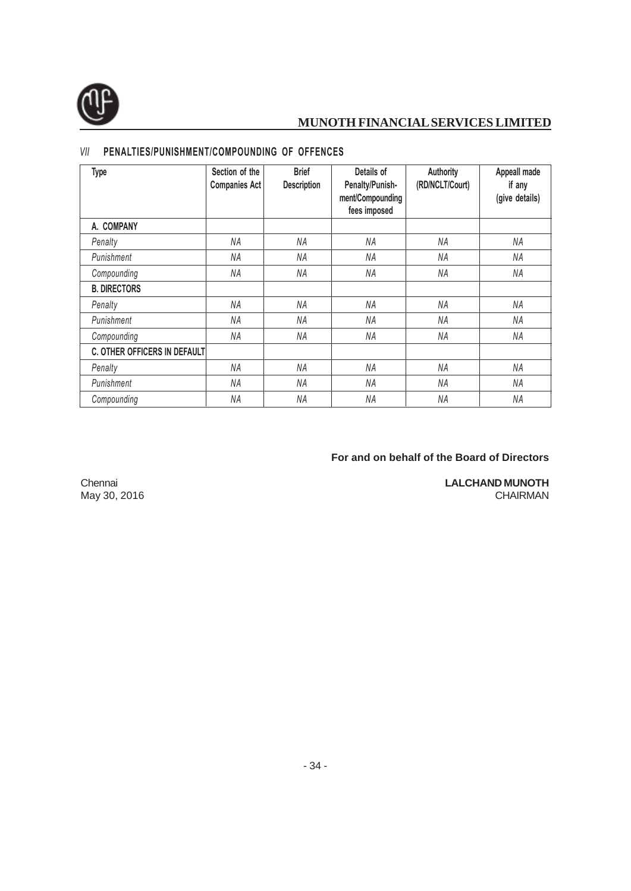

# *VII* **PENALTIES/PUNISHMENT/COMPOUNDING OF OFFENCES**

| <b>Type</b>                  | Section of the<br><b>Companies Act</b> | <b>Brief</b><br><b>Description</b> | Details of<br>Penalty/Punish-<br>ment/Compounding<br>fees imposed | Authority<br>(RD/NCLT/Court) | Appeall made<br>if any<br>(give details) |
|------------------------------|----------------------------------------|------------------------------------|-------------------------------------------------------------------|------------------------------|------------------------------------------|
| A. COMPANY                   |                                        |                                    |                                                                   |                              |                                          |
| Penalty                      | ΝA                                     | ΝA                                 | ΝA                                                                | ΝA                           | ΝA                                       |
| Punishment                   | ΝA                                     | NA                                 | ΝA                                                                | ΝA                           | ΝA                                       |
| Compounding                  | ΝA                                     | ΝA                                 | ΝA                                                                | ΝA                           | ΝA                                       |
| <b>B. DIRECTORS</b>          |                                        |                                    |                                                                   |                              |                                          |
| Penalty                      | ΝA                                     | ΝA                                 | ΝA                                                                | ΝA                           | ΝA                                       |
| Punishment                   | ΝA                                     | ΝA                                 | ΝA                                                                | ΝA                           | ΝA                                       |
| Compounding                  | ΝA                                     | ΝA                                 | ΝA                                                                | ΝA                           | ΝA                                       |
| C. OTHER OFFICERS IN DEFAULT |                                        |                                    |                                                                   |                              |                                          |
| Penalty                      | ΝA                                     | ΝA                                 | ΝA                                                                | ΝA                           | ΝA                                       |
| Punishment                   | ΝA                                     | ΝA                                 | ΝA                                                                | ΝA                           | ΝA                                       |
| Compounding                  | NA                                     | NA                                 | ΝA                                                                | ΝA                           | NA                                       |

## **For and on behalf of the Board of Directors**

Chennai **LALCHAND MUNOTH** May 30, 2016 **CHAIRMAN**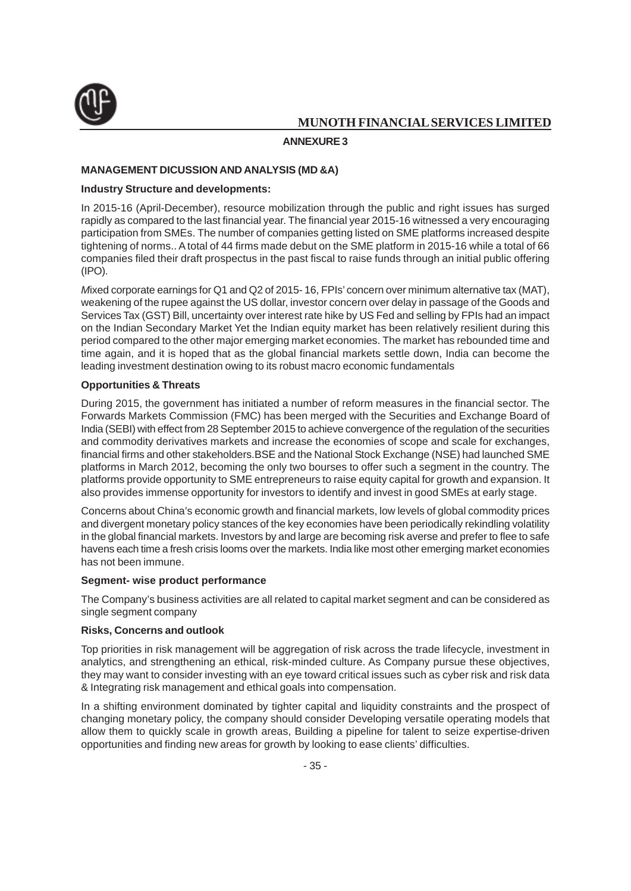

#### **ANNEXURE 3**

## **MANAGEMENT DICUSSION AND ANALYSIS (MD &A)**

## **Industry Structure and developments:**

In 2015-16 (April-December), resource mobilization through the public and right issues has surged rapidly as compared to the last financial year. The financial year 2015-16 witnessed a very encouraging participation from SMEs. The number of companies getting listed on SME platforms increased despite tightening of norms.. A total of 44 firms made debut on the SME platform in 2015-16 while a total of 66 companies filed their draft prospectus in the past fiscal to raise funds through an initial public offering (IPO).

Mixed corporate earnings for Q1 and Q2 of 2015- 16, FPIs' concern over minimum alternative tax (MAT), weakening of the rupee against the US dollar, investor concern over delay in passage of the Goods and Services Tax (GST) Bill, uncertainty over interest rate hike by US Fed and selling by FPIs had an impact on the Indian Secondary Market Yet the Indian equity market has been relatively resilient during this period compared to the other major emerging market economies. The market has rebounded time and time again, and it is hoped that as the global financial markets settle down, India can become the leading investment destination owing to its robust macro economic fundamentals

## **Opportunities & Threats**

During 2015, the government has initiated a number of reform measures in the financial sector. The Forwards Markets Commission (FMC) has been merged with the Securities and Exchange Board of India (SEBI) with effect from 28 September 2015 to achieve convergence of the regulation of the securities and commodity derivatives markets and increase the economies of scope and scale for exchanges, financial firms and other stakeholders.BSE and the National Stock Exchange (NSE) had launched SME platforms in March 2012, becoming the only two bourses to offer such a segment in the country. The platforms provide opportunity to SME entrepreneurs to raise equity capital for growth and expansion. It also provides immense opportunity for investors to identify and invest in good SMEs at early stage.

Concerns about China's economic growth and financial markets, low levels of global commodity prices and divergent monetary policy stances of the key economies have been periodically rekindling volatility in the global financial markets. Investors by and large are becoming risk averse and prefer to flee to safe havens each time a fresh crisis looms over the markets. India like most other emerging market economies has not been immune.

## **Segment- wise product performance**

The Company's business activities are all related to capital market segment and can be considered as single segment company

## **Risks, Concerns and outlook**

Top priorities in risk management will be aggregation of risk across the trade lifecycle, investment in analytics, and strengthening an ethical, risk-minded culture. As Company pursue these objectives, they may want to consider investing with an eye toward critical issues such as cyber risk and risk data & Integrating risk management and ethical goals into compensation.

In a shifting environment dominated by tighter capital and liquidity constraints and the prospect of changing monetary policy, the company should consider Developing versatile operating models that allow them to quickly scale in growth areas, Building a pipeline for talent to seize expertise-driven opportunities and finding new areas for growth by looking to ease clients' difficulties.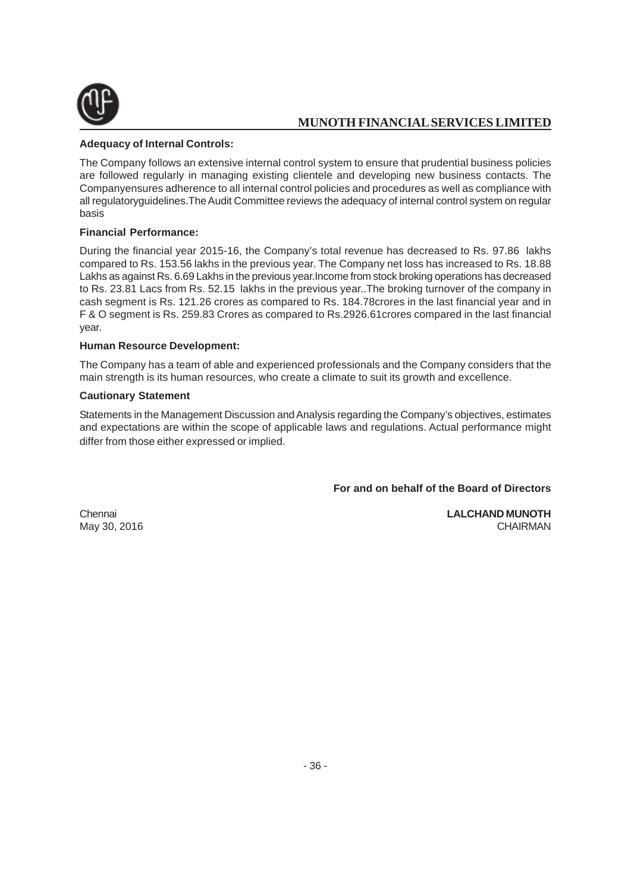

## **Adequacy of Internal Controls:**

The Company follows an extensive internal control system to ensure that prudential business policies are followed regularly in managing existing clientele and developing new business contacts. The Companyensures adherence to all internal control policies and procedures as well as compliance with all regulatoryguidelines.The Audit Committee reviews the adequacy of internal control system on regular basis

## **Financial Performance:**

During the financial year 2015-16, the Company's total revenue has decreased to Rs. 97.86 lakhs compared to Rs. 153.56 lakhs in the previous year. The Company net loss has increased to Rs. 18.88 Lakhs as against Rs. 6.69 Lakhs in the previous year.Income from stock broking operations has decreased to Rs. 23.81 Lacs from Rs. 52.15 lakhs in the previous year..The broking turnover of the company in cash segment is Rs. 121.26 crores as compared to Rs. 184.78crores in the last financial year and in F & O segment is Rs. 259.83 Crores as compared to Rs.2926.61crores compared in the last financial year.

## **Human Resource Development:**

The Company has a team of able and experienced professionals and the Company considers that the main strength is its human resources, who create a climate to suit its growth and excellence.

## **Cautionary Statement**

Statements in the Management Discussion and Analysis regarding the Company's objectives, estimates and expectations are within the scope of applicable laws and regulations. Actual performance might differ from those either expressed or implied.

**For and on behalf of the Board of Directors**

Chennai **LALCHAND MUNOTH** May 30, 2016 CHAIRMAN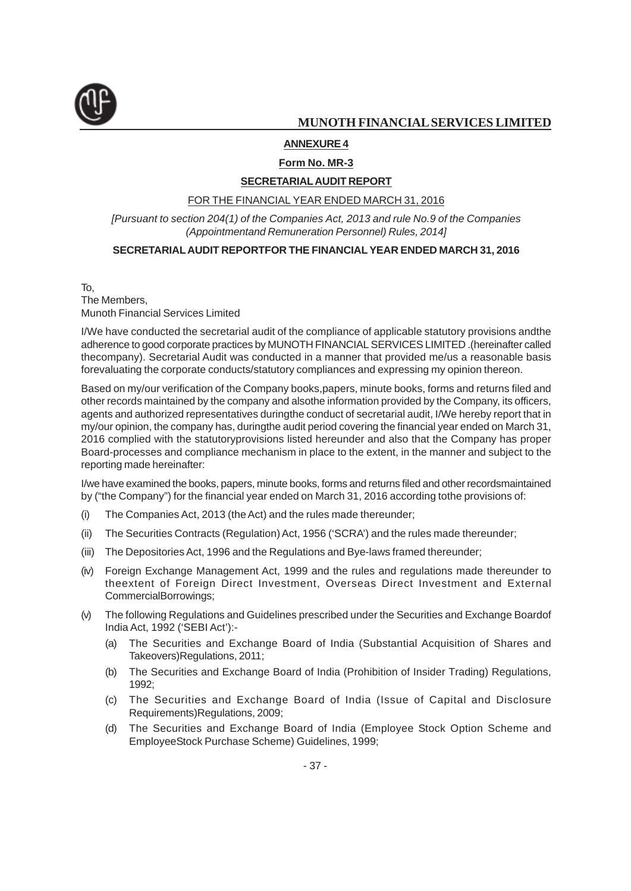

#### **ANNEXURE 4**

#### **Form No. MR-3**

#### **SECRETARIALAUDIT REPORT**

#### FOR THE FINANCIAL YEAR ENDED MARCH 31, 2016

[Pursuant to section 204(1) of the Companies Act, 2013 and rule No.9 of the Companies (Appointmentand Remuneration Personnel) Rules, 2014]

#### **SECRETARIALAUDIT REPORTFOR THE FINANCIALYEAR ENDED MARCH 31, 2016**

To, The Members, Munoth Financial Services Limited

I/We have conducted the secretarial audit of the compliance of applicable statutory provisions andthe adherence to good corporate practices by MUNOTH FINANCIAL SERVICES LIMITED .(hereinafter called thecompany). Secretarial Audit was conducted in a manner that provided me/us a reasonable basis forevaluating the corporate conducts/statutory compliances and expressing my opinion thereon.

Based on my/our verification of the Company books,papers, minute books, forms and returns filed and other records maintained by the company and alsothe information provided by the Company, its officers, agents and authorized representatives duringthe conduct of secretarial audit, I/We hereby report that in my/our opinion, the company has, duringthe audit period covering the financial year ended on March 31, 2016 complied with the statutoryprovisions listed hereunder and also that the Company has proper Board-processes and compliance mechanism in place to the extent, in the manner and subject to the reporting made hereinafter:

I/we have examined the books, papers, minute books, forms and returns filed and other recordsmaintained by ("the Company") for the financial year ended on March 31, 2016 according tothe provisions of:

- (i) The Companies Act, 2013 (the Act) and the rules made thereunder;
- (ii) The Securities Contracts (Regulation) Act, 1956 ('SCRA') and the rules made thereunder;
- (iii) The Depositories Act, 1996 and the Regulations and Bye-laws framed thereunder;
- (iv) Foreign Exchange Management Act, 1999 and the rules and regulations made thereunder to theextent of Foreign Direct Investment, Overseas Direct Investment and External CommercialBorrowings;
- (v) The following Regulations and Guidelines prescribed under the Securities and Exchange Boardof India Act, 1992 ('SEBI Act'):-
	- (a) The Securities and Exchange Board of India (Substantial Acquisition of Shares and Takeovers)Regulations, 2011;
	- (b) The Securities and Exchange Board of India (Prohibition of Insider Trading) Regulations, 1992;
	- (c) The Securities and Exchange Board of India (Issue of Capital and Disclosure Requirements)Regulations, 2009;
	- (d) The Securities and Exchange Board of India (Employee Stock Option Scheme and EmployeeStock Purchase Scheme) Guidelines, 1999;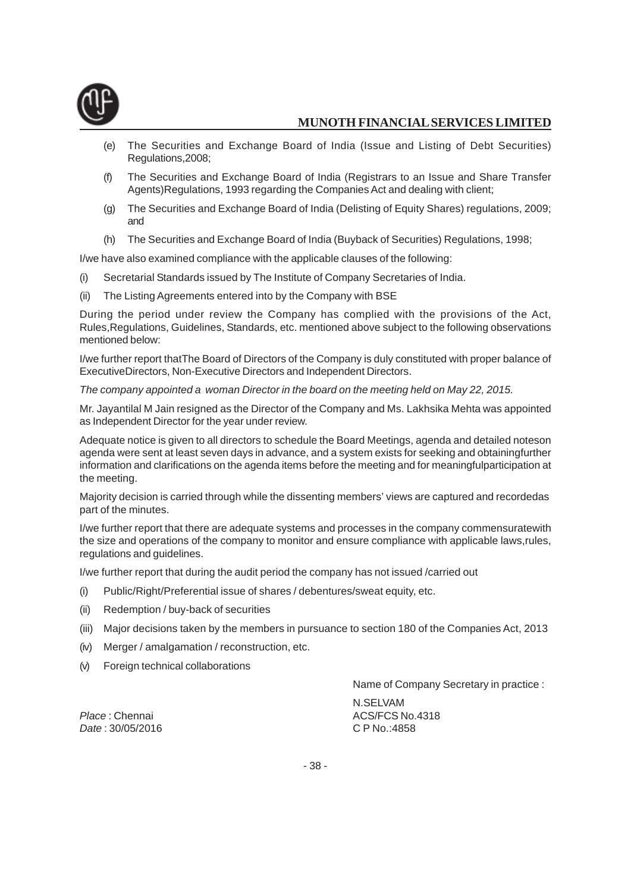

- (e) The Securities and Exchange Board of India (Issue and Listing of Debt Securities) Regulations,2008;
- (f) The Securities and Exchange Board of India (Registrars to an Issue and Share Transfer Agents)Regulations, 1993 regarding the Companies Act and dealing with client;
- (g) The Securities and Exchange Board of India (Delisting of Equity Shares) regulations, 2009; and
- (h) The Securities and Exchange Board of India (Buyback of Securities) Regulations, 1998;

I/we have also examined compliance with the applicable clauses of the following:

- (i) Secretarial Standards issued by The Institute of Company Secretaries of India.
- (ii) The Listing Agreements entered into by the Company with BSE

During the period under review the Company has complied with the provisions of the Act, Rules,Regulations, Guidelines, Standards, etc. mentioned above subject to the following observations mentioned below:

I/we further report thatThe Board of Directors of the Company is duly constituted with proper balance of ExecutiveDirectors, Non-Executive Directors and Independent Directors.

The company appointed a woman Director in the board on the meeting held on May 22, 2015.

Mr. Jayantilal M Jain resigned as the Director of the Company and Ms. Lakhsika Mehta was appointed as Independent Director for the year under review.

Adequate notice is given to all directors to schedule the Board Meetings, agenda and detailed noteson agenda were sent at least seven days in advance, and a system exists for seeking and obtainingfurther information and clarifications on the agenda items before the meeting and for meaningfulparticipation at the meeting.

Majority decision is carried through while the dissenting members' views are captured and recordedas part of the minutes.

I/we further report that there are adequate systems and processes in the company commensuratewith the size and operations of the company to monitor and ensure compliance with applicable laws,rules, regulations and guidelines.

I/we further report that during the audit period the company has not issued /carried out

- (i) Public/Right/Preferential issue of shares / debentures/sweat equity, etc.
- (ii) Redemption / buy-back of securities
- (iii) Major decisions taken by the members in pursuance to section 180 of the Companies Act, 2013
- (iv) Merger / amalgamation / reconstruction, etc.
- (v) Foreign technical collaborations

Name of Company Secretary in practice :

Date : 30/05/2016 C P No.:4858

N.SELVAM Place : Chennai ACS/FCS No.4318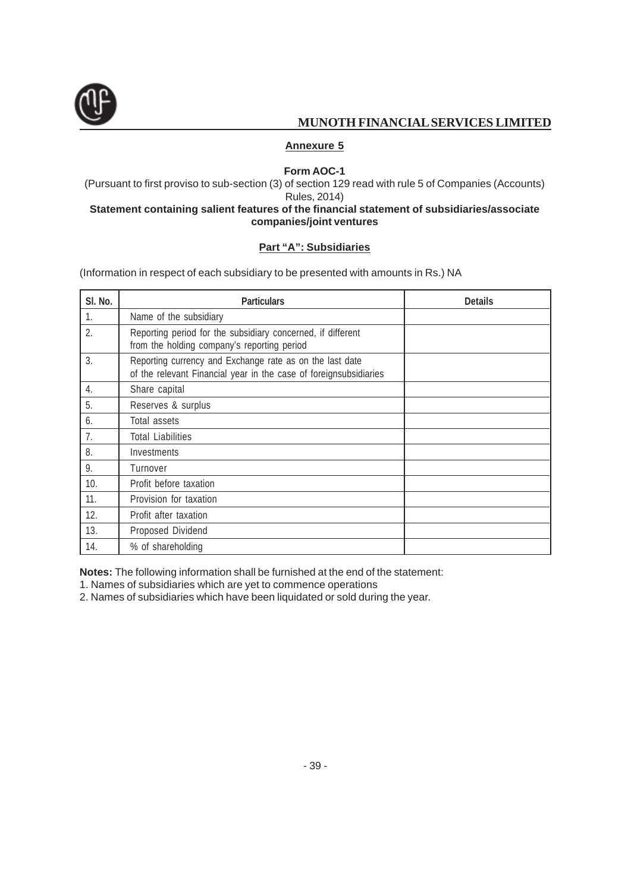

# **Annexure 5**

**Form AOC-1**

(Pursuant to first proviso to sub-section (3) of section 129 read with rule 5 of Companies (Accounts) Rules, 2014) **Statement containing salient features of the financial statement of subsidiaries/associate**

# **Part "A": Subsidiaries**

**companies/joint ventures**

(Information in respect of each subsidiary to be presented with amounts in Rs.) NA

| SI. No.          | <b>Particulars</b>                                                                                                            | <b>Details</b> |
|------------------|-------------------------------------------------------------------------------------------------------------------------------|----------------|
| 1.               | Name of the subsidiary                                                                                                        |                |
| 2.               | Reporting period for the subsidiary concerned, if different<br>from the holding company's reporting period                    |                |
| 3.               | Reporting currency and Exchange rate as on the last date<br>of the relevant Financial year in the case of foreignsubsidiaries |                |
| $\overline{4}$ . | Share capital                                                                                                                 |                |
| 5.               | Reserves & surplus                                                                                                            |                |
| 6.               | Total assets                                                                                                                  |                |
| 7.               | <b>Total Liabilities</b>                                                                                                      |                |
| 8.               | Investments                                                                                                                   |                |
| 9.               | Turnover                                                                                                                      |                |
| 10.              | Profit before taxation                                                                                                        |                |
| 11.              | Provision for taxation                                                                                                        |                |
| 12.              | Profit after taxation                                                                                                         |                |
| 13.              | Proposed Dividend                                                                                                             |                |
| 14.              | % of shareholding                                                                                                             |                |

**Notes:** The following information shall be furnished at the end of the statement:

1. Names of subsidiaries which are yet to commence operations

2. Names of subsidiaries which have been liquidated or sold during the year.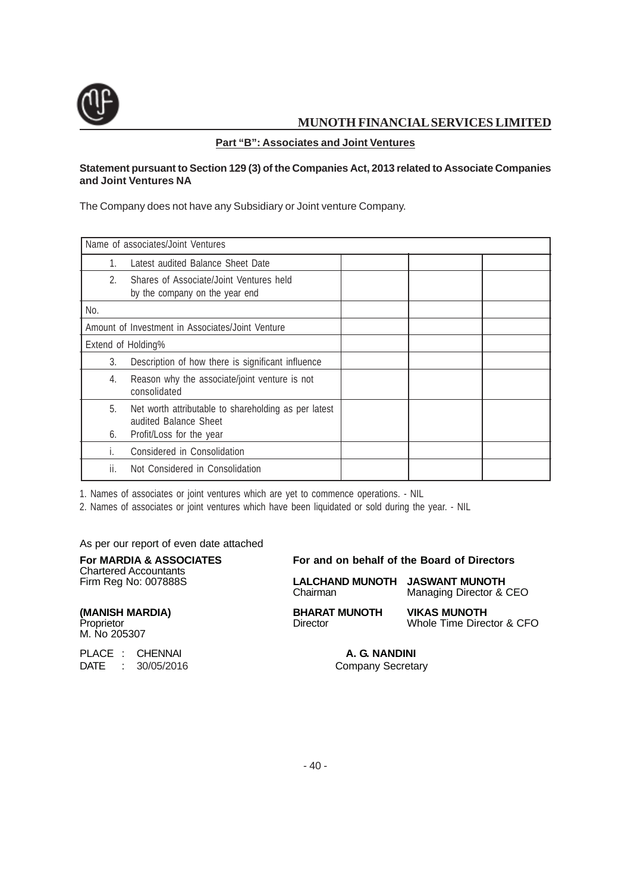

## **Part "B": Associates and Joint Ventures**

## **Statement pursuant to Section 129 (3) of the Companies Act, 2013 related to Associate Companies and Joint Ventures NA**

The Company does not have any Subsidiary or Joint venture Company.

|                | Name of associates/Joint Ventures                                                                         |  |  |
|----------------|-----------------------------------------------------------------------------------------------------------|--|--|
| 1.             | Latest audited Balance Sheet Date                                                                         |  |  |
| 2 <sup>1</sup> | Shares of Associate/Joint Ventures held<br>by the company on the year end                                 |  |  |
| No.            |                                                                                                           |  |  |
|                | Amount of Investment in Associates/Joint Venture                                                          |  |  |
|                | Extend of Holding%                                                                                        |  |  |
| 3.             | Description of how there is significant influence                                                         |  |  |
| 4.             | Reason why the associate/joint venture is not<br>consolidated                                             |  |  |
| 5.<br>6.       | Net worth attributable to shareholding as per latest<br>audited Balance Sheet<br>Profit/Loss for the year |  |  |
|                |                                                                                                           |  |  |
| L.             | Considered in Consolidation                                                                               |  |  |
| ii.            | Not Considered in Consolidation                                                                           |  |  |

1. Names of associates or joint ventures which are yet to commence operations. - NIL

2. Names of associates or joint ventures which have been liquidated or sold during the year. - NIL

As per our report of even date attached

| <b>For MARDIA &amp; ASSOCIATES</b> |  |  |
|------------------------------------|--|--|
| <b>Chartered Accountants</b>       |  |  |

# For and on behalf of the Board of Directors

Firm Reg No: 007888S **LALCHAND MUNOTH JASWANT MUNOTH**

Managing Director & CEO

**(MANISH MARDIA) BHARAT MUNOTH VIKAS MUNOTH**

Whole Time Director & CFO

PLACE : CHENNAI **A. G. NANDINI** DATE : 30/05/2016 Company Secretary

M. No 205307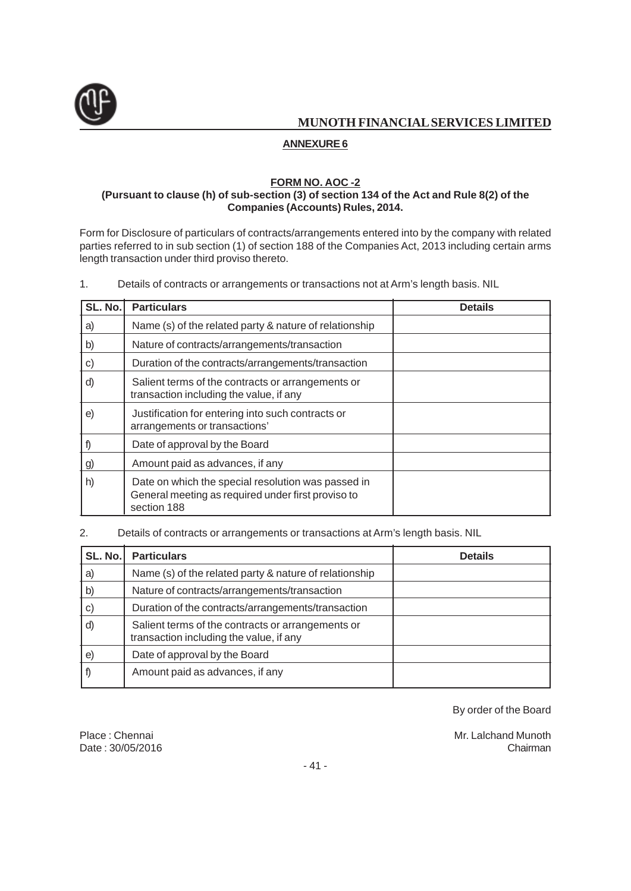

# **ANNEXURE 6**

## **FORM NO. AOC -2**

## **(Pursuant to clause (h) of sub-section (3) of section 134 of the Act and Rule 8(2) of the Companies (Accounts) Rules, 2014.**

Form for Disclosure of particulars of contracts/arrangements entered into by the company with related parties referred to in sub section (1) of section 188 of the Companies Act, 2013 including certain arms length transaction under third proviso thereto.

1. Details of contracts or arrangements or transactions not at Arm's length basis. NIL

| SL. No.      | <b>Particulars</b>                                                                                                      | <b>Details</b> |
|--------------|-------------------------------------------------------------------------------------------------------------------------|----------------|
| a)           | Name (s) of the related party & nature of relationship                                                                  |                |
| b)           | Nature of contracts/arrangements/transaction                                                                            |                |
| $\mathsf{C}$ | Duration of the contracts/arrangements/transaction                                                                      |                |
| d)           | Salient terms of the contracts or arrangements or<br>transaction including the value, if any                            |                |
| e)           | Justification for entering into such contracts or<br>arrangements or transactions'                                      |                |
|              | Date of approval by the Board                                                                                           |                |
| g)           | Amount paid as advances, if any                                                                                         |                |
| h)           | Date on which the special resolution was passed in<br>General meeting as required under first proviso to<br>section 188 |                |

2. Details of contracts or arrangements or transactions at Arm's length basis. NIL

| SL. No.      | <b>Particulars</b>                                                                           | <b>Details</b> |
|--------------|----------------------------------------------------------------------------------------------|----------------|
| a)           | Name (s) of the related party & nature of relationship                                       |                |
| b)           | Nature of contracts/arrangements/transaction                                                 |                |
| $\mathbf{C}$ | Duration of the contracts/arrangements/transaction                                           |                |
| d)           | Salient terms of the contracts or arrangements or<br>transaction including the value, if any |                |
| $\epsilon$   | Date of approval by the Board                                                                |                |
|              | Amount paid as advances, if any                                                              |                |

By order of the Board

Date : 30/05/2016 **Chairman** 

Place : Chennai Munoth (New York) and the Chennai Munoth (New York) and Munoth (New York) and Munoth (New York)  $Mr$ . Lalchand Munoth

- 41 -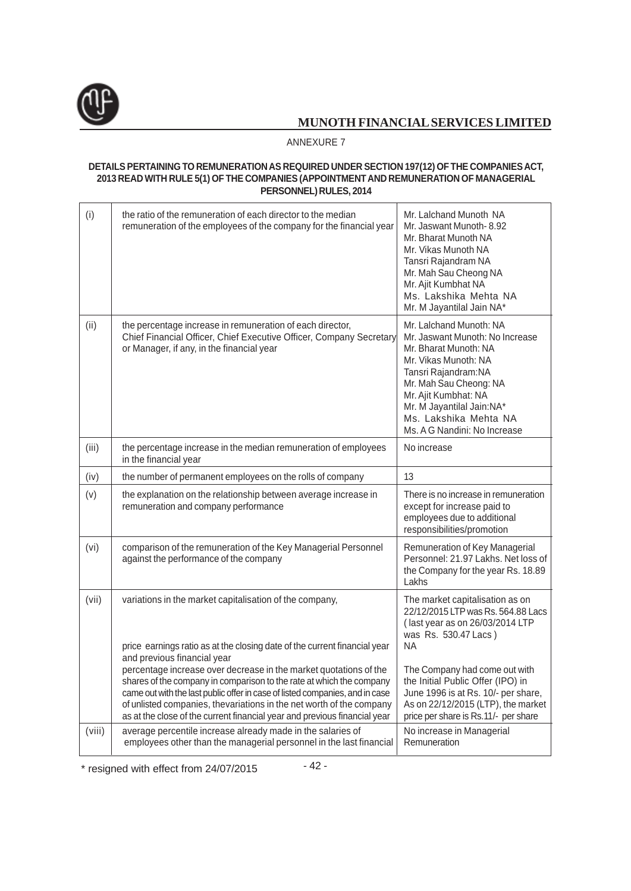

#### ANNEXURE 7

#### **DETAILS PERTAINING TO REMUNERATION AS REQUIRED UNDER SECTION 197(12) OF THE COMPANIES ACT, 2013 READ WITH RULE 5(1) OF THE COMPANIES (APPOINTMENT AND REMUNERATION OF MANAGERIAL PERSONNEL) RULES, 2014**

| (i)    | the ratio of the remuneration of each director to the median<br>remuneration of the employees of the company for the financial year                                                                                                                                                                                                                                                                           | Mr. Lalchand Munoth NA<br>Mr. Jaswant Munoth-8.92<br>Mr. Bharat Munoth NA<br>Mr. Vikas Munoth NA<br>Tansri Rajandram NA<br>Mr. Mah Sau Cheong NA<br>Mr. Ajit Kumbhat NA<br>Ms. Lakshika Mehta NA<br>Mr. M Jayantilal Jain NA*                                              |
|--------|---------------------------------------------------------------------------------------------------------------------------------------------------------------------------------------------------------------------------------------------------------------------------------------------------------------------------------------------------------------------------------------------------------------|----------------------------------------------------------------------------------------------------------------------------------------------------------------------------------------------------------------------------------------------------------------------------|
| (ii)   | the percentage increase in remuneration of each director,<br>Chief Financial Officer, Chief Executive Officer, Company Secretary<br>or Manager, if any, in the financial year                                                                                                                                                                                                                                 | Mr. Lalchand Munoth: NA<br>Mr. Jaswant Munoth: No Increase<br>Mr. Bharat Munoth: NA<br>Mr. Vikas Munoth: NA<br>Tansri Rajandram:NA<br>Mr. Mah Sau Cheong: NA<br>Mr. Ajit Kumbhat: NA<br>Mr. M Jayantilal Jain:NA*<br>Ms. Lakshika Mehta NA<br>Ms. A G Nandini: No Increase |
| (iii)  | the percentage increase in the median remuneration of employees<br>in the financial year                                                                                                                                                                                                                                                                                                                      | No increase                                                                                                                                                                                                                                                                |
| (iv)   | the number of permanent employees on the rolls of company                                                                                                                                                                                                                                                                                                                                                     | 13                                                                                                                                                                                                                                                                         |
| (v)    | the explanation on the relationship between average increase in<br>remuneration and company performance                                                                                                                                                                                                                                                                                                       | There is no increase in remuneration<br>except for increase paid to<br>employees due to additional<br>responsibilities/promotion                                                                                                                                           |
| (vi)   | comparison of the remuneration of the Key Managerial Personnel<br>against the performance of the company                                                                                                                                                                                                                                                                                                      | Remuneration of Key Managerial<br>Personnel: 21.97 Lakhs. Net loss of<br>the Company for the year Rs. 18.89<br>Lakhs                                                                                                                                                       |
| (vii)  | variations in the market capitalisation of the company,<br>price earnings ratio as at the closing date of the current financial year                                                                                                                                                                                                                                                                          | The market capitalisation as on<br>22/12/2015 LTP was Rs. 564.88 Lacs<br>(last year as on 26/03/2014 LTP<br>was Rs. 530.47 Lacs)<br><b>NA</b>                                                                                                                              |
|        | and previous financial year<br>percentage increase over decrease in the market quotations of the<br>shares of the company in comparison to the rate at which the company<br>came out with the last public offer in case of listed companies, and in case<br>of unlisted companies, thevariations in the net worth of the company<br>as at the close of the current financial year and previous financial year | The Company had come out with<br>the Initial Public Offer (IPO) in<br>June 1996 is at Rs. 10/- per share,<br>As on 22/12/2015 (LTP), the market<br>price per share is Rs.11/- per share                                                                                    |
| (viii) | average percentile increase already made in the salaries of<br>employees other than the managerial personnel in the last financial                                                                                                                                                                                                                                                                            | No increase in Managerial<br>Remuneration                                                                                                                                                                                                                                  |

\* resigned with effect from 24/07/2015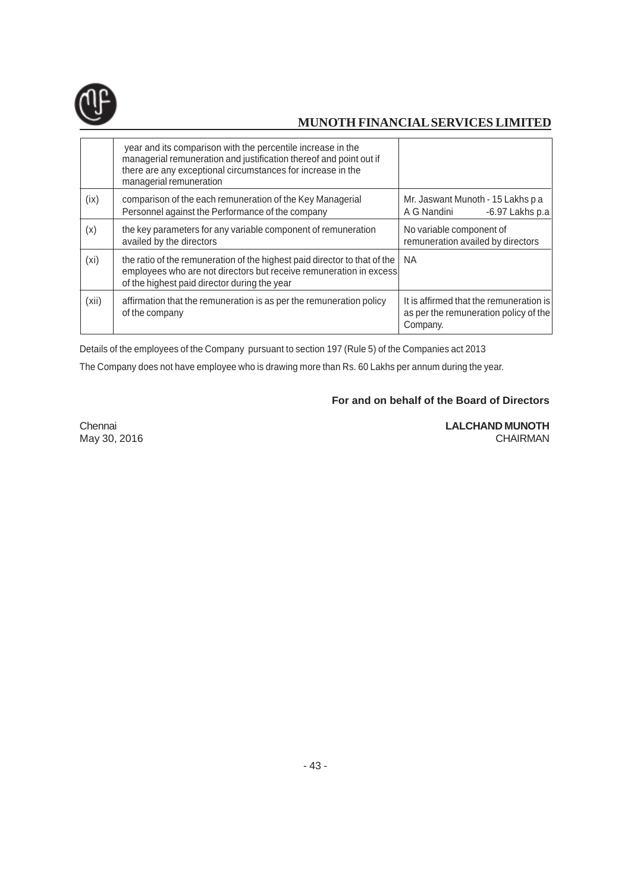

|       | year and its comparison with the percentile increase in the<br>managerial remuneration and justification thereof and point out if<br>there are any exceptional circumstances for increase in the<br>managerial remuneration |                                                                                              |
|-------|-----------------------------------------------------------------------------------------------------------------------------------------------------------------------------------------------------------------------------|----------------------------------------------------------------------------------------------|
| (ix)  | comparison of the each remuneration of the Key Managerial<br>Personnel against the Performance of the company                                                                                                               | Mr. Jaswant Munoth - 15 Lakhs p a<br>-6.97 Lakhs p.a<br>A G Nandini                          |
| (x)   | the key parameters for any variable component of remuneration<br>availed by the directors                                                                                                                                   | No variable component of<br>remuneration availed by directors                                |
| (xi)  | the ratio of the remuneration of the highest paid director to that of the<br>employees who are not directors but receive remuneration in excess<br>of the highest paid director during the year                             | <b>NA</b>                                                                                    |
| (xii) | affirmation that the remuneration is as per the remuneration policy<br>of the company                                                                                                                                       | It is affirmed that the remuneration is<br>as per the remuneration policy of the<br>Company. |

Details of the employees of the Company pursuant to section 197 (Rule 5) of the Companies act 2013

The Company does not have employee who is drawing more than Rs. 60 Lakhs per annum during the year.

# **For and on behalf of the Board of Directors**

May 30, 2016

Chennai **LALCHAND MUNOTH**<br>May 30, 2016 **CHAIRMAN**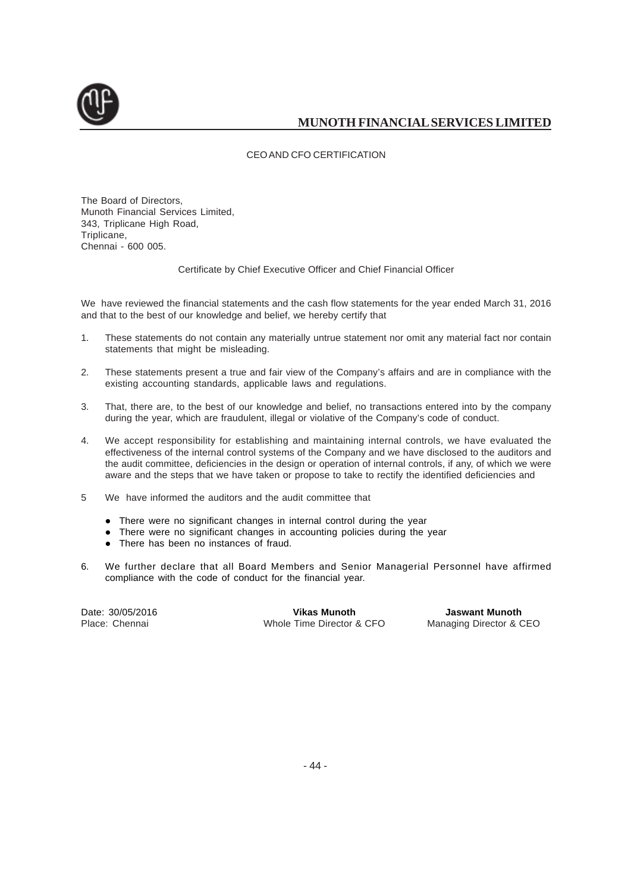

#### CEO AND CFO CERTIFICATION

The Board of Directors, Munoth Financial Services Limited, 343, Triplicane High Road, Triplicane, Chennai - 600 005.

#### Certificate by Chief Executive Officer and Chief Financial Officer

We have reviewed the financial statements and the cash flow statements for the year ended March 31, 2016 and that to the best of our knowledge and belief, we hereby certify that

- 1. These statements do not contain any materially untrue statement nor omit any material fact nor contain statements that might be misleading.
- 2. These statements present a true and fair view of the Company's affairs and are in compliance with the existing accounting standards, applicable laws and regulations.
- 3. That, there are, to the best of our knowledge and belief, no transactions entered into by the company during the year, which are fraudulent, illegal or violative of the Company's code of conduct.
- 4. We accept responsibility for establishing and maintaining internal controls, we have evaluated the effectiveness of the internal control systems of the Company and we have disclosed to the auditors and the audit committee, deficiencies in the design or operation of internal controls, if any, of which we were aware and the steps that we have taken or propose to take to rectify the identified deficiencies and
- 5 We have informed the auditors and the audit committee that
	- There were no significant changes in internal control during the year
	- There were no significant changes in accounting policies during the year
	- There has been no instances of fraud.
- 6. We further declare that all Board Members and Senior Managerial Personnel have affirmed compliance with the code of conduct for the financial year.

Date: 30/05/2016 **Vikas Munoth Jaswant Munoth** Whole Time Director & CFO Managing Director & CEO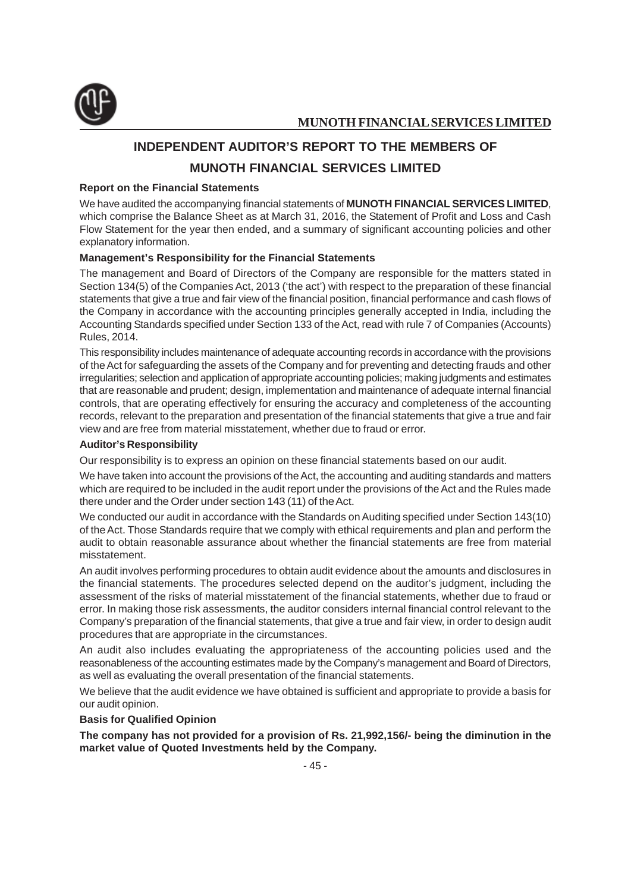

# **INDEPENDENT AUDITOR'S REPORT TO THE MEMBERS OF MUNOTH FINANCIAL SERVICES LIMITED**

#### **Report on the Financial Statements**

We have audited the accompanying financial statements of **MUNOTH FINANCIAL SERVICES LIMITED**, which comprise the Balance Sheet as at March 31, 2016, the Statement of Profit and Loss and Cash Flow Statement for the year then ended, and a summary of significant accounting policies and other explanatory information.

## **Management's Responsibility for the Financial Statements**

The management and Board of Directors of the Company are responsible for the matters stated in Section 134(5) of the Companies Act, 2013 ('the act') with respect to the preparation of these financial statements that give a true and fair view of the financial position, financial performance and cash flows of the Company in accordance with the accounting principles generally accepted in India, including the Accounting Standards specified under Section 133 of the Act, read with rule 7 of Companies (Accounts) Rules, 2014.

This responsibility includes maintenance of adequate accounting records in accordance with the provisions of the Act for safeguarding the assets of the Company and for preventing and detecting frauds and other irregularities; selection and application of appropriate accounting policies; making judgments and estimates that are reasonable and prudent; design, implementation and maintenance of adequate internal financial controls, that are operating effectively for ensuring the accuracy and completeness of the accounting records, relevant to the preparation and presentation of the financial statements that give a true and fair view and are free from material misstatement, whether due to fraud or error.

#### **Auditor's Responsibility**

Our responsibility is to express an opinion on these financial statements based on our audit.

We have taken into account the provisions of the Act, the accounting and auditing standards and matters which are required to be included in the audit report under the provisions of the Act and the Rules made there under and the Order under section 143 (11) of the Act.

We conducted our audit in accordance with the Standards on Auditing specified under Section 143(10) of the Act. Those Standards require that we comply with ethical requirements and plan and perform the audit to obtain reasonable assurance about whether the financial statements are free from material misstatement.

An audit involves performing procedures to obtain audit evidence about the amounts and disclosures in the financial statements. The procedures selected depend on the auditor's judgment, including the assessment of the risks of material misstatement of the financial statements, whether due to fraud or error. In making those risk assessments, the auditor considers internal financial control relevant to the Company's preparation of the financial statements, that give a true and fair view, in order to design audit procedures that are appropriate in the circumstances.

An audit also includes evaluating the appropriateness of the accounting policies used and the reasonableness of the accounting estimates made by the Company's management and Board of Directors, as well as evaluating the overall presentation of the financial statements.

We believe that the audit evidence we have obtained is sufficient and appropriate to provide a basis for our audit opinion.

## **Basis for Qualified Opinion**

**The company has not provided for a provision of Rs. 21,992,156/- being the diminution in the market value of Quoted Investments held by the Company.**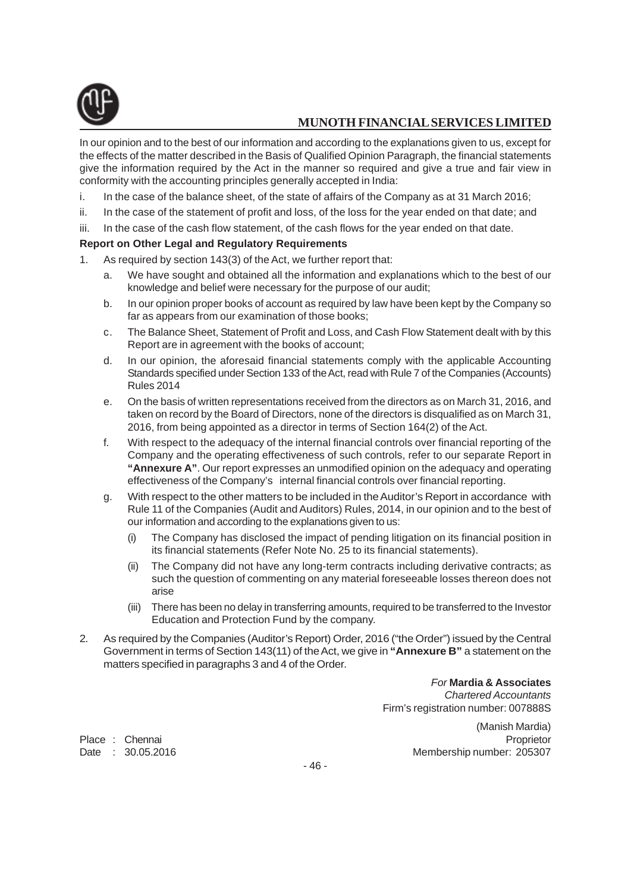

In our opinion and to the best of our information and according to the explanations given to us, except for the effects of the matter described in the Basis of Qualified Opinion Paragraph, the financial statements give the information required by the Act in the manner so required and give a true and fair view in conformity with the accounting principles generally accepted in India:

- i. In the case of the balance sheet, of the state of affairs of the Company as at 31 March 2016;
- ii. In the case of the statement of profit and loss, of the loss for the year ended on that date; and
- iii. In the case of the cash flow statement, of the cash flows for the year ended on that date.

## **Report on Other Legal and Regulatory Requirements**

- 1. As required by section 143(3) of the Act, we further report that:
	- a. We have sought and obtained all the information and explanations which to the best of our knowledge and belief were necessary for the purpose of our audit;
	- b. In our opinion proper books of account as required by law have been kept by the Company so far as appears from our examination of those books;
	- c. The Balance Sheet, Statement of Profit and Loss, and Cash Flow Statement dealt with by this Report are in agreement with the books of account;
	- d. In our opinion, the aforesaid financial statements comply with the applicable Accounting Standards specified under Section 133 of the Act, read with Rule 7 of the Companies (Accounts) Rules 2014
	- e. On the basis of written representations received from the directors as on March 31, 2016, and taken on record by the Board of Directors, none of the directors is disqualified as on March 31, 2016, from being appointed as a director in terms of Section 164(2) of the Act.
	- f. With respect to the adequacy of the internal financial controls over financial reporting of the Company and the operating effectiveness of such controls, refer to our separate Report in **"Annexure A"**. Our report expresses an unmodified opinion on the adequacy and operating effectiveness of the Company's internal financial controls over financial reporting.
	- g. With respect to the other matters to be included in the Auditor's Report in accordance with Rule 11 of the Companies (Audit and Auditors) Rules, 2014, in our opinion and to the best of our information and according to the explanations given to us:
		- (i) The Company has disclosed the impact of pending litigation on its financial position in its financial statements (Refer Note No. 25 to its financial statements).
		- (ii) The Company did not have any long-term contracts including derivative contracts; as such the question of commenting on any material foreseeable losses thereon does not arise
		- (iii) There has been no delay in transferring amounts, required to be transferred to the Investor Education and Protection Fund by the company.
- 2. As required by the Companies (Auditor's Report) Order, 2016 ("the Order") issued by the Central Government in terms of Section 143(11) of the Act, we give in **"Annexure B"** a statement on the matters specified in paragraphs 3 and 4 of the Order.

For **Mardia & Associates** Chartered Accountants Firm's registration number: 007888S

(Manish Mardia) Place : Chennai Proprietor et al. et al. et al. et al. et al. et al. et al. et al. et al. et al. et al. et al. et al. et al. et al. et al. et al. et al. et al. et al. et al. et al. et al. et al. et al. et al. et al. et al. Date : 30.05.2016 Membership number: 205307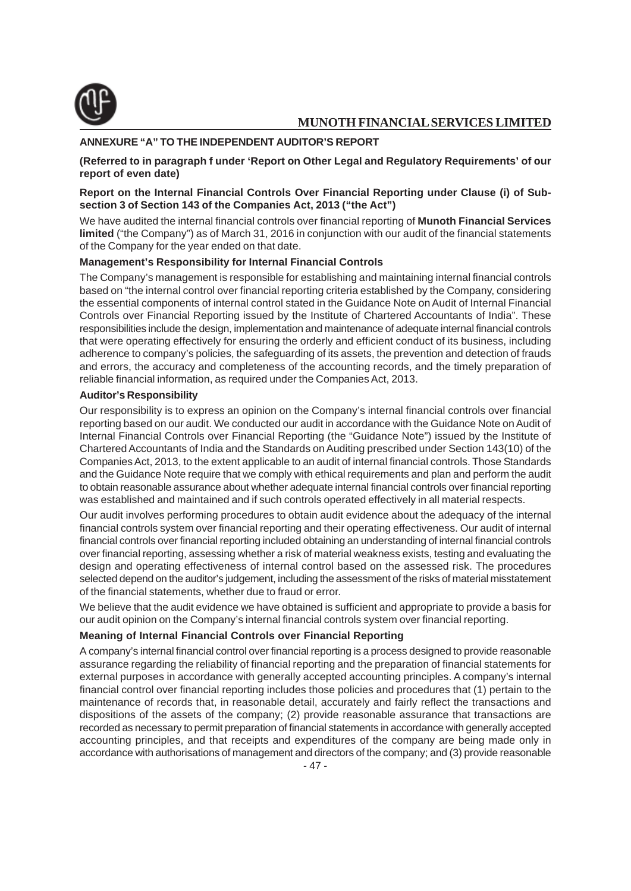

## **ANNEXURE "A" TO THE INDEPENDENT AUDITOR'S REPORT**

**(Referred to in paragraph f under 'Report on Other Legal and Regulatory Requirements' of our report of even date)**

#### **Report on the Internal Financial Controls Over Financial Reporting under Clause (i) of Subsection 3 of Section 143 of the Companies Act, 2013 ("the Act")**

We have audited the internal financial controls over financial reporting of **Munoth Financial Services limited** ("the Company") as of March 31, 2016 in conjunction with our audit of the financial statements of the Company for the year ended on that date.

#### **Management's Responsibility for Internal Financial Controls**

The Company's management is responsible for establishing and maintaining internal financial controls based on "the internal control over financial reporting criteria established by the Company, considering the essential components of internal control stated in the Guidance Note on Audit of Internal Financial Controls over Financial Reporting issued by the Institute of Chartered Accountants of India". These responsibilities include the design, implementation and maintenance of adequate internal financial controls that were operating effectively for ensuring the orderly and efficient conduct of its business, including adherence to company's policies, the safeguarding of its assets, the prevention and detection of frauds and errors, the accuracy and completeness of the accounting records, and the timely preparation of reliable financial information, as required under the Companies Act, 2013.

#### **Auditor's Responsibility**

Our responsibility is to express an opinion on the Company's internal financial controls over financial reporting based on our audit. We conducted our audit in accordance with the Guidance Note on Audit of Internal Financial Controls over Financial Reporting (the "Guidance Note") issued by the Institute of Chartered Accountants of India and the Standards on Auditing prescribed under Section 143(10) of the Companies Act, 2013, to the extent applicable to an audit of internal financial controls. Those Standards and the Guidance Note require that we comply with ethical requirements and plan and perform the audit to obtain reasonable assurance about whether adequate internal financial controls over financial reporting was established and maintained and if such controls operated effectively in all material respects.

Our audit involves performing procedures to obtain audit evidence about the adequacy of the internal financial controls system over financial reporting and their operating effectiveness. Our audit of internal financial controls over financial reporting included obtaining an understanding of internal financial controls over financial reporting, assessing whether a risk of material weakness exists, testing and evaluating the design and operating effectiveness of internal control based on the assessed risk. The procedures selected depend on the auditor's judgement, including the assessment of the risks of material misstatement of the financial statements, whether due to fraud or error.

We believe that the audit evidence we have obtained is sufficient and appropriate to provide a basis for our audit opinion on the Company's internal financial controls system over financial reporting.

#### **Meaning of Internal Financial Controls over Financial Reporting**

A company's internal financial control over financial reporting is a process designed to provide reasonable assurance regarding the reliability of financial reporting and the preparation of financial statements for external purposes in accordance with generally accepted accounting principles. A company's internal financial control over financial reporting includes those policies and procedures that (1) pertain to the maintenance of records that, in reasonable detail, accurately and fairly reflect the transactions and dispositions of the assets of the company; (2) provide reasonable assurance that transactions are recorded as necessary to permit preparation of financial statements in accordance with generally accepted accounting principles, and that receipts and expenditures of the company are being made only in accordance with authorisations of management and directors of the company; and (3) provide reasonable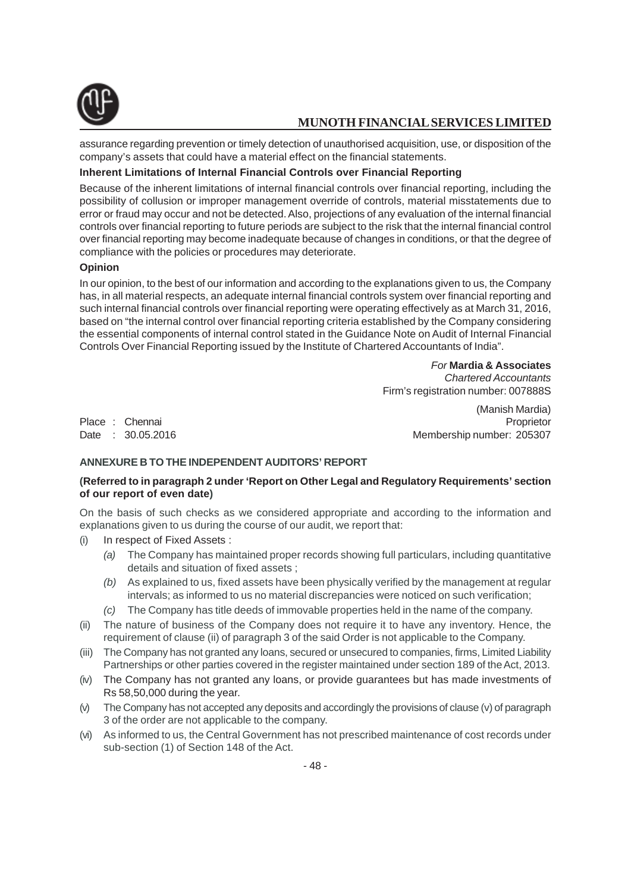

assurance regarding prevention or timely detection of unauthorised acquisition, use, or disposition of the company's assets that could have a material effect on the financial statements.

#### **Inherent Limitations of Internal Financial Controls over Financial Reporting**

Because of the inherent limitations of internal financial controls over financial reporting, including the possibility of collusion or improper management override of controls, material misstatements due to error or fraud may occur and not be detected. Also, projections of any evaluation of the internal financial controls over financial reporting to future periods are subject to the risk that the internal financial control over financial reporting may become inadequate because of changes in conditions, or that the degree of compliance with the policies or procedures may deteriorate.

#### **Opinion**

In our opinion, to the best of our information and according to the explanations given to us, the Company has, in all material respects, an adequate internal financial controls system over financial reporting and such internal financial controls over financial reporting were operating effectively as at March 31, 2016, based on "the internal control over financial reporting criteria established by the Company considering the essential components of internal control stated in the Guidance Note on Audit of Internal Financial Controls Over Financial Reporting issued by the Institute of Chartered Accountants of India".

# For **Mardia & Associates**

Chartered Accountants Firm's registration number: 007888S

(Manish Mardia) Place : Chennai **Proprietor** Proprietor et al. **Proprietor** Proprietor et al. **Proprietor** Date : 30.05.2016 Membership number: 205307

#### **ANNEXURE B TO THE INDEPENDENT AUDITORS' REPORT**

#### **(Referred to in paragraph 2 under 'Report on Other Legal and Regulatory Requirements' section of our report of even date)**

On the basis of such checks as we considered appropriate and according to the information and explanations given to us during the course of our audit, we report that:

- (i) In respect of Fixed Assets :
	- (a) The Company has maintained proper records showing full particulars, including quantitative details and situation of fixed assets ;
	- (b) As explained to us, fixed assets have been physically verified by the management at regular intervals; as informed to us no material discrepancies were noticed on such verification;
	- (c) The Company has title deeds of immovable properties held in the name of the company.
- (ii) The nature of business of the Company does not require it to have any inventory. Hence, the requirement of clause (ii) of paragraph 3 of the said Order is not applicable to the Company.
- (iii) The Company has not granted any loans, secured or unsecured to companies, firms, Limited Liability Partnerships or other parties covered in the register maintained under section 189 of the Act, 2013.
- (iv) The Company has not granted any loans, or provide guarantees but has made investments of Rs 58,50,000 during the year.
- (v) The Company has not accepted any deposits and accordingly the provisions of clause (v) of paragraph 3 of the order are not applicable to the company.
- (vi) As informed to us, the Central Government has not prescribed maintenance of cost records under sub-section (1) of Section 148 of the Act.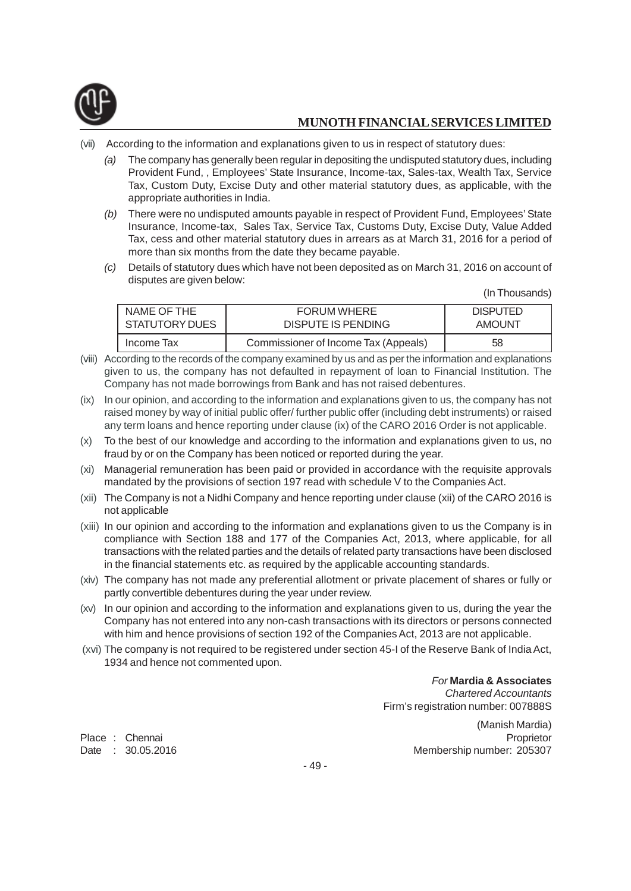

- According to the information and explanations given to us in respect of statutory dues:
	- The company has generally been regular in depositing the undisputed statutory dues, including Provident Fund, , Employees' State Insurance, Income-tax, Sales-tax, Wealth Tax, Service Tax, Custom Duty, Excise Duty and other material statutory dues, as applicable, with the appropriate authorities in India.
	- (b) There were no undisputed amounts payable in respect of Provident Fund, Employees' State Insurance, Income-tax, Sales Tax, Service Tax, Customs Duty, Excise Duty, Value Added Tax, cess and other material statutory dues in arrears as at March 31, 2016 for a period of more than six months from the date they became payable.
	- (c) Details of statutory dues which have not been deposited as on March 31, 2016 on account of disputes are given below:

(In Thousands)

| NAME OF THE    | <b>FORUM WHERE</b>                   | <b>DISPUTED</b> |
|----------------|--------------------------------------|-----------------|
| STATUTORY DUES | DISPUTE IS PENDING                   | AMOUNT          |
| Income Tax     | Commissioner of Income Tax (Appeals) | 58              |

- (viii) According to the records of the company examined by us and as per the information and explanations given to us, the company has not defaulted in repayment of loan to Financial Institution. The Company has not made borrowings from Bank and has not raised debentures.
- (ix) In our opinion, and according to the information and explanations given to us, the company has not raised money by way of initial public offer/ further public offer (including debt instruments) or raised any term loans and hence reporting under clause (ix) of the CARO 2016 Order is not applicable.
- (x) To the best of our knowledge and according to the information and explanations given to us, no fraud by or on the Company has been noticed or reported during the year.
- (xi) Managerial remuneration has been paid or provided in accordance with the requisite approvals mandated by the provisions of section 197 read with schedule V to the Companies Act.
- (xii) The Company is not a Nidhi Company and hence reporting under clause (xii) of the CARO 2016 is not applicable
- (xiii) In our opinion and according to the information and explanations given to us the Company is in compliance with Section 188 and 177 of the Companies Act, 2013, where applicable, for all transactions with the related parties and the details of related party transactions have been disclosed in the financial statements etc. as required by the applicable accounting standards.
- (xiv) The company has not made any preferential allotment or private placement of shares or fully or partly convertible debentures during the year under review.
- (xv) In our opinion and according to the information and explanations given to us, during the year the Company has not entered into any non-cash transactions with its directors or persons connected with him and hence provisions of section 192 of the Companies Act, 2013 are not applicable.
- (xvi) The company is not required to be registered under section 45-I of the Reserve Bank of India Act, 1934 and hence not commented upon.

#### For **Mardia & Associates**

Chartered Accountants Firm's registration number: 007888S

(Manish Mardia) Place : Chennai Proprietor et al. Proprietor et al. Proprietor et al. Proprietor et al. Proprietor Date : 30.05.2016 Membership number: 205307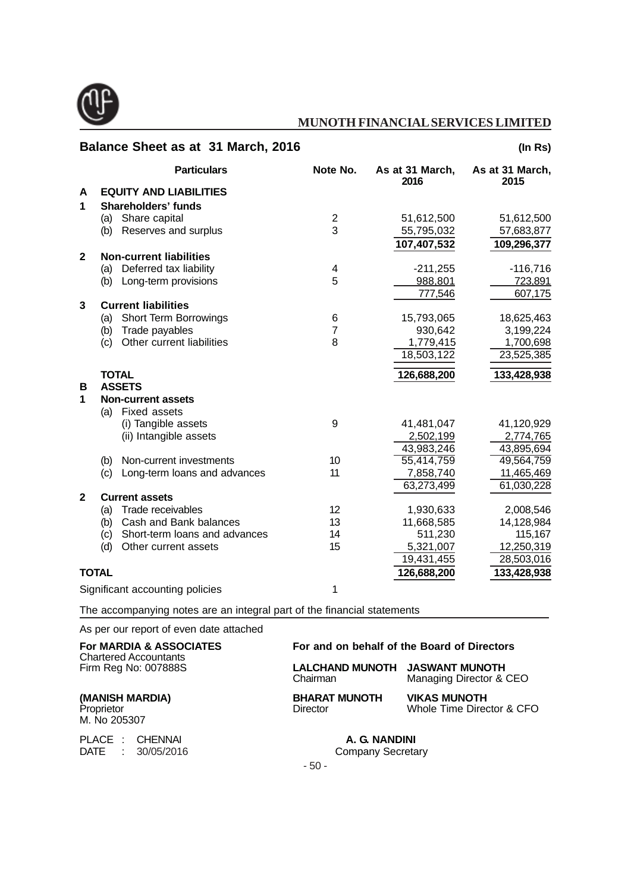

|              | Balance Sheet as at 31 March, 2016<br>(ln Rs) |                     |                         |                         |  |  |
|--------------|-----------------------------------------------|---------------------|-------------------------|-------------------------|--|--|
|              | <b>Particulars</b>                            | Note No.            | As at 31 March,<br>2016 | As at 31 March,<br>2015 |  |  |
| A            | <b>EQUITY AND LIABILITIES</b>                 |                     |                         |                         |  |  |
| 1            | <b>Shareholders' funds</b>                    |                     |                         |                         |  |  |
|              | Share capital<br>(a)                          | 2                   | 51,612,500              | 51,612,500              |  |  |
|              | Reserves and surplus<br>(b)                   | 3                   | 55,795,032              | 57,683,877              |  |  |
|              |                                               |                     | 107,407,532             | 109,296,377             |  |  |
| $\mathbf{2}$ | <b>Non-current liabilities</b>                |                     |                         |                         |  |  |
|              | (a) Deferred tax liability                    | 4                   | $-211,255$              | $-116,716$              |  |  |
|              | Long-term provisions<br>(b)                   | 5                   | 988,801                 | 723,891                 |  |  |
|              |                                               |                     | 777,546                 | 607,175                 |  |  |
| 3            | <b>Current liabilities</b>                    |                     |                         |                         |  |  |
|              | <b>Short Term Borrowings</b><br>(a)           | 6                   | 15,793,065              | 18,625,463              |  |  |
|              | Trade payables<br>(b)                         | $\overline{7}$<br>8 | 930,642                 | 3,199,224               |  |  |
|              | Other current liabilities<br>(c)              |                     | 1,779,415<br>18,503,122 | 1,700,698               |  |  |
|              |                                               |                     |                         | 23,525,385              |  |  |
|              | <b>TOTAL</b>                                  |                     | 126,688,200             | 133,428,938             |  |  |
| В            | <b>ASSETS</b>                                 |                     |                         |                         |  |  |
| $\mathbf 1$  | <b>Non-current assets</b>                     |                     |                         |                         |  |  |
|              | (a) Fixed assets                              |                     |                         |                         |  |  |
|              | (i) Tangible assets                           | 9                   | 41,481,047              | 41,120,929              |  |  |
|              | (ii) Intangible assets                        |                     | 2,502,199               | 2,774,765               |  |  |
|              |                                               |                     | 43,983,246              | 43,895,694              |  |  |
|              | Non-current investments<br>(b)                | 10                  | 55,414,759              | 49,564,759              |  |  |
|              | Long-term loans and advances<br>(c)           | 11                  | 7,858,740               | 11,465,469              |  |  |
|              |                                               |                     | 63,273,499              | 61,030,228              |  |  |
| $\mathbf{2}$ | <b>Current assets</b>                         |                     |                         |                         |  |  |
|              | Trade receivables<br>(a)                      | 12                  | 1,930,633               | 2,008,546               |  |  |
|              | (b) Cash and Bank balances                    | 13                  | 11,668,585              | 14,128,984              |  |  |
|              | (c) Short-term loans and advances             | 14                  | 511,230                 | 115,167                 |  |  |
|              | (d)<br>Other current assets                   | 15                  | 5,321,007               | 12,250,319              |  |  |
|              |                                               |                     | 19,431,455              | 28,503,016              |  |  |
| <b>TOTAL</b> |                                               |                     | 126,688,200             | 133,428,938             |  |  |
|              | Significant accounting policies               | 1                   |                         |                         |  |  |
|              |                                               |                     |                         |                         |  |  |

The accompanying notes are an integral part of the financial statements

| As per our report of even date attached                            |                                             |                                                  |  |  |
|--------------------------------------------------------------------|---------------------------------------------|--------------------------------------------------|--|--|
| <b>For MARDIA &amp; ASSOCIATES</b><br><b>Chartered Accountants</b> | For and on behalf of the Board of Directors |                                                  |  |  |
| Firm Reg No: 007888S                                               | LALCHAND MUNOTH JASWANT MUNOTH<br>Chairman  | Managing Director & CEO                          |  |  |
| (MANISH MARDIA)<br>Proprietor<br>M. No 205307                      | <b>BHARAT MUNOTH</b><br>Director            | <b>VIKAS MUNOTH</b><br>Whole Time Director & CFO |  |  |
| PLACE : CHENNAI<br>DATE: 30/05/2016                                | A. G. NANDINI<br><b>Company Secretary</b>   |                                                  |  |  |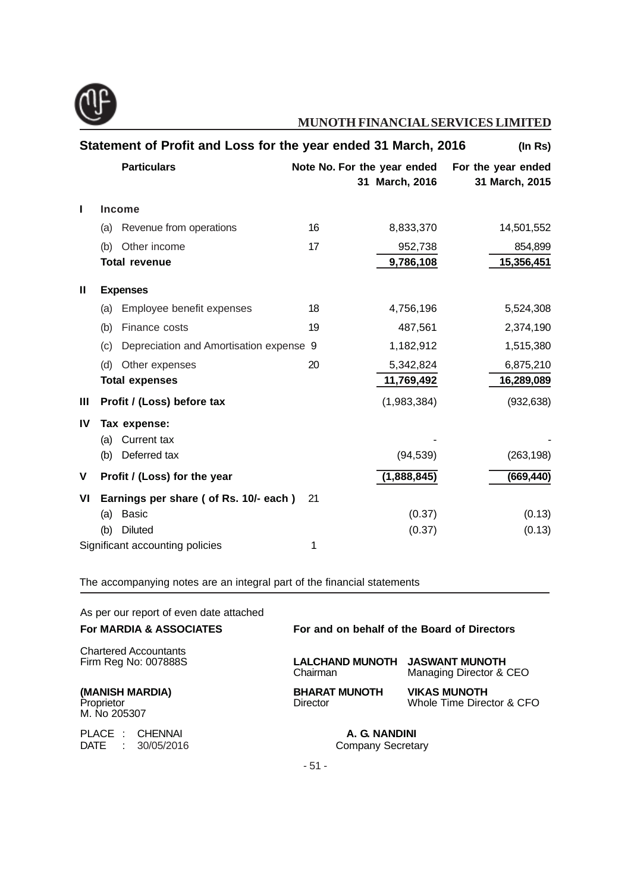

|    |     | Statement of Profit and Loss for the year ended 31 March, 2016 |    |                                               | (ln Rs)                              |
|----|-----|----------------------------------------------------------------|----|-----------------------------------------------|--------------------------------------|
|    |     | <b>Particulars</b>                                             |    | Note No. For the year ended<br>31 March, 2016 | For the year ended<br>31 March, 2015 |
| L  |     | <b>Income</b>                                                  |    |                                               |                                      |
|    | (a) | Revenue from operations                                        | 16 | 8,833,370                                     | 14,501,552                           |
|    | (b) | Other income                                                   | 17 | 952,738                                       | 854,899                              |
|    |     | <b>Total revenue</b>                                           |    | 9,786,108                                     | 15,356,451                           |
| Ш  |     | <b>Expenses</b>                                                |    |                                               |                                      |
|    | (a) | Employee benefit expenses                                      | 18 | 4,756,196                                     | 5,524,308                            |
|    | (b) | Finance costs                                                  | 19 | 487,561                                       | 2,374,190                            |
|    | (c) | Depreciation and Amortisation expense 9                        |    | 1,182,912                                     | 1,515,380                            |
|    | (d) | Other expenses                                                 | 20 | 5,342,824                                     | 6,875,210                            |
|    |     | <b>Total expenses</b>                                          |    | 11,769,492                                    | 16,289,089                           |
| Ш  |     | Profit / (Loss) before tax                                     |    | (1,983,384)                                   | (932, 638)                           |
| IV | (a) | Tax expense:<br><b>Current tax</b>                             |    |                                               |                                      |
|    | (b) | Deferred tax                                                   |    | (94, 539)                                     | (263, 198)                           |
| ۷  |     | Profit / (Loss) for the year                                   |    | (1,888,845)                                   | (669, 440)                           |
| VI |     | Earnings per share ( of Rs. 10/- each )                        | 21 |                                               |                                      |
|    | (a) | <b>Basic</b>                                                   |    | (0.37)                                        | (0.13)                               |
|    | (b) | <b>Diluted</b>                                                 |    | (0.37)                                        | (0.13)                               |
|    |     | Significant accounting policies                                | 1  |                                               |                                      |

The accompanying notes are an integral part of the financial statements

| As per our report of even date attached<br><b>For MARDIA &amp; ASSOCIATES</b> |                                             |                                                  |  |  |
|-------------------------------------------------------------------------------|---------------------------------------------|--------------------------------------------------|--|--|
|                                                                               | For and on behalf of the Board of Directors |                                                  |  |  |
| <b>Chartered Accountants</b><br>Firm Reg No: 007888S                          | LALCHAND MUNOTH JASWANT MUNOTH<br>Chairman  | Managing Director & CEO                          |  |  |
| (MANISH MARDIA)<br>Proprietor<br>M. No 205307                                 | <b>BHARAT MUNOTH</b><br>Director            | <b>VIKAS MUNOTH</b><br>Whole Time Director & CFO |  |  |
| PLACE :<br><b>CHENNAI</b><br>DATE: 30/05/2016                                 | A. G. NANDINI<br><b>Company Secretary</b>   |                                                  |  |  |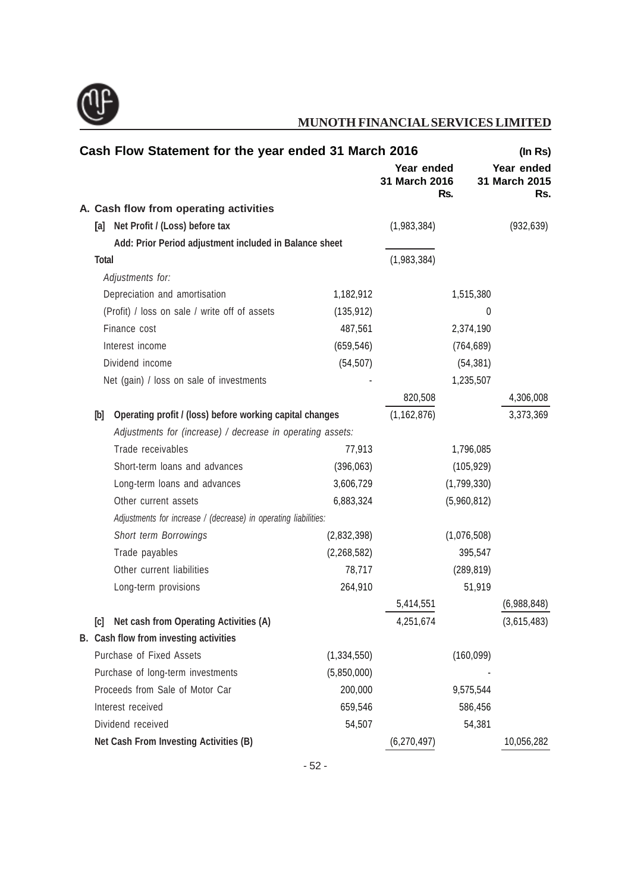

|              | Cash Flow Statement for the year ended 31 March 2016            |             |                             |             | $($ In Rs $)$                      |
|--------------|-----------------------------------------------------------------|-------------|-----------------------------|-------------|------------------------------------|
|              |                                                                 |             | Year ended<br>31 March 2016 | Rs.         | Year ended<br>31 March 2015<br>Rs. |
|              | A. Cash flow from operating activities                          |             |                             |             |                                    |
| [a]          | Net Profit / (Loss) before tax                                  |             | (1,983,384)                 |             | (932, 639)                         |
|              | Add: Prior Period adjustment included in Balance sheet          |             |                             |             |                                    |
| <b>Total</b> |                                                                 |             | (1,983,384)                 |             |                                    |
|              | Adjustments for:                                                |             |                             |             |                                    |
|              | Depreciation and amortisation                                   | 1,182,912   |                             | 1,515,380   |                                    |
|              | (Profit) / loss on sale / write off of assets                   | (135, 912)  |                             | 0           |                                    |
|              | Finance cost                                                    | 487,561     |                             | 2,374,190   |                                    |
|              | Interest income                                                 | (659, 546)  |                             | (764, 689)  |                                    |
|              | Dividend income                                                 | (54, 507)   |                             | (54, 381)   |                                    |
|              | Net (gain) / loss on sale of investments                        |             |                             | 1,235,507   |                                    |
|              |                                                                 |             | 820,508                     |             | 4,306,008                          |
| $[b]$        | Operating profit / (loss) before working capital changes        |             | (1, 162, 876)               |             | 3,373,369                          |
|              | Adjustments for (increase) / decrease in operating assets:      |             |                             |             |                                    |
|              | Trade receivables                                               | 77,913      |                             | 1,796,085   |                                    |
|              | Short-term loans and advances                                   | (396,063)   |                             | (105, 929)  |                                    |
|              | Long-term loans and advances                                    | 3,606,729   |                             | (1,799,330) |                                    |
|              | Other current assets                                            | 6,883,324   |                             | (5,960,812) |                                    |
|              | Adjustments for increase / (decrease) in operating liabilities: |             |                             |             |                                    |
|              | Short term Borrowings                                           | (2,832,398) |                             | (1,076,508) |                                    |
|              | Trade payables                                                  | (2,268,582) |                             | 395,547     |                                    |
|              | Other current liabilities                                       | 78,717      |                             | (289, 819)  |                                    |
|              | Long-term provisions                                            | 264,910     |                             | 51,919      |                                    |
|              |                                                                 |             | 5,414,551                   |             | (6,988,848)                        |
|              | [c] Net cash from Operating Activities (A)                      |             | 4,251,674                   |             | (3,615,483)                        |
|              | B. Cash flow from investing activities                          |             |                             |             |                                    |
|              | Purchase of Fixed Assets                                        | (1,334,550) |                             | (160, 099)  |                                    |
|              | Purchase of long-term investments                               | (5,850,000) |                             |             |                                    |
|              | Proceeds from Sale of Motor Car                                 | 200,000     |                             | 9,575,544   |                                    |
|              | Interest received                                               | 659,546     |                             | 586,456     |                                    |
|              | Dividend received                                               | 54,507      |                             | 54,381      |                                    |
|              | Net Cash From Investing Activities (B)                          |             | (6, 270, 497)               |             | 10,056,282                         |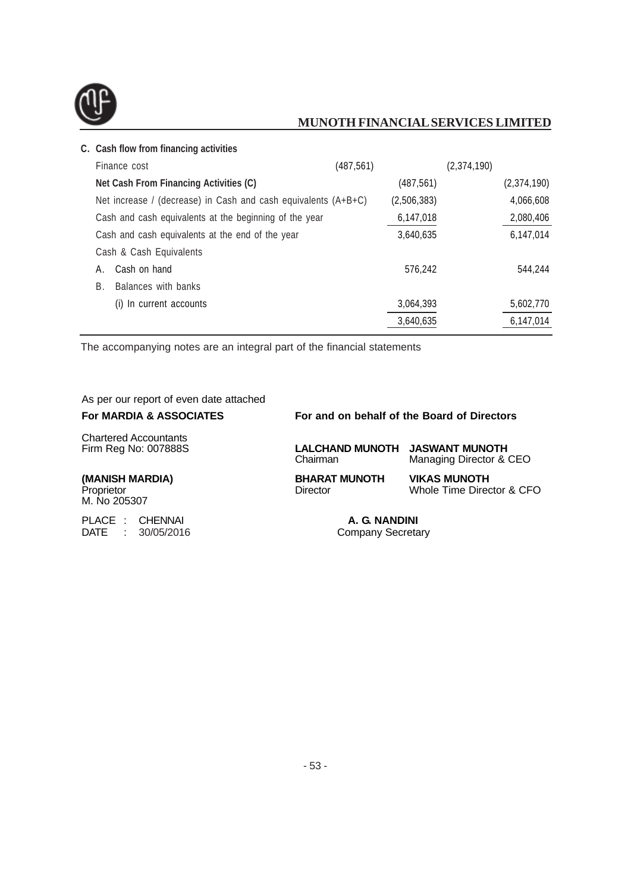

|              | C. Cash flow from financing activities                           |           |             |             |             |
|--------------|------------------------------------------------------------------|-----------|-------------|-------------|-------------|
| Finance cost |                                                                  | (487,561) |             | (2,374,190) |             |
|              | Net Cash From Financing Activities (C)                           |           | (487,561)   |             | (2,374,190) |
|              | Net increase / (decrease) in Cash and cash equivalents $(A+B+C)$ |           | (2,506,383) |             | 4,066,608   |
|              | Cash and cash equivalents at the beginning of the year           |           | 6,147,018   |             | 2,080,406   |
|              | Cash and cash equivalents at the end of the year                 |           | 3,640,635   |             | 6,147,014   |
|              | Cash & Cash Equivalents                                          |           |             |             |             |
| А.           | Cash on hand                                                     |           | 576.242     |             | 544.244     |
| <b>B</b> .   | Balances with banks                                              |           |             |             |             |
|              | (i) In current accounts                                          |           | 3,064,393   |             | 5,602,770   |
|              |                                                                  |           | 3,640,635   |             | 6,147,014   |
|              |                                                                  |           |             |             |             |

The accompanying notes are an integral part of the financial statements

As per our report of even date attached

**For MARDIA & ASSOCIATES For and on behalf of the Board of Directors**

Chartered Accountants<br>Firm Reg No: 007888S

**LALCHAND MUNOTH JASWANT MUNOTH**<br>Chairman Managing Director & ( Managing Director & CEO

**(MANISH MARDIA) BHARAT MUNOTH VIKAS MUNOTH** Whole Time Director & CFO

DATE : 30/05/2016

M. No 205307

PLACE : CHENNAI **A. G. NANDINI**<br>
DATE : 30/05/2016 **A. G. NANDINI**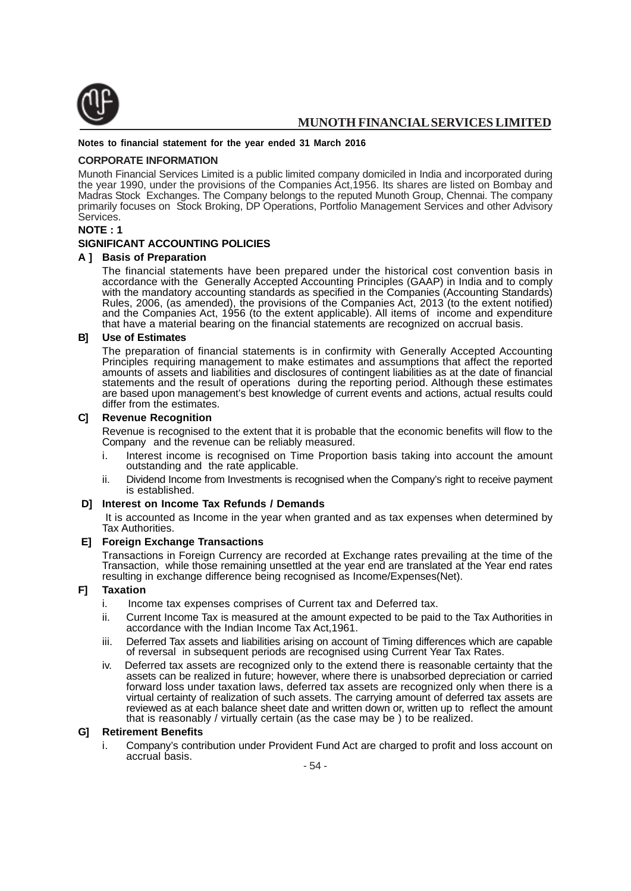

#### **Notes to financial statement for the year ended 31 March 2016**

#### **CORPORATE INFORMATION**

Munoth Financial Services Limited is a public limited company domiciled in India and incorporated during the year 1990, under the provisions of the Companies Act,1956. Its shares are listed on Bombay and Madras Stock Exchanges. The Company belongs to the reputed Munoth Group, Chennai. The company primarily focuses on Stock Broking, DP Operations, Portfolio Management Services and other Advisory Services.

## **NOTE : 1**

#### **SIGNIFICANT ACCOUNTING POLICIES**

#### **A ] Basis of Preparation**

The financial statements have been prepared under the historical cost convention basis in accordance with the Generally Accepted Accounting Principles (GAAP) in India and to comply with the mandatory accounting standards as specified in the Companies (Accounting Standards) Rules, 2006, (as amended), the provisions of the Companies Act, 2013 (to the extent notified) and the Companies Act, 1956 (to the extent applicable). All items of income and expenditure that have a material bearing on the financial statements are recognized on accrual basis.

#### **B] Use of Estimates**

The preparation of financial statements is in confirmity with Generally Accepted Accounting Principles requiring management to make estimates and assumptions that affect the reported amounts of assets and liabilities and disclosures of contingent liabilities as at the date of financial statements and the result of operations during the reporting period. Although these estimates are based upon management's best knowledge of current events and actions, actual results could differ from the estimates.

#### **C] Revenue Recognition**

Revenue is recognised to the extent that it is probable that the economic benefits will flow to the Company and the revenue can be reliably measured.

- i. Interest income is recognised on Time Proportion basis taking into account the amount outstanding and the rate applicable.
- ii. Dividend Income from Investments is recognised when the Company's right to receive payment is established.

#### **D] Interest on Income Tax Refunds / Demands**

 It is accounted as Income in the year when granted and as tax expenses when determined by Tax Authorities.

#### **E] Foreign Exchange Transactions**

Transactions in Foreign Currency are recorded at Exchange rates prevailing at the time of the Transaction, while those remaining unsettled at the year end are translated at the Year end rates resulting in exchange difference being recognised as Income/Expenses(Net).

#### **F] Taxation**

- i. Income tax expenses comprises of Current tax and Deferred tax.
- ii. Current Income Tax is measured at the amount expected to be paid to the Tax Authorities in accordance with the Indian Income Tax Act,1961.
- iii. Deferred Tax assets and liabilities arising on account of Timing differences which are capable of reversal in subsequent periods are recognised using Current Year Tax Rates.
- iv. Deferred tax assets are recognized only to the extend there is reasonable certainty that the assets can be realized in future; however, where there is unabsorbed depreciation or carried forward loss under taxation laws, deferred tax assets are recognized only when there is a virtual certainty of realization of such assets. The carrying amount of deferred tax assets are reviewed as at each balance sheet date and written down or, written up to reflect the amount that is reasonably / virtually certain (as the case may be ) to be realized.

#### **G] Retirement Benefits**

i. Company's contribution under Provident Fund Act are charged to profit and loss account on accrual basis.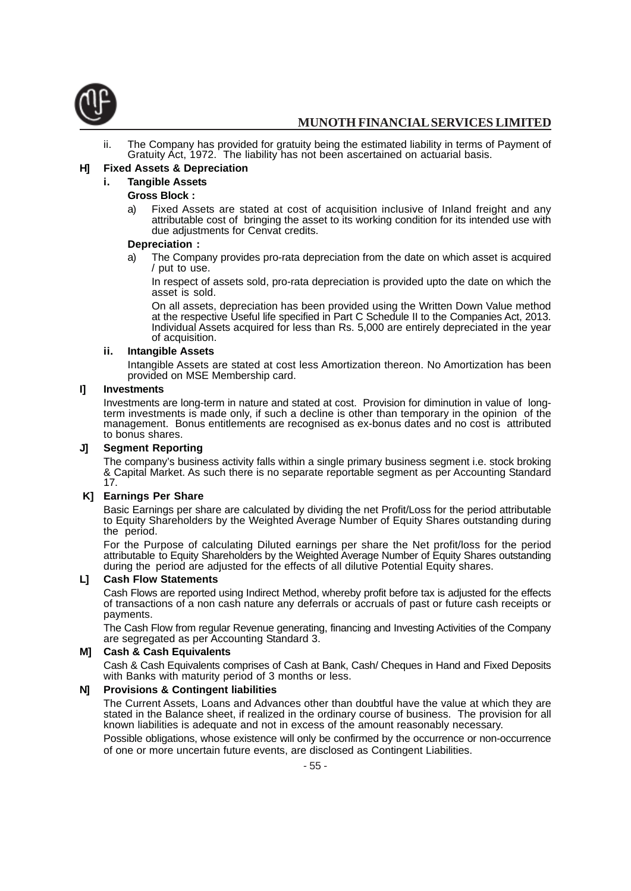

ii. The Company has provided for gratuity being the estimated liability in terms of Payment of Gratuity Act, 1972. The liability has not been ascertained on actuarial basis.

## **H] Fixed Assets & Depreciation**

#### **i. Tangible Assets**

#### **Gross Block :**

a) Fixed Assets are stated at cost of acquisition inclusive of Inland freight and any attributable cost of bringing the asset to its working condition for its intended use with due adjustments for Cenvat credits.

#### **Depreciation :**

a) The Company provides pro-rata depreciation from the date on which asset is acquired / put to use.

In respect of assets sold, pro-rata depreciation is provided upto the date on which the asset is sold.

On all assets, depreciation has been provided using the Written Down Value method at the respective Useful life specified in Part C Schedule II to the Companies Act, 2013. Individual Assets acquired for less than Rs. 5,000 are entirely depreciated in the year of acquisition.

#### **ii. Intangible Assets**

Intangible Assets are stated at cost less Amortization thereon. No Amortization has been provided on MSE Membership card.

#### **I] Investments**

Investments are long-term in nature and stated at cost. Provision for diminution in value of longterm investments is made only, if such a decline is other than temporary in the opinion of the management. Bonus entitlements are recognised as ex-bonus dates and no cost is attributed to bonus shares.

#### **J] Segment Reporting**

The company's business activity falls within a single primary business segment i.e. stock broking & Capital Market. As such there is no separate reportable segment as per Accounting Standard 17.

## **K] Earnings Per Share**

Basic Earnings per share are calculated by dividing the net Profit/Loss for the period attributable to Equity Shareholders by the Weighted Average Number of Equity Shares outstanding during the period.

For the Purpose of calculating Diluted earnings per share the Net profit/loss for the period attributable to Equity Shareholders by the Weighted Average Number of Equity Shares outstanding during the period are adjusted for the effects of all dilutive Potential Equity shares.

## **L] Cash Flow Statements**

Cash Flows are reported using Indirect Method, whereby profit before tax is adjusted for the effects of transactions of a non cash nature any deferrals or accruals of past or future cash receipts or payments.

The Cash Flow from regular Revenue generating, financing and Investing Activities of the Company are segregated as per Accounting Standard 3.

#### **M] Cash & Cash Equivalents**

Cash & Cash Equivalents comprises of Cash at Bank, Cash/ Cheques in Hand and Fixed Deposits with Banks with maturity period of 3 months or less.

## **N] Provisions & Contingent liabilities**

The Current Assets, Loans and Advances other than doubtful have the value at which they are stated in the Balance sheet, if realized in the ordinary course of business. The provision for all known liabilities is adequate and not in excess of the amount reasonably necessary.

Possible obligations, whose existence will only be confirmed by the occurrence or non-occurrence of one or more uncertain future events, are disclosed as Contingent Liabilities.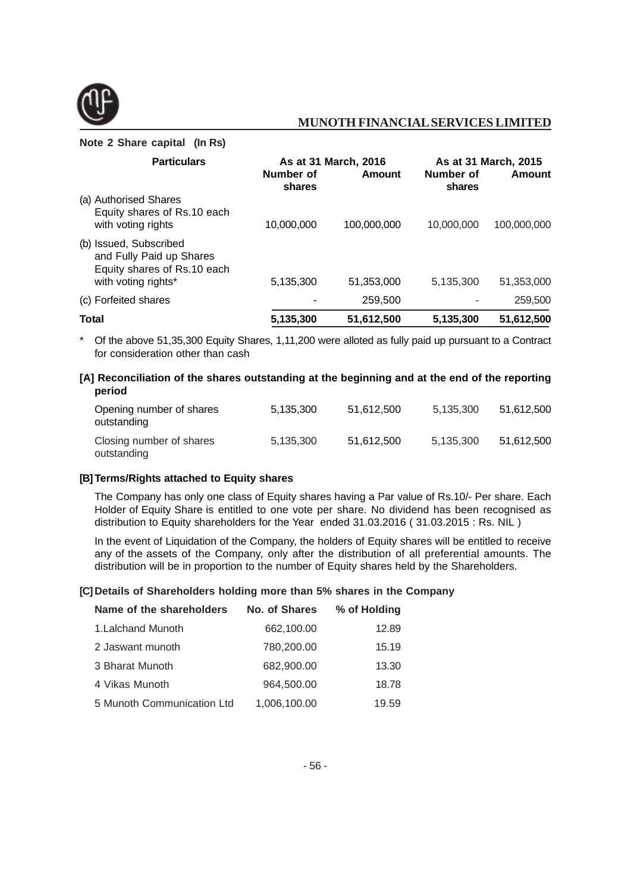

## **Note 2 Share capital (In Rs)**

| <b>Particulars</b>                                                                                       | Number of<br>shares | As at 31 March, 2016<br>Amount | Number of<br>shares | As at 31 March, 2015<br>Amount |
|----------------------------------------------------------------------------------------------------------|---------------------|--------------------------------|---------------------|--------------------------------|
| (a) Authorised Shares<br>Equity shares of Rs.10 each<br>with voting rights                               | 10,000,000          | 100,000,000                    | 10,000,000          | 100,000,000                    |
| (b) Issued, Subscribed<br>and Fully Paid up Shares<br>Equity shares of Rs.10 each<br>with voting rights* | 5,135,300           | 51.353.000                     | 5,135,300           | 51,353,000                     |
| (c) Forfeited shares                                                                                     |                     | 259,500                        |                     | 259,500                        |
| <b>Total</b>                                                                                             | 5,135,300           | 51,612,500                     | 5,135,300           | 51,612,500                     |

\* Of the above 51,35,300 Equity Shares, 1,11,200 were alloted as fully paid up pursuant to a Contract for consideration other than cash

#### **[A] Reconciliation of the shares outstanding at the beginning and at the end of the reporting period**

| Opening number of shares<br>outstanding | 5,135,300 | 51.612.500 | 5.135.300 | 51.612.500 |
|-----------------------------------------|-----------|------------|-----------|------------|
| Closing number of shares<br>outstanding | 5,135,300 | 51.612.500 | 5,135,300 | 51.612.500 |

## **[B]Terms/Rights attached to Equity shares**

The Company has only one class of Equity shares having a Par value of Rs.10/- Per share. Each Holder of Equity Share is entitled to one vote per share. No dividend has been recognised as distribution to Equity shareholders for the Year ended 31.03.2016 ( 31.03.2015 : Rs. NIL )

In the event of Liquidation of the Company, the holders of Equity shares will be entitled to receive any of the assets of the Company, only after the distribution of all preferential amounts. The distribution will be in proportion to the number of Equity shares held by the Shareholders.

## **[C]Details of Shareholders holding more than 5% shares in the Company**

| Name of the shareholders   | No. of Shares | % of Holding |
|----------------------------|---------------|--------------|
| 1. Lalchand Munoth         | 662,100.00    | 12.89        |
| 2 Jaswant munoth           | 780,200.00    | 15.19        |
| 3 Bharat Munoth            | 682,900.00    | 13.30        |
| 4 Vikas Munoth             | 964,500.00    | 18.78        |
| 5 Munoth Communication Ltd | 1,006,100.00  | 19.59        |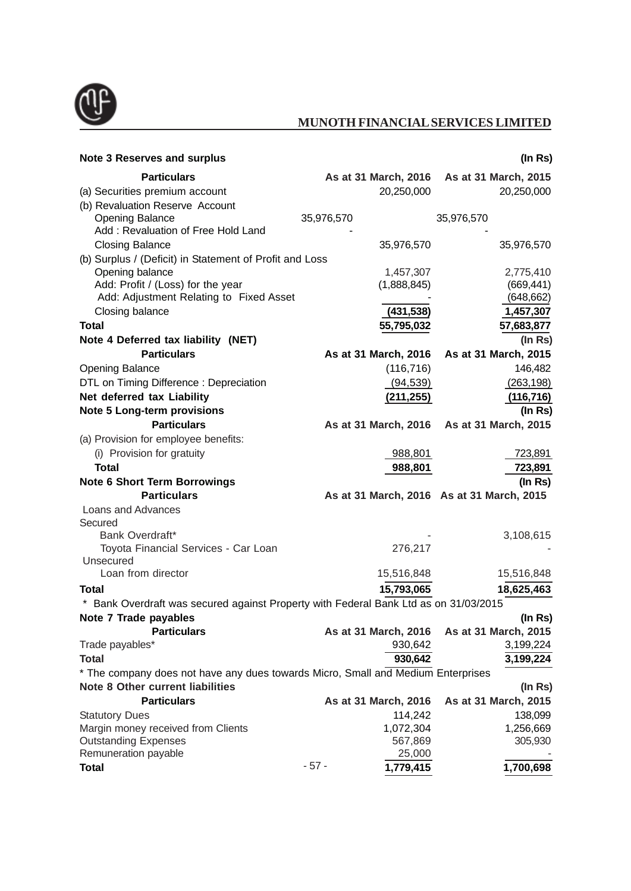

| <b>Note 3 Reserves and surplus</b>                                                   |                          | $($ In Rs $)$                             |
|--------------------------------------------------------------------------------------|--------------------------|-------------------------------------------|
| <b>Particulars</b>                                                                   | As at 31 March, 2016     | As at 31 March, 2015                      |
| (a) Securities premium account                                                       | 20,250,000               | 20,250,000                                |
| (b) Revaluation Reserve Account                                                      |                          |                                           |
| <b>Opening Balance</b>                                                               | 35,976,570               | 35,976,570                                |
| Add: Revaluation of Free Hold Land                                                   |                          |                                           |
| <b>Closing Balance</b>                                                               | 35,976,570               | 35,976,570                                |
| (b) Surplus / (Deficit) in Statement of Profit and Loss                              |                          |                                           |
| Opening balance<br>Add: Profit / (Loss) for the year                                 | 1,457,307<br>(1,888,845) | 2,775,410<br>(669, 441)                   |
| Add: Adjustment Relating to Fixed Asset                                              |                          | (648, 662)                                |
| Closing balance                                                                      | (431, 538)               | 1,457,307                                 |
| <b>Total</b>                                                                         | 55,795,032               | 57,683,877                                |
| Note 4 Deferred tax liability (NET)                                                  |                          | (ln Rs)                                   |
| <b>Particulars</b>                                                                   | As at 31 March, 2016     | As at 31 March, 2015                      |
| <b>Opening Balance</b>                                                               | (116, 716)               | 146,482                                   |
| DTL on Timing Difference: Depreciation                                               | (94, 539)                | (263, 198)                                |
| Net deferred tax Liability                                                           | (211, 255)               | (116, 716)                                |
| <b>Note 5 Long-term provisions</b>                                                   |                          | (ln Rs)                                   |
| <b>Particulars</b>                                                                   | As at 31 March, 2016     | As at 31 March, 2015                      |
| (a) Provision for employee benefits:                                                 |                          |                                           |
| (i) Provision for gratuity                                                           | 988,801                  | 723,891                                   |
| <b>Total</b>                                                                         | 988,801                  | 723,891                                   |
| <b>Note 6 Short Term Borrowings</b>                                                  |                          | (ln Rs)                                   |
| <b>Particulars</b>                                                                   |                          | As at 31 March, 2016 As at 31 March, 2015 |
| Loans and Advances                                                                   |                          |                                           |
| Secured                                                                              |                          |                                           |
| Bank Overdraft*                                                                      |                          | 3,108,615                                 |
| Toyota Financial Services - Car Loan                                                 | 276,217                  |                                           |
| Unsecured                                                                            |                          |                                           |
| Loan from director                                                                   | 15,516,848               | 15,516,848                                |
| Total                                                                                | 15,793,065               | 18,625,463                                |
| * Bank Overdraft was secured against Property with Federal Bank Ltd as on 31/03/2015 |                          |                                           |
| Note 7 Trade payables                                                                |                          | (In Rs)                                   |
| <b>Particulars</b>                                                                   | As at 31 March, 2016     | As at 31 March, 2015                      |
| Trade payables*                                                                      | 930,642                  | 3,199,224                                 |
| <b>Total</b>                                                                         | 930,642                  | 3,199,224                                 |
| * The company does not have any dues towards Micro, Small and Medium Enterprises     |                          |                                           |
| Note 8 Other current liabilities<br><b>Particulars</b>                               |                          | (ln Rs)                                   |
|                                                                                      | As at 31 March, 2016     | As at 31 March, 2015                      |
| <b>Statutory Dues</b><br>Margin money received from Clients                          | 114,242<br>1,072,304     | 138,099<br>1,256,669                      |
| <b>Outstanding Expenses</b>                                                          | 567,869                  | 305,930                                   |
| Remuneration payable                                                                 | 25,000                   |                                           |
| <b>Total</b>                                                                         | $-57-$<br>1,779,415      | 1,700,698                                 |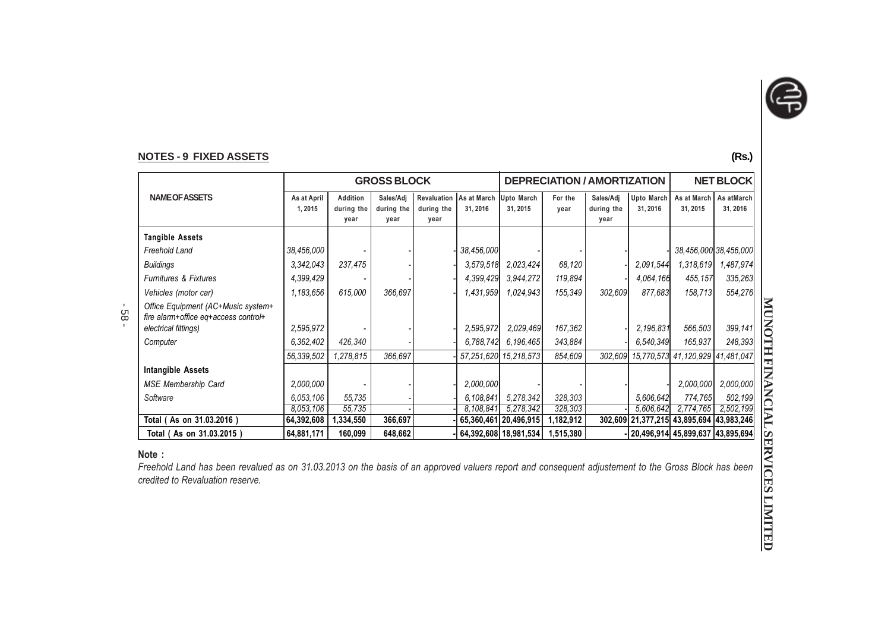

#### **NOTES - 9 FIXED ASSETS(Rs.)**

|                                                              | <b>GROSS BLOCK</b><br><b>DEPRECIATION / AMORTIZATION</b> |                       |            |             |             | <b>NET BLOCK</b>      |           |            |                   |                                          |                       |
|--------------------------------------------------------------|----------------------------------------------------------|-----------------------|------------|-------------|-------------|-----------------------|-----------|------------|-------------------|------------------------------------------|-----------------------|
| <b>NAME OF ASSETS</b>                                        | As at April                                              | <b>Addition</b>       | Sales/Adj  | Revaluation | As at March | Upto March            | For the   | Sales/Adj  | <b>Upto March</b> | As at March I                            | As atMarch            |
|                                                              | 1,2015                                                   | during the            | during the | during the  | 31,2016     | 31, 2015              | year      | during the | 31, 2016          | 31, 2015                                 | 31, 2016              |
|                                                              |                                                          | year                  | year       | year        |             |                       |           | year       |                   |                                          |                       |
| <b>Tangible Assets</b>                                       |                                                          |                       |            |             |             |                       |           |            |                   |                                          |                       |
| <b>Freehold Land</b>                                         | 38,456,000                                               |                       |            |             | 38,456,000  |                       |           |            |                   |                                          | 38,456,000 38,456,000 |
| <b>Buildings</b>                                             | 3,342,043                                                | 237,475               |            |             | 3.579.518   | 2,023,424             | 68,120    |            | 2,091,544         | 1,318,619                                | 1,487,974             |
| <b>Furnitures &amp; Fixtures</b>                             | 4,399,429                                                | $\tilde{\phantom{a}}$ |            |             | 4.399.429   | 3,944,272             | 119,894   |            | 4,064,166         | 455,157                                  | 335,263               |
| Vehicles (motor car)                                         | 1,183,656                                                | 615,000               | 366,697    |             | 1,431,959   | 1,024,943             | 155,349   | 302,609    | 877,683           | 158,713                                  | 554,276               |
| Office Equipment (AC+Music system+                           |                                                          |                       |            |             |             |                       |           |            |                   |                                          |                       |
| fire alarm+office eq+access control+<br>electrical fittings) | 2,595,972                                                |                       |            |             | 2.595,972   | 2,029,469             | 167,362   |            | 2,196,831         | 566,503                                  | 399,141               |
| Computer                                                     | 6,362,402                                                | 426,340               |            |             | 6.788.742   | 6,196,465             | 343,884   |            | 6.540.349         | 165,937                                  | 248,393               |
|                                                              | 56,339,502                                               | 1,278,815             | 366,697    |             |             | 57,251,620 15,218,573 | 854,609   | 302,609    |                   | 15,770,573 41,120,929 41,481,047         |                       |
| Intangible Assets                                            |                                                          |                       |            |             |             |                       |           |            |                   |                                          |                       |
| <b>MSE Membership Card</b>                                   | 2,000,000                                                |                       |            |             | 2,000,000   |                       |           |            |                   | 2,000,000                                | 2,000,000             |
| Software                                                     | 6,053,106                                                | 55,735                |            |             | 6,108,841   | 5,278,342             | 328,303   |            | 5,606,642         | 774,765                                  | 502,199               |
|                                                              | 8.053.106                                                | 55,735                |            |             | 8,108,841   | 5,278,342             | 328,303   |            | 5,606,642         | 2,774,765                                | 2,502,199             |
| Total (As on 31.03.2016)                                     | 64,392,608                                               | 1,334,550             | 366,697    |             |             | 65,360,461 20,496,915 | 1,182,912 |            |                   | 302,609 21,377,215 43,895,694 43,983,246 |                       |
| Total (As on 31.03.2015)                                     | 64,881,171                                               | 160,099               | 648,662    |             |             | 64,392,608 18,981,534 | 1,515,380 |            |                   | 20,496,914  45,899,637  43,895,694       |                       |

#### **Note :**

- 58 -

 *Freehold Land has been revalued as on 31.03.2013 on the basis of an approved valuers report and consequent adjustement to the Gross Block has beencredited to Revaluation reserve.*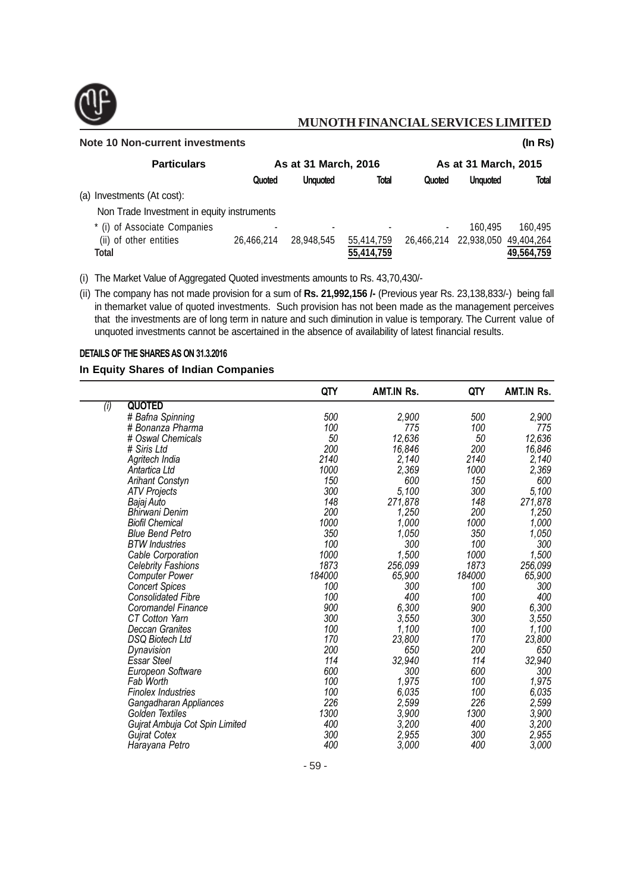

| Note 10 Non-current investments | (ln Rs) |
|---------------------------------|---------|
|                                 |         |

| <b>Particulars</b>                         |            |                 | As at 31 March, 2016 |            | As at 31 March, 2015  |              |  |
|--------------------------------------------|------------|-----------------|----------------------|------------|-----------------------|--------------|--|
|                                            | Quoted     | <b>Unauoted</b> | Total                | Quoted     | <b>Unquoted</b>       | <b>Total</b> |  |
| (a) Investments (At cost):                 |            |                 |                      |            |                       |              |  |
| Non Trade Investment in equity instruments |            |                 |                      |            |                       |              |  |
| * (i) of Associate Companies               |            |                 |                      | ۰          | 160.495               | 160.495      |  |
| (ii) of other entities                     | 26.466.214 | 28.948.545      | 55,414,759           | 26.466.214 | 22,938,050 49,404,264 |              |  |
| Total                                      |            |                 | 55,414,759           |            |                       | 49.564.759   |  |

(i) The Market Value of Aggregated Quoted investments amounts to Rs. 43,70,430/-

(ii) The company has not made provision for a sum of **Rs. 21,992,156 /-** (Previous year Rs. 23,138,833/-) being fall in themarket value of quoted investments. Such provision has not been made as the management perceives that the investments are of long term in nature and such diminution in value is temporary. The Current value of unquoted investments cannot be ascertained in the absence of availability of latest financial results.

#### **DETAILS OF THE SHARES AS ON 31.3.2016**

## **In Equity Shares of Indian Companies**

|     |                                | QTY    | <b>AMT.IN Rs.</b> | QTY    | AMT.IN Rs. |
|-----|--------------------------------|--------|-------------------|--------|------------|
| (i) | <b>QUOTED</b>                  |        |                   |        |            |
|     | # Bafna Spinning               | 500    | 2,900             | 500    | 2,900      |
|     | # Bonanza Pharma               | 100    | 775               | 100    | 775        |
|     | # Oswal Chemicals              | 50     | 12,636            | 50     | 12,636     |
|     | # Siris Ltd                    | 200    | 16,846            | 200    | 16,846     |
|     | Agritech India                 | 2140   | 2,140             | 2140   | 2,140      |
|     | Antartica Ltd                  | 1000   | 2,369             | 1000   | 2,369      |
|     | <b>Arihant Constyn</b>         | 150    | 600               | 150    | 600        |
|     | <b>ATV Projects</b>            | 300    | 5,100             | 300    | 5,100      |
|     | Bajaj Auto                     | 148    | 271,878           | 148    | 271,878    |
|     | Bhirwani Denim                 | 200    | 1,250             | 200    | 1,250      |
|     | <b>Biofil Chemical</b>         | 1000   | 1,000             | 1000   | 1,000      |
|     | <b>Blue Bend Petro</b>         | 350    | 1,050             | 350    | 1,050      |
|     | <b>BTW</b> Industries          | 100    | 300               | 100    | 300        |
|     | Cable Corporation              | 1000   | 1,500             | 1000   | 1,500      |
|     | <b>Celebrity Fashions</b>      | 1873   | 256,099           | 1873   | 256,099    |
|     | <b>Computer Power</b>          | 184000 | 65,900            | 184000 | 65,900     |
|     | <b>Concert Spices</b>          | 100    | 300               | 100    | 300        |
|     | <b>Consolidated Fibre</b>      | 100    | 400               | 100    | 400        |
|     | Coromandel Finance             | 900    | 6,300             | 900    | 6,300      |
|     | CT Cotton Yarn                 | 300    | 3,550             | 300    | 3,550      |
|     | <b>Deccan Granites</b>         | 100    | 1,100             | 100    | 1,100      |
|     | DSQ Biotech Ltd                | 170    | 23,800            | 170    | 23,800     |
|     | Dynavision                     | 200    | 650               | 200    | 650        |
|     | <b>Essar Steel</b>             | 114    | 32,940            | 114    | 32,940     |
|     | Europeon Software              | 600    | 300               | 600    | 300        |
|     | Fab Worth                      | 100    | 1,975             | 100    | 1,975      |
|     | <b>Finolex Industries</b>      | 100    | 6,035             | 100    | 6,035      |
|     | Gangadharan Appliances         | 226    | 2,599             | 226    | 2,599      |
|     | Golden Textiles                | 1300   | 3,900             | 1300   | 3,900      |
|     | Gujrat Ambuja Cot Spin Limited | 400    | 3,200             | 400    | 3,200      |
|     | Gujrat Cotex                   | 300    | 2,955             | 300    | 2,955      |
|     | Harayana Petro                 | 400    | 3,000             | 400    | 3,000      |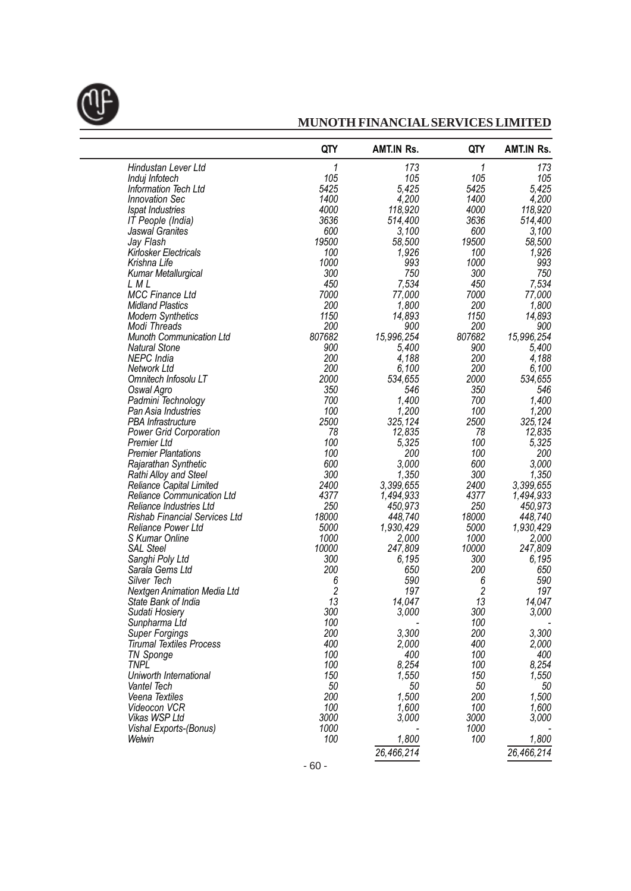

|                                           | QTY            | <b>AMT.IN Rs.</b> | QTY            | <b>AMT.IN Rs.</b> |
|-------------------------------------------|----------------|-------------------|----------------|-------------------|
| Hindustan Lever Ltd                       | 1              | 173               | 1              | 173               |
| Induj Infotech                            | 105            | 105               | 105            | 105               |
| Information Tech Ltd                      | 5425           | 5,425             | 5425           | 5,425             |
| <b>Innovation Sec</b>                     | 1400           | 4,200             | 1400           | 4,200             |
| Ispat Industries                          | 4000           | 118,920           | 4000           | 118,920           |
| IT People (India)                         | 3636           | 514,400           | 3636           | 514,400           |
| Jaswal Granites                           | 600            | 3,100             | 600            | 3,100             |
| Jay Flash                                 | 19500          | 58,500            | 19500          | 58,500            |
| <b>Kirlosker Electricals</b>              | 100            | 1,926             | 100            | 1,926             |
| Krishna Life                              | 1000           | 993               | 1000           | 993               |
| Kumar Metallurgical                       | 300            | 750               | 300            | 750               |
| LML                                       | 450            | 7,534             | 450            | 7.534             |
| <b>MCC Finance Ltd</b>                    | 7000           | 77,000            | 7000           | 77,000            |
| <b>Midland Plastics</b>                   | 200            | 1,800             | 200            | 1,800             |
| <b>Modern Synthetics</b>                  | 1150           | 14,893            | 1150           | 14,893            |
| Modi Threads                              | 200            | 900               | 200            | 900               |
| Munoth Communication Ltd                  | 807682         | 15,996,254        | 807682         | 15,996,254        |
| <b>Natural Stone</b>                      | 900<br>200     | 5,400             | 900            | 5,400             |
| NEPC India                                |                | 4,188             | 200            | 4,188             |
| Network Ltd                               | 200            | 6,100             | 200            | 6,100             |
| Omnitech Infosolu LT                      | 2000<br>350    | 534,655<br>546    | 2000<br>350    | 534,655<br>546    |
| Oswal Agro                                | 700            | 1,400             | 700            | 1,400             |
| Padmini Technology<br>Pan Asia Industries | 100            | 1,200             | 100            | 1,200             |
| PBA Infrastructure                        | 2500           | 325,124           | 2500           | 325,124           |
| <b>Power Grid Corporation</b>             | 78             | 12,835            | 78             | 12,835            |
| Premier Ltd                               | 100            | 5,325             | 100            | 5,325             |
| <b>Premier Plantations</b>                | 100            | 200               | 100            | 200               |
| Rajarathan Synthetic                      | 600            | 3,000             | 600            | 3,000             |
| Rathi Alloy and Steel                     | 300            | 1,350             | 300            | 1,350             |
| <b>Reliance Capital Limited</b>           | 2400           | 3,399,655         | 2400           | 3,399,655         |
| Reliance Communication Ltd                | 4377           | 1,494,933         | 4377           | 1,494,933         |
| Reliance Industries Ltd                   | 250            | 450,973           | 250            | 450,973           |
| <b>Rishab Financial Services Ltd</b>      | 18000          | 448,740           | 18000          | 448,740           |
| Reliance Power Ltd                        | 5000           | 1,930,429         | 5000           | 1,930,429         |
| S Kumar Online                            | 1000           | 2,000             | 1000           | 2,000             |
| <b>SAL Steel</b>                          | 10000          | 247,809           | 10000          | 247,809           |
| Sanghi Poly Ltd                           | 300            | 6,195             | 300            | 6,195             |
| Sarala Gems Ltd                           | 200            | 650               | 200            | 650               |
| Silver Tech                               | 6              | 590               | 6              | 590               |
| Nextgen Animation Media Ltd               | $\overline{c}$ | 197               | $\overline{c}$ | 197               |
| State Bank of India                       | 13             | 14,047            | 13             | 14,047            |
| Sudati Hosiery                            | 300            | 3,000             | 300            | 3,000             |
| Sunpharma Ltd                             | 100            |                   | 100            |                   |
| <b>Super Forgings</b>                     | 200            | 3,300             | 200            | 3,300             |
| <b>Tirumal Textiles Process</b>           | 400            | 2,000             | 400            | 2,000             |
| <b>TN Sponge</b>                          | 100            | 400               | 100            | 400               |
| TNPL                                      | 100            | 8,254             | 100            | 8,254             |
| Uniworth International                    | 150            | 1,550             | 150            | 1,550             |
| Vantel Tech                               | 50             | 50                | 50             | 50                |
| Veena Textiles                            | 200<br>100     | 1,500<br>1,600    | 200            | 1,500             |
| Videocon VCR<br>Vikas WSP Ltd             | 3000           | 3,000             | 100<br>3000    | 1,600<br>3,000    |
| Vishal Exports-(Bonus)                    | 1000           |                   | 1000           |                   |
| Welwin                                    | 100            | 1,800             | 100            | 1,800             |
|                                           |                |                   |                |                   |
|                                           |                | 26,466,214        |                | 26,466,214        |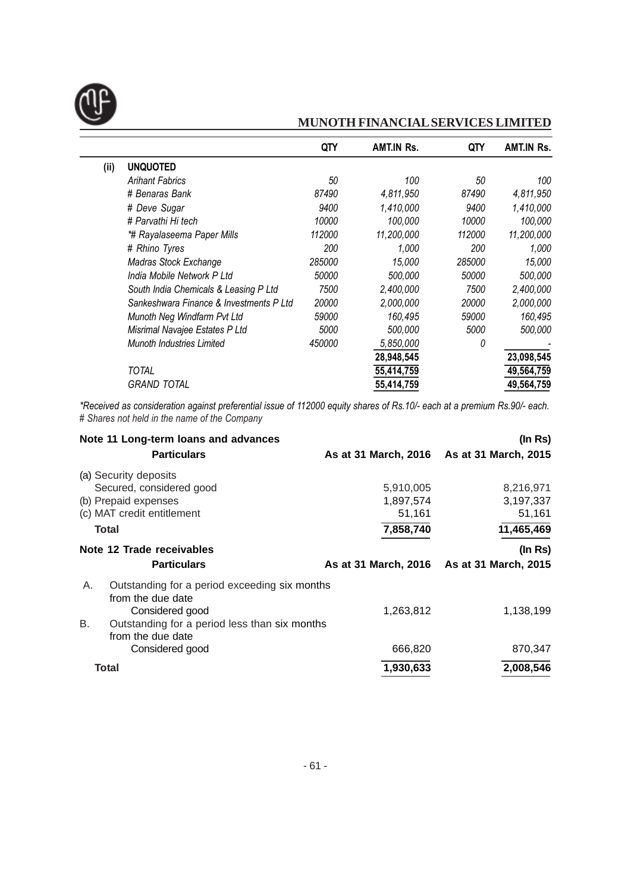

|      |                                         | QTY    | AMT.IN Rs. | QTY    | AMT.IN Rs. |
|------|-----------------------------------------|--------|------------|--------|------------|
| (ii) | <b>UNQUOTED</b>                         |        |            |        |            |
|      | <b>Arihant Fabrics</b>                  | 50     | 100        | 50     | 100        |
|      | # Benaras Bank                          | 87490  | 4,811,950  | 87490  | 4,811,950  |
|      | # Deve Sugar                            | 9400   | 1,410,000  | 9400   | 1,410,000  |
|      | # Parvathi Hi tech                      | 10000  | 100,000    | 10000  | 100,000    |
|      | *# Rayalaseema Paper Mills              | 112000 | 11,200,000 | 112000 | 11,200,000 |
|      | # Rhino Tyres                           | 200    | 1,000      | 200    | 1,000      |
|      | Madras Stock Exchange                   | 285000 | 15,000     | 285000 | 15,000     |
|      | India Mobile Network P Ltd              | 50000  | 500,000    | 50000  | 500,000    |
|      | South India Chemicals & Leasing P Ltd   | 7500   | 2,400,000  | 7500   | 2,400,000  |
|      | Sankeshwara Finance & Investments P Ltd | 20000  | 2,000,000  | 20000  | 2,000,000  |
|      | Munoth Neg Windfarm Pvt Ltd             | 59000  | 160,495    | 59000  | 160,495    |
|      | Misrimal Navajee Estates P Ltd          | 5000   | 500,000    | 5000   | 500,000    |
|      | Munoth Industries Limited               | 450000 | 5,850,000  | 0      |            |
|      |                                         |        | 28,948,545 |        | 23,098,545 |
|      | <b>TOTAL</b>                            |        | 55,414,759 |        | 49,564,759 |
|      | <b>GRAND TOTAL</b>                      |        | 55,414,759 |        | 49,564,759 |

*\*Received as consideration against preferential issue of 112000 equity shares of Rs.10/- each at a premium Rs.90/- each. # Shares not held in the name of the Company*

|    | Note 11 Long-term loans and advances          |           | $($ In Rs $)$                             |
|----|-----------------------------------------------|-----------|-------------------------------------------|
|    | <b>Particulars</b>                            |           | As at 31 March, 2016 As at 31 March, 2015 |
|    | (a) Security deposits                         |           |                                           |
|    | Secured, considered good                      | 5,910,005 | 8,216,971                                 |
|    | (b) Prepaid expenses                          | 1,897,574 | 3,197,337                                 |
|    | (c) MAT credit entitlement                    | 51,161    | 51,161                                    |
|    | Total                                         | 7,858,740 | 11,465,469                                |
|    | Note 12 Trade receivables                     |           | $($ In Rs $)$                             |
|    | <b>Particulars</b>                            |           | As at 31 March, 2016 As at 31 March, 2015 |
| Α. | Outstanding for a period exceeding six months |           |                                           |
|    | from the due date                             |           |                                           |
|    | Considered good                               | 1,263,812 | 1,138,199                                 |
| В. | Outstanding for a period less than six months |           |                                           |
|    | from the due date                             |           |                                           |
|    | Considered good                               | 666,820   | 870,347                                   |
|    | Total                                         | 1,930,633 | 2,008,546                                 |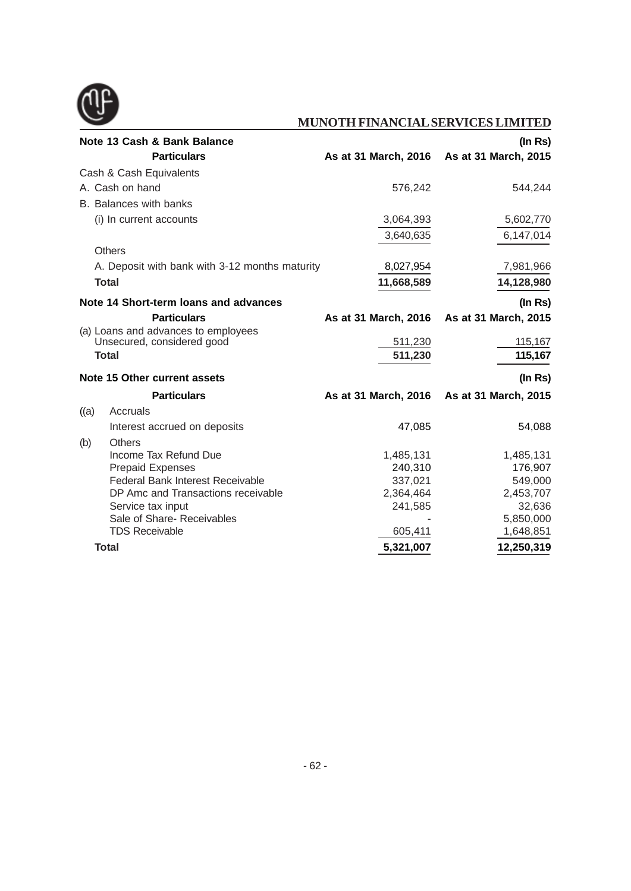

| Note 13 Cash & Bank Balance                    |                      | (ln Rs)              |
|------------------------------------------------|----------------------|----------------------|
| <b>Particulars</b>                             | As at 31 March, 2016 | As at 31 March, 2015 |
| Cash & Cash Equivalents                        |                      |                      |
| A. Cash on hand                                | 576,242              | 544,244              |
| <b>B.</b> Balances with banks                  |                      |                      |
| (i) In current accounts                        | 3,064,393            | 5,602,770            |
|                                                | 3,640,635            | 6,147,014            |
| <b>Others</b>                                  |                      |                      |
|                                                |                      |                      |
| A. Deposit with bank with 3-12 months maturity | 8,027,954            | 7,981,966            |
| <b>Total</b>                                   | 11,668,589           | 14,128,980           |
| Note 14 Short-term loans and advances          |                      | (ln Rs)              |
| <b>Particulars</b>                             | As at 31 March, 2016 | As at 31 March, 2015 |
| (a) Loans and advances to employees            |                      |                      |
| Unsecured, considered good                     | 511,230              | 115,167              |
| <b>Total</b>                                   | 511,230              | 115,167              |
| Note 15 Other current assets                   |                      | (ln Rs)              |
| <b>Particulars</b>                             | As at 31 March, 2016 | As at 31 March, 2015 |
| Accruals<br>((a)                               |                      |                      |
| Interest accrued on deposits                   | 47,085               | 54,088               |
| (b)<br><b>Others</b>                           |                      |                      |
| Income Tax Refund Due                          | 1,485,131            | 1,485,131            |
| <b>Prepaid Expenses</b>                        | 240,310              | 176,907              |
| Federal Bank Interest Receivable               | 337,021              | 549,000              |
| DP Amc and Transactions receivable             | 2,364,464            | 2,453,707            |
| Service tax input                              | 241,585              | 32,636               |
| Sale of Share- Receivables                     |                      | 5,850,000            |
| <b>TDS Receivable</b>                          | 605,411              | 1,648,851            |
| <b>Total</b>                                   | 5,321,007            | 12,250,319           |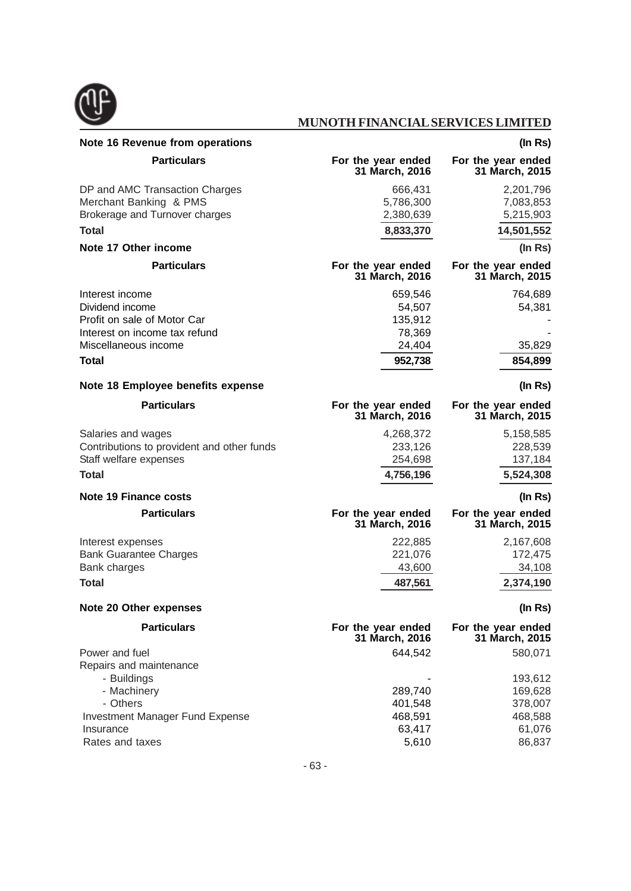

| <b>Note 16 Revenue from operations</b>             |                                      | $($ In Rs $)$                        |
|----------------------------------------------------|--------------------------------------|--------------------------------------|
| <b>Particulars</b>                                 | For the year ended<br>31 March, 2016 | For the year ended<br>31 March, 2015 |
| DP and AMC Transaction Charges                     | 666,431                              | 2,201,796                            |
| Merchant Banking & PMS                             | 5,786,300                            | 7,083,853                            |
| Brokerage and Turnover charges                     | 2,380,639                            | 5,215,903                            |
| <b>Total</b>                                       | 8,833,370                            | 14,501,552                           |
| Note 17 Other income                               |                                      | (ln Rs)                              |
| <b>Particulars</b>                                 | For the year ended<br>31 March, 2016 | For the year ended<br>31 March, 2015 |
| Interest income                                    | 659,546                              | 764,689                              |
| Dividend income                                    | 54,507                               | 54,381                               |
| Profit on sale of Motor Car                        | 135,912                              |                                      |
| Interest on income tax refund                      | 78,369                               |                                      |
| Miscellaneous income                               | 24,404                               | 35,829                               |
| <b>Total</b>                                       | 952,738                              | 854,899                              |
| Note 18 Employee benefits expense                  |                                      | $($ In Rs $)$                        |
| <b>Particulars</b>                                 | For the year ended<br>31 March, 2016 | For the year ended<br>31 March, 2015 |
| Salaries and wages                                 | 4,268,372                            | 5,158,585                            |
| Contributions to provident and other funds         | 233,126                              | 228,539                              |
| Staff welfare expenses                             | 254,698                              | 137,184                              |
| <b>Total</b>                                       | 4,756,196                            | 5,524,308                            |
| <b>Note 19 Finance costs</b>                       |                                      | $($ In Rs $)$                        |
| <b>Particulars</b>                                 | For the year ended<br>31 March, 2016 | For the year ended<br>31 March, 2015 |
| Interest expenses                                  | 222,885                              | 2,167,608                            |
| <b>Bank Guarantee Charges</b>                      | 221,076                              | 172,475                              |
| Bank charges                                       | 43,600                               | 34,108                               |
| <b>Total</b>                                       | 487,561                              | 2,374,190                            |
| Note 20 Other expenses                             |                                      | (ln Rs)                              |
| <b>Particulars</b>                                 | For the year ended<br>31 March, 2016 | For the year ended<br>31 March, 2015 |
| Power and fuel                                     | 644,542                              | 580,071                              |
| Repairs and maintenance                            |                                      |                                      |
| - Buildings                                        |                                      | 193,612                              |
| - Machinery                                        | 289,740                              | 169,628                              |
| - Others<br><b>Investment Manager Fund Expense</b> | 401,548                              | 378,007                              |
| Insurance                                          | 468,591<br>63,417                    | 468,588<br>61,076                    |
| Rates and taxes                                    | 5,610                                | 86,837                               |
|                                                    |                                      |                                      |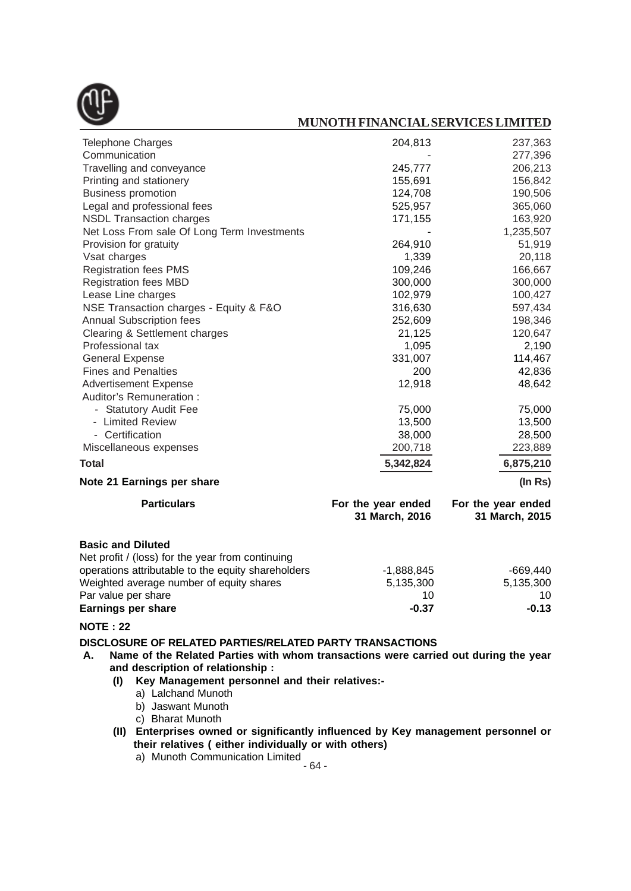

| <b>Telephone Charges</b>                           | 204,813                              | 237,363                              |
|----------------------------------------------------|--------------------------------------|--------------------------------------|
| Communication                                      |                                      | 277,396                              |
| Travelling and conveyance                          | 245,777                              | 206,213                              |
| Printing and stationery                            | 155,691                              | 156,842                              |
| <b>Business promotion</b>                          | 124,708                              | 190,506                              |
| Legal and professional fees                        | 525,957                              | 365,060                              |
| <b>NSDL Transaction charges</b>                    | 171,155                              | 163,920                              |
| Net Loss From sale Of Long Term Investments        |                                      | 1,235,507                            |
| Provision for gratuity                             | 264,910                              | 51,919                               |
| Vsat charges                                       | 1,339                                | 20,118                               |
| <b>Registration fees PMS</b>                       | 109,246                              | 166,667                              |
| <b>Registration fees MBD</b>                       | 300,000                              | 300,000                              |
| Lease Line charges                                 | 102,979                              | 100,427                              |
| NSE Transaction charges - Equity & F&O             | 316,630                              | 597,434                              |
| <b>Annual Subscription fees</b>                    | 252,609                              | 198,346                              |
| Clearing & Settlement charges                      | 21,125                               | 120,647                              |
| Professional tax                                   | 1,095                                | 2,190                                |
| <b>General Expense</b>                             | 331,007                              | 114,467                              |
| <b>Fines and Penalties</b>                         | 200                                  | 42,836                               |
| <b>Advertisement Expense</b>                       | 12,918                               | 48,642                               |
| Auditor's Remuneration :                           |                                      |                                      |
| - Statutory Audit Fee                              | 75,000                               | 75,000                               |
| - Limited Review                                   | 13,500                               | 13,500                               |
| - Certification                                    | 38,000                               | 28,500                               |
| Miscellaneous expenses                             | 200,718                              | 223,889                              |
| <b>Total</b>                                       | 5,342,824                            | 6,875,210                            |
| Note 21 Earnings per share                         |                                      | (In Rs)                              |
| <b>Particulars</b>                                 | For the year ended<br>31 March, 2016 | For the year ended<br>31 March, 2015 |
| <b>Basic and Diluted</b>                           |                                      |                                      |
| Net profit / (loss) for the year from continuing   |                                      |                                      |
| operations attributable to the equity shareholders | -1,888,845                           | $-669,440$                           |
| Weighted average number of equity shares           | 5,135,300                            | 5,135,300                            |
| Par value per share                                | 10                                   | 10                                   |
| <b>Earnings per share</b>                          | $-0.37$                              | $-0.13$                              |

#### **NOTE : 22**

## **DISCLOSURE OF RELATED PARTIES/RELATED PARTY TRANSACTIONS**

- **A. Name of the Related Parties with whom transactions were carried out during the year and description of relationship :**
	- **(I) Key Management personnel and their relatives:**
		- a) Lalchand Munoth
		- b) Jaswant Munoth
		- c) Bharat Munoth
	- **(II) Enterprises owned or significantly influenced by Key management personnel or their relatives ( either individually or with others)**
		- 64 a) Munoth Communication Limited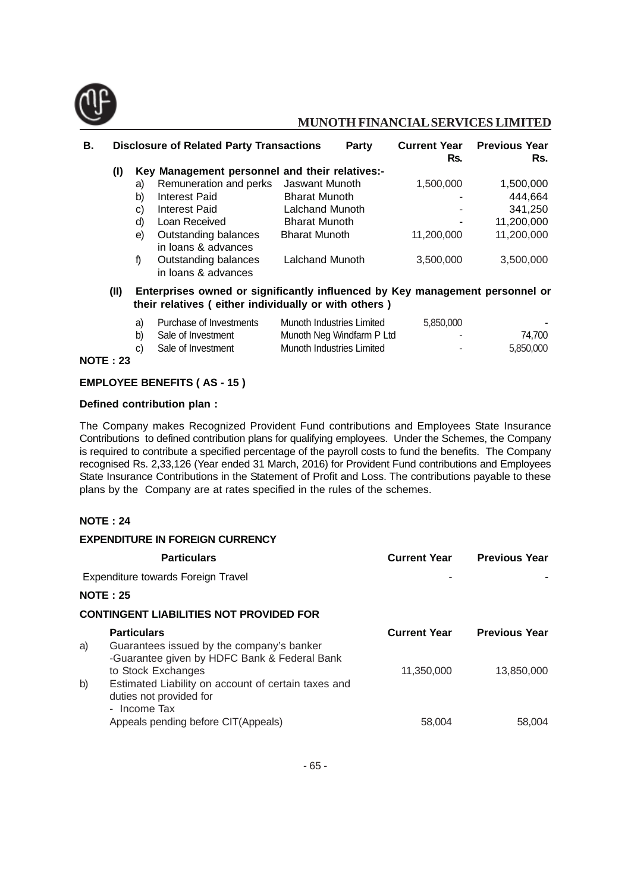

| В. |     |    | <b>Disclosure of Related Party Transactions</b> |                      | Party | <b>Current Year</b><br>Rs. | <b>Previous Year</b><br>Rs. |
|----|-----|----|-------------------------------------------------|----------------------|-------|----------------------------|-----------------------------|
|    | (I) |    | Key Management personnel and their relatives:-  |                      |       |                            |                             |
|    |     | a) | Remuneration and perks                          | Jaswant Munoth       |       | 1,500,000                  | 1,500,000                   |
|    |     | b) | <b>Interest Paid</b>                            | <b>Bharat Munoth</b> |       | ٠                          | 444,664                     |
|    |     | C) | <b>Interest Paid</b>                            | Lalchand Munoth      |       | ۰                          | 341,250                     |
|    |     | d) | Loan Received                                   | <b>Bharat Munoth</b> |       | ۰                          | 11,200,000                  |
|    |     | e) | Outstanding balances<br>in loans & advances     | <b>Bharat Munoth</b> |       | 11,200,000                 | 11,200,000                  |
|    |     | t) | Outstanding balances<br>in loans & advances     | Lalchand Munoth      |       | 3,500,000                  | 3,500,000                   |

**(II) Enterprises owned or significantly influenced by Key management personnel or their relatives ( either individually or with others )**

| a) Purchase of Investments | Munoth Industries Limited | 5.850.000 |           |
|----------------------------|---------------------------|-----------|-----------|
| b) Sale of Investment      | Munoth Neg Windfarm P Ltd | $\sim$    | 74.700    |
| c) Sale of Investment      | Munoth Industries Limited | <b>м.</b> | 5.850.000 |

**NOTE : 23**

## **EMPLOYEE BENEFITS ( AS - 15 )**

#### **Defined contribution plan :**

The Company makes Recognized Provident Fund contributions and Employees State Insurance Contributions to defined contribution plans for qualifying employees. Under the Schemes, the Company is required to contribute a specified percentage of the payroll costs to fund the benefits. The Company recognised Rs. 2,33,126 (Year ended 31 March, 2016) for Provident Fund contributions and Employees State Insurance Contributions in the Statement of Profit and Loss. The contributions payable to these plans by the Company are at rates specified in the rules of the schemes.

## **NOTE : 24**

#### **EXPENDITURE IN FOREIGN CURRENCY**

|    | <b>Particulars</b>                                                                                                   | <b>Current Year</b> | <b>Previous Year</b> |  |  |  |  |  |
|----|----------------------------------------------------------------------------------------------------------------------|---------------------|----------------------|--|--|--|--|--|
|    | Expenditure towards Foreign Travel                                                                                   |                     |                      |  |  |  |  |  |
|    | <b>NOTE: 25</b>                                                                                                      |                     |                      |  |  |  |  |  |
|    | <b>CONTINGENT LIABILITIES NOT PROVIDED FOR</b>                                                                       |                     |                      |  |  |  |  |  |
| a) | <b>Particulars</b><br>Guarantees issued by the company's banker<br>-Guarantee given by HDFC Bank & Federal Bank      | <b>Current Year</b> | <b>Previous Year</b> |  |  |  |  |  |
| b) | to Stock Exchanges<br>Estimated Liability on account of certain taxes and<br>duties not provided for<br>- Income Tax | 11.350.000          | 13,850,000           |  |  |  |  |  |
|    | Appeals pending before CIT(Appeals)                                                                                  | 58.004              | 58,004               |  |  |  |  |  |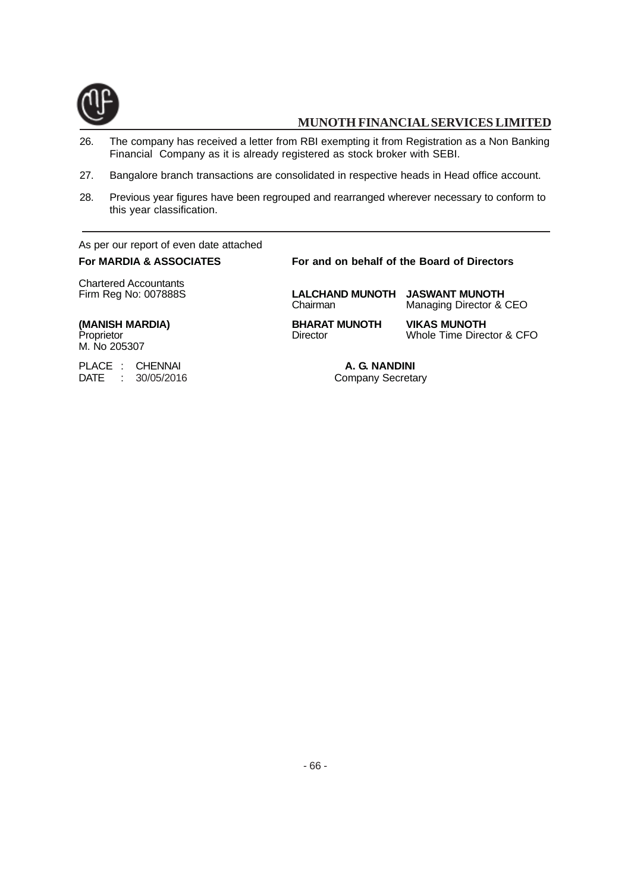

- 26. The company has received a letter from RBI exempting it from Registration as a Non Banking Financial Company as it is already registered as stock broker with SEBI.
- 27. Bangalore branch transactions are consolidated in respective heads in Head office account.
- 28. Previous year figures have been regrouped and rearranged wherever necessary to conform to this year classification.

As per our report of even date attached

Chartered Accountants<br>Firm Reg No: 007888S

**For MARDIA & ASSOCIATES For and on behalf of the Board of Directors**

**LALCHAND MUNOTH JASWANT MUNOTH**<br>Chairman Managing Director & Managing Director & CEO

**(MANISH MARDIA) BHARAT MUNOTH VIKAS MUNOTH** M. No 205307

Whole Time Director & CFO

PLACE : CHENNAI **A. G. NANDINI**<br>DATE : 30/05/2016 **A. G. NANDINI** 

Company Secretary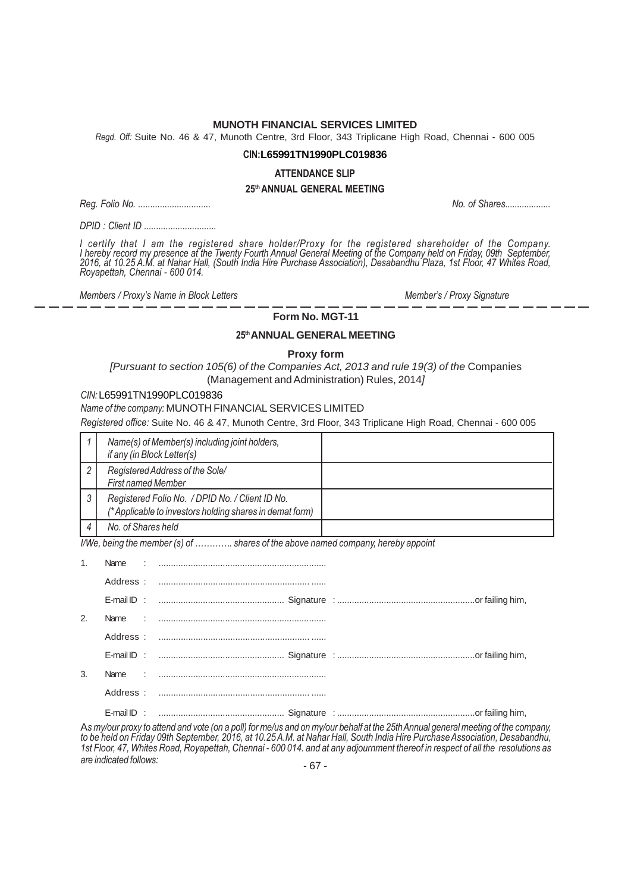*Regd. Off:* Suite No. 46 & 47, Munoth Centre, 3rd Floor, 343 Triplicane High Road, Chennai - 600 005

#### **CIN:L65991TN1990PLC019836**

#### **ATTENDANCE SLIP**

#### **25th ANNUAL GENERAL MEETING**

*Reg. Folio No. .............................. No. of Shares...................*

*DPID : Client ID ..............................*

*I certify that I am the registered share holder/Proxy for the registered shareholder of the Company. I hereby record my presence at the Twenty Fourth Annual General Meeting of the Company held on Friday, 09th September, 2016, at 10.25 A.M. at Nahar Hall, (South India Hire Purchase Association), Desabandhu Plaza, 1st Floor, 47 Whites Road, Royapettah, Chennai - 600 014.*

*Members / Proxy's Name in Block Letters Member's / Proxy Signature*

#### **Form No. MGT-11**

#### **25th ANNUAL GENERAL MEETING**

**Proxy form**

[Pursuant to section 105(6) of the Companies Act, 2013 and rule 19(3) of the Companies (Management and Administration) Rules, 2014]

#### *CIN:* L65991TN1990PLC019836

*Name of the company:* MUNOTH FINANCIAL SERVICES LIMITED

*Registered office:* Suite No. 46 & 47, Munoth Centre, 3rd Floor, 343 Triplicane High Road, Chennai - 600 005

| Name(s) of Member(s) including joint holders,<br>if any (in Block Letter(s)                                |  |
|------------------------------------------------------------------------------------------------------------|--|
| Registered Address of the Sole/<br><b>First named Member</b>                                               |  |
| Registered Folio No. / DPID No. / Client ID No.<br>(*Applicable to investors holding shares in demat form) |  |
| No. of Shares held                                                                                         |  |

*I/We, being the member (s) of …………. shares of the above named company, hereby appoint*

| 1 <sup>1</sup> |  |  |
|----------------|--|--|
|                |  |  |
|                |  |  |
| 2.             |  |  |
|                |  |  |
|                |  |  |
| 3.             |  |  |
|                |  |  |
|                |  |  |

A*s my/our proxy to attend and vote (on a poll) for me/us and on my/our behalf at the 25th Annual general meeting of the company, to be held on Friday 09th September, 2016, at 10.25 A.M. at Nahar Hall, South India Hire Purchase Association, Desabandhu, 1st Floor, 47, Whites Road, Royapettah, Chennai - 600 014. and at any adjournment thereof in respect of all the resolutions as are indicated follows:*